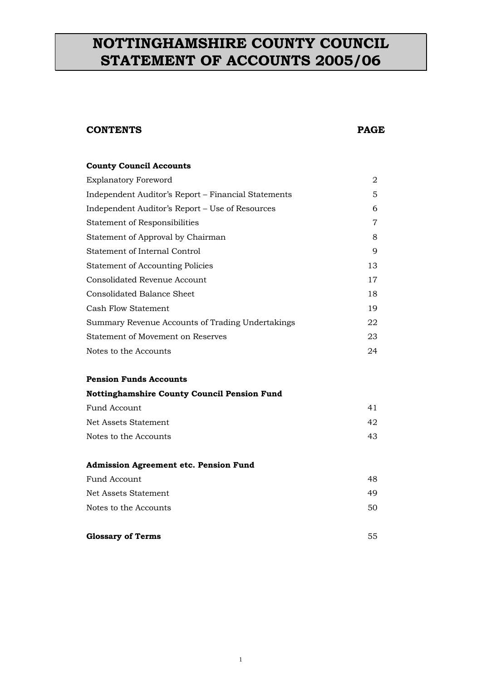## **NOTTINGHAMSHIRE COUNTY COUNCIL STATEMENT OF ACCOUNTS 2005/06**

### **CONTENTS PAGE**

## **County Council Accounts** Explanatory Foreword 2 Independent Auditor's Report – Financial Statements 5 Independent Auditor's Report – Use of Resources 6 Statement of Responsibilities 7 Statement of Approval by Chairman 8 Statement of Internal Control 9 Statement of Accounting Policies 13 Consolidated Revenue Account 17 Consolidated Balance Sheet 18 Cash Flow Statement 19 Summary Revenue Accounts of Trading Undertakings 22 Statement of Movement on Reserves 23 Notes to the Accounts 24

#### **Pension Funds Accounts**

| Nottinghamshire County Council Pension Fund |    |  |
|---------------------------------------------|----|--|
| Fund Account                                | 41 |  |
| Net Assets Statement                        | 42 |  |
| Notes to the Accounts                       | 43 |  |

## **Admission Agreement etc. Pension Fund** Fund Account 48 Net Assets Statement 49 Notes to the Accounts 50

**Glossary of Terms** 55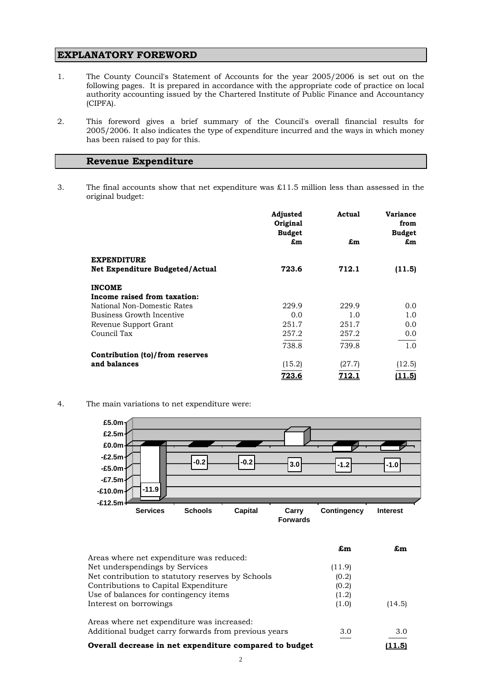#### **EXPLANATORY FOREWORD**

- 1. The County Council's Statement of Accounts for the year 2005/2006 is set out on the following pages. It is prepared in accordance with the appropriate code of practice on local authority accounting issued by the Chartered Institute of Public Finance and Accountancy (CIPFA).
- 2. This foreword gives a brief summary of the Council's overall financial results for 2005/2006. It also indicates the type of expenditure incurred and the ways in which money has been raised to pay for this.

#### **Revenue Expenditure**

3. The final accounts show that net expenditure was £11.5 million less than assessed in the original budget:

|                                        | Adjusted<br>Original<br><b>Budget</b> | Actual | <b>Variance</b><br>from<br><b>Budget</b> |
|----------------------------------------|---------------------------------------|--------|------------------------------------------|
|                                        | £m                                    | £m     | £m                                       |
| <b>EXPENDITURE</b>                     |                                       |        |                                          |
| <b>Net Expenditure Budgeted/Actual</b> | 723.6                                 | 712.1  | (11.5)                                   |
| <b>INCOME</b>                          |                                       |        |                                          |
| Income raised from taxation:           |                                       |        |                                          |
| National Non-Domestic Rates            | 229.9                                 | 229.9  | 0.0                                      |
| Business Growth Incentive              | 0.0                                   | 1.0    | 1.0                                      |
| Revenue Support Grant                  | 251.7                                 | 251.7  | 0.0                                      |
| Council Tax                            | 257.2                                 | 257.2  | 0.0                                      |
|                                        | 738.8                                 | 739.8  | 1.0                                      |
| Contribution (to)/from reserves        |                                       |        |                                          |
| and balances                           | (15.2)                                | (27.7) | (12.5)                                   |
|                                        | <u>723.6</u>                          | 712.   | l 1.5)                                   |

4. The main variations to net expenditure were:



|                                                        | £m     | £m     |
|--------------------------------------------------------|--------|--------|
| Areas where net expenditure was reduced:               |        |        |
| Net underspendings by Services                         | (11.9) |        |
| Net contribution to statutory reserves by Schools      | (0.2)  |        |
| Contributions to Capital Expenditure                   | (0.2)  |        |
| Use of balances for contingency items                  | (1.2)  |        |
| Interest on borrowings                                 | (1.0)  | (14.5) |
| Areas where net expenditure was increased:             |        |        |
| Additional budget carry forwards from previous years   | 3.0    | 3.0    |
| Overall decrease in net expenditure compared to budget |        | (11.5  |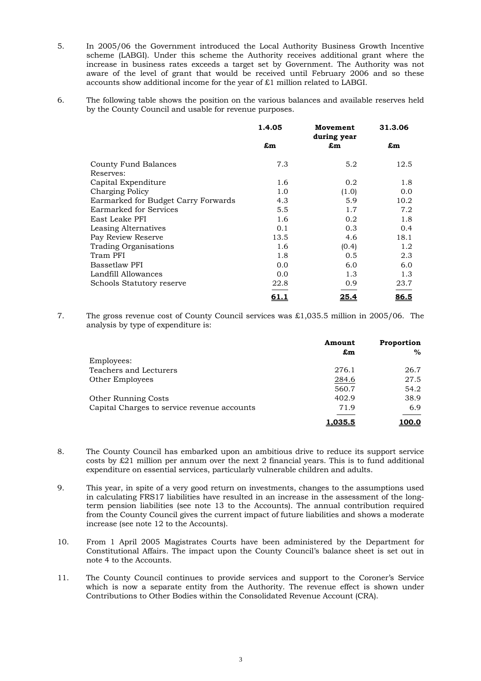- 5. In 2005/06 the Government introduced the Local Authority Business Growth Incentive scheme (LABGI). Under this scheme the Authority receives additional grant where the increase in business rates exceeds a target set by Government. The Authority was not aware of the level of grant that would be received until February 2006 and so these accounts show additional income for the year of £1 million related to LABGI.
- 6. The following table shows the position on the various balances and available reserves held by the County Council and usable for revenue purposes.

|                                     | 1.4.05      | Movement<br>during year | 31.3.06 |
|-------------------------------------|-------------|-------------------------|---------|
|                                     | £m          | £m                      | £m      |
| County Fund Balances                | 7.3         | 5.2                     | 12.5    |
| Reserves:                           |             |                         |         |
| Capital Expenditure                 | 1.6         | 0.2                     | 1.8     |
| Charging Policy                     | 1.0         | (1.0)                   | 0.0     |
| Earmarked for Budget Carry Forwards | 4.3         | 5.9                     | 10.2    |
| Earmarked for Services              | 5.5         | 1.7                     | 7.2     |
| East Leake PFI                      | 1.6         | 0.2                     | 1.8     |
| Leasing Alternatives                | 0.1         | 0.3                     | 0.4     |
| Pay Review Reserve                  | 13.5        | 4.6                     | 18.1    |
| <b>Trading Organisations</b>        | 1.6         | (0.4)                   | 1.2     |
| Tram PFI                            | 1.8         | 0.5                     | 2.3     |
| Bassetlaw PFI                       | 0.0         | 6.0                     | 6.0     |
| Landfill Allowances                 | 0.0         | 1.3                     | 1.3     |
| Schools Statutory reserve           | 22.8        | 0.9                     | 23.7    |
|                                     | <u>61.1</u> | <u>25.4</u>             | 86.5    |

7. The gross revenue cost of County Council services was £1,035.5 million in 2005/06. The analysis by type of expenditure is:

|                                             | Amount         | Proportion |  |
|---------------------------------------------|----------------|------------|--|
|                                             | £m             | $\%$       |  |
| Employees:                                  |                |            |  |
| Teachers and Lecturers                      | 276.1          | 26.7       |  |
| Other Employees                             | 284.6          | 27.5       |  |
|                                             | 560.7          | 54.2       |  |
| <b>Other Running Costs</b>                  | 402.9          | 38.9       |  |
| Capital Charges to service revenue accounts | 71.9           | 6.9        |  |
|                                             | <u>1.035.5</u> |            |  |

- 8. The County Council has embarked upon an ambitious drive to reduce its support service costs by £21 million per annum over the next 2 financial years. This is to fund additional expenditure on essential services, particularly vulnerable children and adults.
- 9. This year, in spite of a very good return on investments, changes to the assumptions used in calculating FRS17 liabilities have resulted in an increase in the assessment of the longterm pension liabilities (see note 13 to the Accounts). The annual contribution required from the County Council gives the current impact of future liabilities and shows a moderate increase (see note 12 to the Accounts).
- 10. From 1 April 2005 Magistrates Courts have been administered by the Department for Constitutional Affairs. The impact upon the County Council's balance sheet is set out in note 4 to the Accounts.
- 11. The County Council continues to provide services and support to the Coroner's Service which is now a separate entity from the Authority. The revenue effect is shown under Contributions to Other Bodies within the Consolidated Revenue Account (CRA).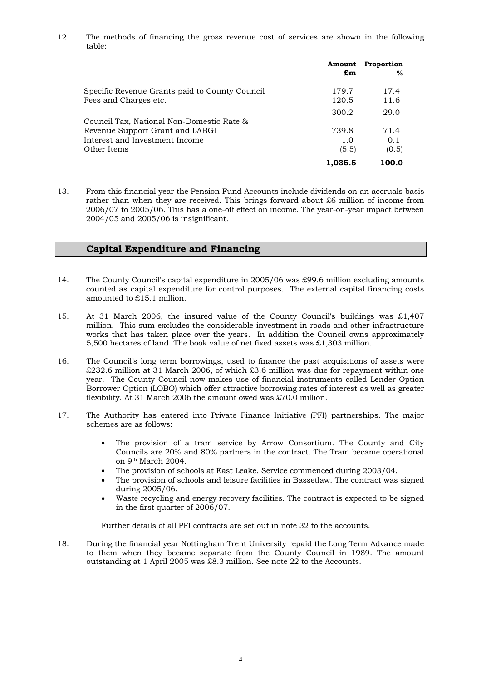12. The methods of financing the gross revenue cost of services are shown in the following table:

|                                                | Amount<br>£m | Proportion<br>$\%$ |
|------------------------------------------------|--------------|--------------------|
| Specific Revenue Grants paid to County Council | 179.7        | 17.4               |
| Fees and Charges etc.                          | 120.5        | 11.6               |
|                                                | 300.2        | 29.0               |
| Council Tax, National Non-Domestic Rate &      |              |                    |
| Revenue Support Grant and LABGI                | 739.8        | 71.4               |
| Interest and Investment Income                 | 1.0          | 0.1                |
| Other Items                                    | (5.5)        | (0.5)              |
|                                                | 1.035.5      | 100.0              |

13. From this financial year the Pension Fund Accounts include dividends on an accruals basis rather than when they are received. This brings forward about £6 million of income from 2006/07 to 2005/06. This has a one-off effect on income. The year-on-year impact between 2004/05 and 2005/06 is insignificant.

#### **Capital Expenditure and Financing**

- 14. The County Council's capital expenditure in 2005/06 was £99.6 million excluding amounts counted as capital expenditure for control purposes. The external capital financing costs amounted to £15.1 million.
- 15. At 31 March 2006, the insured value of the County Council's buildings was £1,407 million. This sum excludes the considerable investment in roads and other infrastructure works that has taken place over the years. In addition the Council owns approximately 5,500 hectares of land. The book value of net fixed assets was £1,303 million.
- 16. The Council's long term borrowings, used to finance the past acquisitions of assets were £232.6 million at 31 March 2006, of which £3.6 million was due for repayment within one year. The County Council now makes use of financial instruments called Lender Option Borrower Option (LOBO) which offer attractive borrowing rates of interest as well as greater flexibility. At 31 March 2006 the amount owed was £70.0 million.
- 17. The Authority has entered into Private Finance Initiative (PFI) partnerships. The major schemes are as follows:
	- The provision of a tram service by Arrow Consortium. The County and City Councils are 20% and 80% partners in the contract. The Tram became operational on 9th March 2004.
	- The provision of schools at East Leake. Service commenced during 2003/04.
	- The provision of schools and leisure facilities in Bassetlaw. The contract was signed during 2005/06.
	- Waste recycling and energy recovery facilities. The contract is expected to be signed in the first quarter of 2006/07.

Further details of all PFI contracts are set out in note 32 to the accounts.

18. During the financial year Nottingham Trent University repaid the Long Term Advance made to them when they became separate from the County Council in 1989. The amount outstanding at 1 April 2005 was £8.3 million. See note 22 to the Accounts.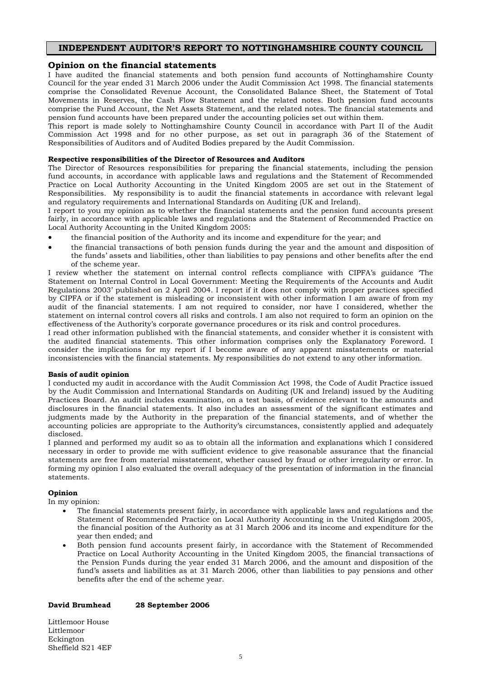#### **INDEPENDENT AUDITOR'S REPORT TO NOTTINGHAMSHIRE COUNTY COUNCIL**

#### **Opinion on the financial statements**

I have audited the financial statements and both pension fund accounts of Nottinghamshire County Council for the year ended 31 March 2006 under the Audit Commission Act 1998. The financial statements comprise the Consolidated Revenue Account, the Consolidated Balance Sheet, the Statement of Total Movements in Reserves, the Cash Flow Statement and the related notes. Both pension fund accounts comprise the Fund Account, the Net Assets Statement, and the related notes. The financial statements and pension fund accounts have been prepared under the accounting policies set out within them.

This report is made solely to Nottinghamshire County Council in accordance with Part II of the Audit Commission Act 1998 and for no other purpose, as set out in paragraph 36 of the Statement of Responsibilities of Auditors and of Audited Bodies prepared by the Audit Commission.

#### **Respective responsibilities of the Director of Resources and Auditors**

The Director of Resources responsibilities for preparing the financial statements, including the pension fund accounts, in accordance with applicable laws and regulations and the Statement of Recommended Practice on Local Authority Accounting in the United Kingdom 2005 are set out in the Statement of Responsibilities. My responsibility is to audit the financial statements in accordance with relevant legal and regulatory requirements and International Standards on Auditing (UK and Ireland).

I report to you my opinion as to whether the financial statements and the pension fund accounts present fairly, in accordance with applicable laws and regulations and the Statement of Recommended Practice on Local Authority Accounting in the United Kingdom 2005:

- the financial position of the Authority and its income and expenditure for the year; and
- the financial transactions of both pension funds during the year and the amount and disposition of the funds' assets and liabilities, other than liabilities to pay pensions and other benefits after the end of the scheme year.

I review whether the statement on internal control reflects compliance with CIPFA's guidance 'The Statement on Internal Control in Local Government: Meeting the Requirements of the Accounts and Audit Regulations 2003' published on 2 April 2004. I report if it does not comply with proper practices specified by CIPFA or if the statement is misleading or inconsistent with other information I am aware of from my audit of the financial statements. I am not required to consider, nor have I considered, whether the statement on internal control covers all risks and controls. I am also not required to form an opinion on the effectiveness of the Authority's corporate governance procedures or its risk and control procedures.

I read other information published with the financial statements, and consider whether it is consistent with the audited financial statements. This other information comprises only the Explanatory Foreword. I consider the implications for my report if I become aware of any apparent misstatements or material inconsistencies with the financial statements. My responsibilities do not extend to any other information.

#### **Basis of audit opinion**

I conducted my audit in accordance with the Audit Commission Act 1998, the Code of Audit Practice issued by the Audit Commission and International Standards on Auditing (UK and Ireland) issued by the Auditing Practices Board. An audit includes examination, on a test basis, of evidence relevant to the amounts and disclosures in the financial statements. It also includes an assessment of the significant estimates and judgments made by the Authority in the preparation of the financial statements, and of whether the accounting policies are appropriate to the Authority's circumstances, consistently applied and adequately disclosed.

I planned and performed my audit so as to obtain all the information and explanations which I considered necessary in order to provide me with sufficient evidence to give reasonable assurance that the financial statements are free from material misstatement, whether caused by fraud or other irregularity or error. In forming my opinion I also evaluated the overall adequacy of the presentation of information in the financial statements.

#### **Opinion**

In my opinion:

- The financial statements present fairly, in accordance with applicable laws and regulations and the Statement of Recommended Practice on Local Authority Accounting in the United Kingdom 2005, the financial position of the Authority as at 31 March 2006 and its income and expenditure for the year then ended; and
- Both pension fund accounts present fairly, in accordance with the Statement of Recommended Practice on Local Authority Accounting in the United Kingdom 2005, the financial transactions of the Pension Funds during the year ended 31 March 2006, and the amount and disposition of the fund's assets and liabilities as at 31 March 2006, other than liabilities to pay pensions and other benefits after the end of the scheme year.

#### **David Brumhead 28 September 2006**

Littlemoor House Littlemoor Eckington Sheffield S21 4EF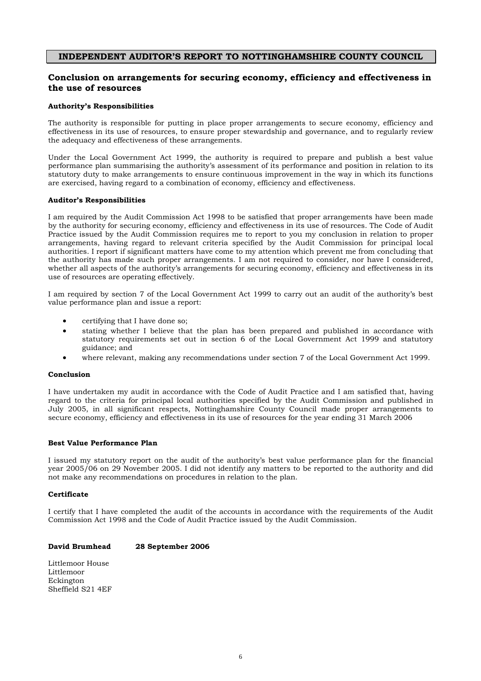#### **INDEPENDENT AUDITOR'S REPORT TO NOTTINGHAMSHIRE COUNTY COUNCIL**

#### **Conclusion on arrangements for securing economy, efficiency and effectiveness in the use of resources**

#### **Authority's Responsibilities**

The authority is responsible for putting in place proper arrangements to secure economy, efficiency and effectiveness in its use of resources, to ensure proper stewardship and governance, and to regularly review the adequacy and effectiveness of these arrangements.

Under the Local Government Act 1999, the authority is required to prepare and publish a best value performance plan summarising the authority's assessment of its performance and position in relation to its statutory duty to make arrangements to ensure continuous improvement in the way in which its functions are exercised, having regard to a combination of economy, efficiency and effectiveness.

#### **Auditor's Responsibilities**

I am required by the Audit Commission Act 1998 to be satisfied that proper arrangements have been made by the authority for securing economy, efficiency and effectiveness in its use of resources. The Code of Audit Practice issued by the Audit Commission requires me to report to you my conclusion in relation to proper arrangements, having regard to relevant criteria specified by the Audit Commission for principal local authorities. I report if significant matters have come to my attention which prevent me from concluding that the authority has made such proper arrangements. I am not required to consider, nor have I considered, whether all aspects of the authority's arrangements for securing economy, efficiency and effectiveness in its use of resources are operating effectively.

I am required by section 7 of the Local Government Act 1999 to carry out an audit of the authority's best value performance plan and issue a report:

- certifying that I have done so;
- stating whether I believe that the plan has been prepared and published in accordance with statutory requirements set out in section 6 of the Local Government Act 1999 and statutory guidance; and
- where relevant, making any recommendations under section 7 of the Local Government Act 1999.

#### **Conclusion**

I have undertaken my audit in accordance with the Code of Audit Practice and I am satisfied that, having regard to the criteria for principal local authorities specified by the Audit Commission and published in July 2005, in all significant respects, Nottinghamshire County Council made proper arrangements to secure economy, efficiency and effectiveness in its use of resources for the year ending 31 March 2006

#### **Best Value Performance Plan**

I issued my statutory report on the audit of the authority's best value performance plan for the financial year 2005/06 on 29 November 2005. I did not identify any matters to be reported to the authority and did not make any recommendations on procedures in relation to the plan.

#### **Certificate**

I certify that I have completed the audit of the accounts in accordance with the requirements of the Audit Commission Act 1998 and the Code of Audit Practice issued by the Audit Commission.

#### **David Brumhead 28 September 2006**

Littlemoor House Littlemoor Eckington Sheffield S21 4EF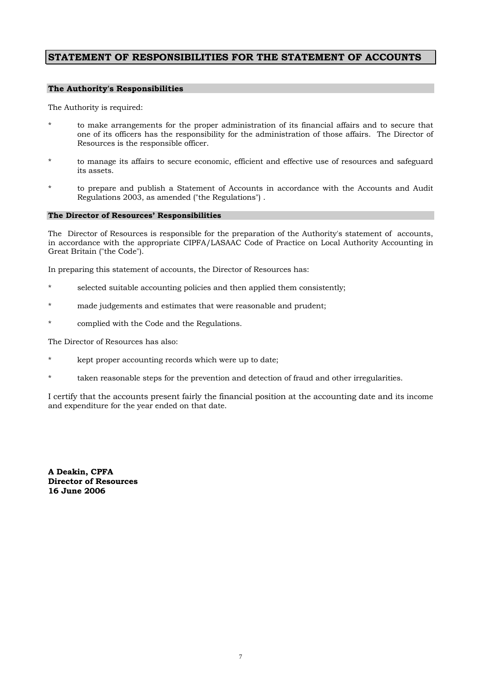#### **STATEMENT OF RESPONSIBILITIES FOR THE STATEMENT OF ACCOUNTS**

#### **The Authority's Responsibilities**

The Authority is required:

- \* to make arrangements for the proper administration of its financial affairs and to secure that one of its officers has the responsibility for the administration of those affairs. The Director of Resources is the responsible officer.
- \* to manage its affairs to secure economic, efficient and effective use of resources and safeguard its assets.
- to prepare and publish a Statement of Accounts in accordance with the Accounts and Audit Regulations 2003, as amended ("the Regulations") .

#### **The Director of Resources' Responsibilities**

The Director of Resources is responsible for the preparation of the Authority's statement of accounts, in accordance with the appropriate CIPFA/LASAAC Code of Practice on Local Authority Accounting in Great Britain ("the Code").

In preparing this statement of accounts, the Director of Resources has:

- \* selected suitable accounting policies and then applied them consistently;
- made judgements and estimates that were reasonable and prudent;
- complied with the Code and the Regulations.

The Director of Resources has also:

- kept proper accounting records which were up to date;
- taken reasonable steps for the prevention and detection of fraud and other irregularities.

I certify that the accounts present fairly the financial position at the accounting date and its income and expenditure for the year ended on that date.

**A Deakin, CPFA Director of Resources 16 June 2006**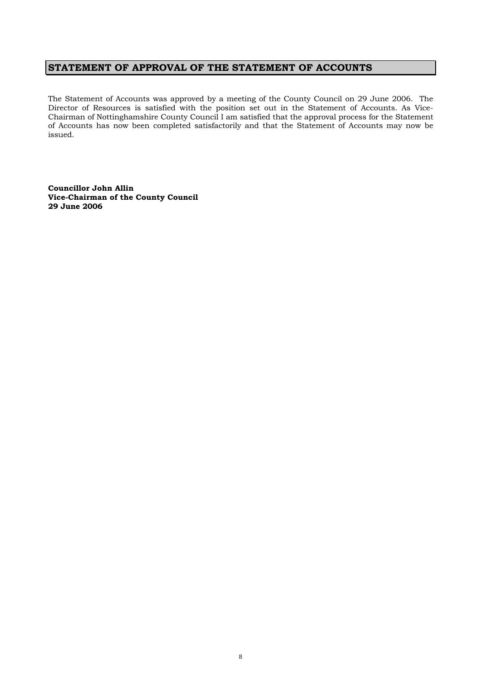### **STATEMENT OF APPROVAL OF THE STATEMENT OF ACCOUNTS**

The Statement of Accounts was approved by a meeting of the County Council on 29 June 2006. The Director of Resources is satisfied with the position set out in the Statement of Accounts. As Vice-Chairman of Nottinghamshire County Council I am satisfied that the approval process for the Statement of Accounts has now been completed satisfactorily and that the Statement of Accounts may now be issued.

**Councillor John Allin Vice-Chairman of the County Council 29 June 2006**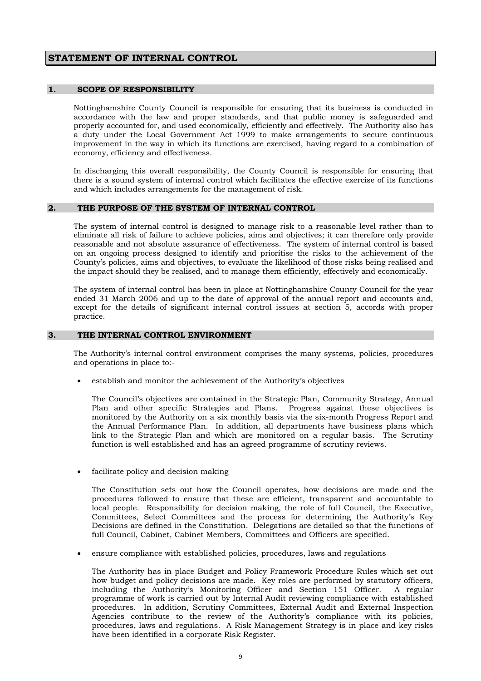### **STATEMENT OF INTERNAL CONTROL**

#### **1. SCOPE OF RESPONSIBILITY**

Nottinghamshire County Council is responsible for ensuring that its business is conducted in accordance with the law and proper standards, and that public money is safeguarded and properly accounted for, and used economically, efficiently and effectively. The Authority also has a duty under the Local Government Act 1999 to make arrangements to secure continuous improvement in the way in which its functions are exercised, having regard to a combination of economy, efficiency and effectiveness.

In discharging this overall responsibility, the County Council is responsible for ensuring that there is a sound system of internal control which facilitates the effective exercise of its functions and which includes arrangements for the management of risk.

#### **2. THE PURPOSE OF THE SYSTEM OF INTERNAL CONTROL**

The system of internal control is designed to manage risk to a reasonable level rather than to eliminate all risk of failure to achieve policies, aims and objectives; it can therefore only provide reasonable and not absolute assurance of effectiveness. The system of internal control is based on an ongoing process designed to identify and prioritise the risks to the achievement of the County's policies, aims and objectives, to evaluate the likelihood of those risks being realised and the impact should they be realised, and to manage them efficiently, effectively and economically.

The system of internal control has been in place at Nottinghamshire County Council for the year ended 31 March 2006 and up to the date of approval of the annual report and accounts and, except for the details of significant internal control issues at section 5, accords with proper practice.

#### **3. THE INTERNAL CONTROL ENVIRONMENT**

The Authority's internal control environment comprises the many systems, policies, procedures and operations in place to:-

• establish and monitor the achievement of the Authority's objectives

 The Council's objectives are contained in the Strategic Plan, Community Strategy, Annual Plan and other specific Strategies and Plans. Progress against these objectives is monitored by the Authority on a six monthly basis via the six-month Progress Report and the Annual Performance Plan. In addition, all departments have business plans which link to the Strategic Plan and which are monitored on a regular basis. The Scrutiny function is well established and has an agreed programme of scrutiny reviews.

facilitate policy and decision making

The Constitution sets out how the Council operates, how decisions are made and the procedures followed to ensure that these are efficient, transparent and accountable to local people. Responsibility for decision making, the role of full Council, the Executive, Committees, Select Committees and the process for determining the Authority's Key Decisions are defined in the Constitution. Delegations are detailed so that the functions of full Council, Cabinet, Cabinet Members, Committees and Officers are specified.

• ensure compliance with established policies, procedures, laws and regulations

The Authority has in place Budget and Policy Framework Procedure Rules which set out how budget and policy decisions are made. Key roles are performed by statutory officers, including the Authority's Monitoring Officer and Section 151 Officer. A regular programme of work is carried out by Internal Audit reviewing compliance with established procedures. In addition, Scrutiny Committees, External Audit and External Inspection Agencies contribute to the review of the Authority's compliance with its policies, procedures, laws and regulations. A Risk Management Strategy is in place and key risks have been identified in a corporate Risk Register.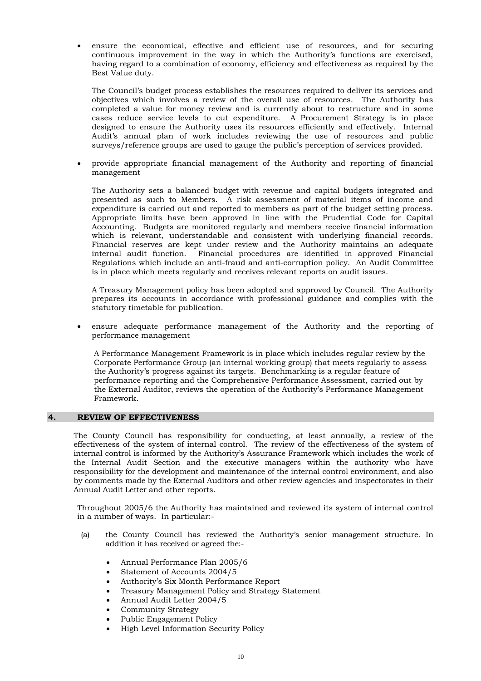• ensure the economical, effective and efficient use of resources, and for securing continuous improvement in the way in which the Authority's functions are exercised, having regard to a combination of economy, efficiency and effectiveness as required by the Best Value duty.

The Council's budget process establishes the resources required to deliver its services and objectives which involves a review of the overall use of resources. The Authority has completed a value for money review and is currently about to restructure and in some cases reduce service levels to cut expenditure. A Procurement Strategy is in place designed to ensure the Authority uses its resources efficiently and effectively. Internal Audit's annual plan of work includes reviewing the use of resources and public surveys/reference groups are used to gauge the public's perception of services provided.

• provide appropriate financial management of the Authority and reporting of financial management

The Authority sets a balanced budget with revenue and capital budgets integrated and presented as such to Members. A risk assessment of material items of income and expenditure is carried out and reported to members as part of the budget setting process. Appropriate limits have been approved in line with the Prudential Code for Capital Accounting. Budgets are monitored regularly and members receive financial information which is relevant, understandable and consistent with underlying financial records. Financial reserves are kept under review and the Authority maintains an adequate internal audit function. Financial procedures are identified in approved Financial Regulations which include an anti-fraud and anti-corruption policy. An Audit Committee is in place which meets regularly and receives relevant reports on audit issues.

A Treasury Management policy has been adopted and approved by Council. The Authority prepares its accounts in accordance with professional guidance and complies with the statutory timetable for publication.

• ensure adequate performance management of the Authority and the reporting of performance management

A Performance Management Framework is in place which includes regular review by the Corporate Performance Group (an internal working group) that meets regularly to assess the Authority's progress against its targets. Benchmarking is a regular feature of performance reporting and the Comprehensive Performance Assessment, carried out by the External Auditor, reviews the operation of the Authority's Performance Management Framework.

#### **4. REVIEW OF EFFECTIVENESS**

The County Council has responsibility for conducting, at least annually, a review of the effectiveness of the system of internal control. The review of the effectiveness of the system of internal control is informed by the Authority's Assurance Framework which includes the work of the Internal Audit Section and the executive managers within the authority who have responsibility for the development and maintenance of the internal control environment, and also by comments made by the External Auditors and other review agencies and inspectorates in their Annual Audit Letter and other reports.

 Throughout 2005/6 the Authority has maintained and reviewed its system of internal control in a number of ways. In particular:-

- (a) the County Council has reviewed the Authority's senior management structure. In addition it has received or agreed the:-
	- Annual Performance Plan 2005/6
	- Statement of Accounts 2004/5
	- Authority's Six Month Performance Report
	- Treasury Management Policy and Strategy Statement
	- Annual Audit Letter 2004/5
	- Community Strategy
	- Public Engagement Policy
	- High Level Information Security Policy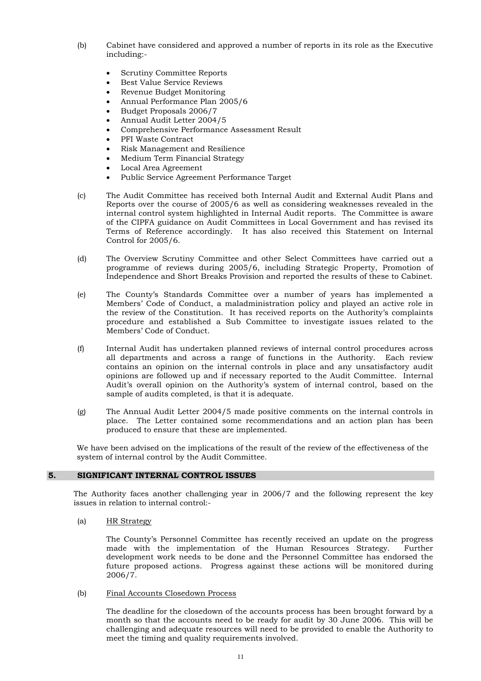- (b) Cabinet have considered and approved a number of reports in its role as the Executive including:-
	- Scrutiny Committee Reports
	- Best Value Service Reviews
	- Revenue Budget Monitoring
	- Annual Performance Plan 2005/6
	- Budget Proposals 2006/7
	- Annual Audit Letter 2004/5
	- Comprehensive Performance Assessment Result
	- PFI Waste Contract
	- Risk Management and Resilience
	- Medium Term Financial Strategy
	- Local Area Agreement
	- Public Service Agreement Performance Target
- (c) The Audit Committee has received both Internal Audit and External Audit Plans and Reports over the course of 2005/6 as well as considering weaknesses revealed in the internal control system highlighted in Internal Audit reports. The Committee is aware of the CIPFA guidance on Audit Committees in Local Government and has revised its Terms of Reference accordingly. It has also received this Statement on Internal Control for 2005/6.
- (d) The Overview Scrutiny Committee and other Select Committees have carried out a programme of reviews during 2005/6, including Strategic Property, Promotion of Independence and Short Breaks Provision and reported the results of these to Cabinet.
- (e) The County's Standards Committee over a number of years has implemented a Members' Code of Conduct, a maladministration policy and played an active role in the review of the Constitution. It has received reports on the Authority's complaints procedure and established a Sub Committee to investigate issues related to the Members' Code of Conduct.
- (f) Internal Audit has undertaken planned reviews of internal control procedures across all departments and across a range of functions in the Authority. Each review contains an opinion on the internal controls in place and any unsatisfactory audit opinions are followed up and if necessary reported to the Audit Committee. Internal Audit's overall opinion on the Authority's system of internal control, based on the sample of audits completed, is that it is adequate.
- (g) The Annual Audit Letter 2004/5 made positive comments on the internal controls in place. The Letter contained some recommendations and an action plan has been produced to ensure that these are implemented.

 We have been advised on the implications of the result of the review of the effectiveness of the system of internal control by the Audit Committee.

#### **5. SIGNIFICANT INTERNAL CONTROL ISSUES**

The Authority faces another challenging year in 2006/7 and the following represent the key issues in relation to internal control:-

(a) HR Strategy

The County's Personnel Committee has recently received an update on the progress made with the implementation of the Human Resources Strategy. Further development work needs to be done and the Personnel Committee has endorsed the future proposed actions. Progress against these actions will be monitored during 2006/7.

(b) Final Accounts Closedown Process

The deadline for the closedown of the accounts process has been brought forward by a month so that the accounts need to be ready for audit by 30 June 2006. This will be challenging and adequate resources will need to be provided to enable the Authority to meet the timing and quality requirements involved.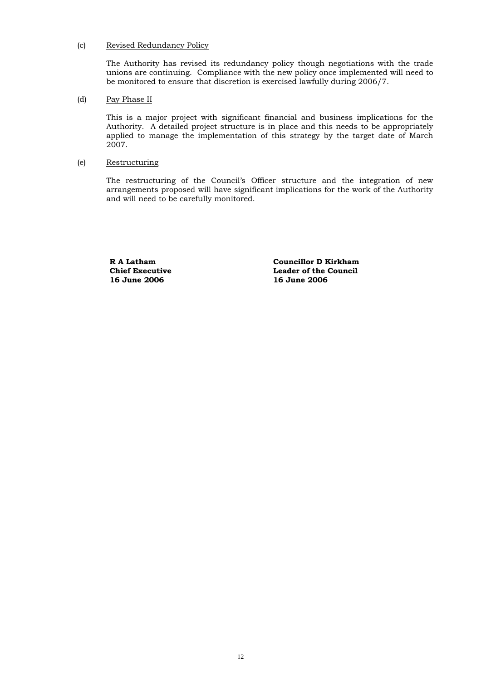#### (c) Revised Redundancy Policy

The Authority has revised its redundancy policy though negotiations with the trade unions are continuing. Compliance with the new policy once implemented will need to be monitored to ensure that discretion is exercised lawfully during 2006/7.

#### (d) Pay Phase II

 This is a major project with significant financial and business implications for the Authority. A detailed project structure is in place and this needs to be appropriately applied to manage the implementation of this strategy by the target date of March 2007.

#### (e) Restructuring

 The restructuring of the Council's Officer structure and the integration of new arrangements proposed will have significant implications for the work of the Authority and will need to be carefully monitored.

**R A Latham Chief Executive 16 June 2006**

**Councillor D Kirkham Leader of the Council 16 June 2006**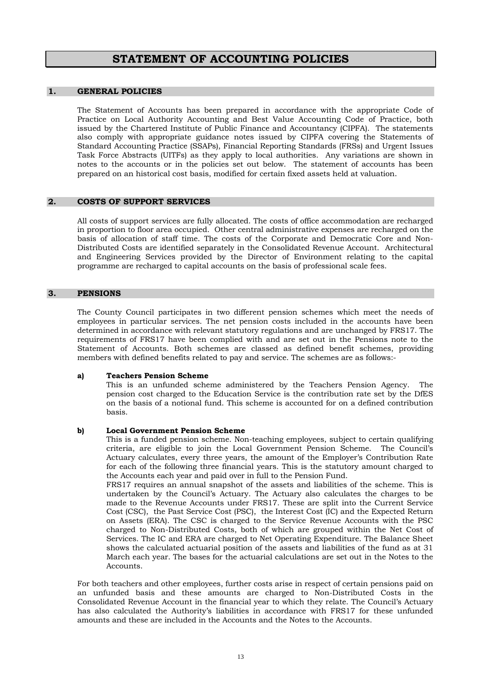### **STATEMENT OF ACCOUNTING POLICIES**

#### **1. GENERAL POLICIES**

The Statement of Accounts has been prepared in accordance with the appropriate Code of Practice on Local Authority Accounting and Best Value Accounting Code of Practice, both issued by the Chartered Institute of Public Finance and Accountancy (CIPFA). The statements also comply with appropriate guidance notes issued by CIPFA covering the Statements of Standard Accounting Practice (SSAPs), Financial Reporting Standards (FRSs) and Urgent Issues Task Force Abstracts (UITFs) as they apply to local authorities. Any variations are shown in notes to the accounts or in the policies set out below. The statement of accounts has been prepared on an historical cost basis, modified for certain fixed assets held at valuation.

#### **2. COSTS OF SUPPORT SERVICES**

 All costs of support services are fully allocated. The costs of office accommodation are recharged in proportion to floor area occupied. Other central administrative expenses are recharged on the basis of allocation of staff time. The costs of the Corporate and Democratic Core and Non-Distributed Costs are identified separately in the Consolidated Revenue Account. Architectural and Engineering Services provided by the Director of Environment relating to the capital programme are recharged to capital accounts on the basis of professional scale fees.

#### **3. PENSIONS**

 The County Council participates in two different pension schemes which meet the needs of employees in particular services. The net pension costs included in the accounts have been determined in accordance with relevant statutory regulations and are unchanged by FRS17. The requirements of FRS17 have been complied with and are set out in the Pensions note to the Statement of Accounts. Both schemes are classed as defined benefit schemes, providing members with defined benefits related to pay and service. The schemes are as follows:-

#### **a) Teachers Pension Scheme**

This is an unfunded scheme administered by the Teachers Pension Agency. The pension cost charged to the Education Service is the contribution rate set by the DfES on the basis of a notional fund. This scheme is accounted for on a defined contribution basis.

#### **b) Local Government Pension Scheme**

This is a funded pension scheme. Non-teaching employees, subject to certain qualifying criteria, are eligible to join the Local Government Pension Scheme. The Council's Actuary calculates, every three years, the amount of the Employer's Contribution Rate for each of the following three financial years. This is the statutory amount charged to the Accounts each year and paid over in full to the Pension Fund.

 FRS17 requires an annual snapshot of the assets and liabilities of the scheme. This is undertaken by the Council's Actuary. The Actuary also calculates the charges to be made to the Revenue Accounts under FRS17. These are split into the Current Service Cost (CSC), the Past Service Cost (PSC), the Interest Cost (IC) and the Expected Return on Assets (ERA). The CSC is charged to the Service Revenue Accounts with the PSC charged to Non-Distributed Costs, both of which are grouped within the Net Cost of Services. The IC and ERA are charged to Net Operating Expenditure. The Balance Sheet shows the calculated actuarial position of the assets and liabilities of the fund as at 31 March each year. The bases for the actuarial calculations are set out in the Notes to the Accounts.

For both teachers and other employees, further costs arise in respect of certain pensions paid on an unfunded basis and these amounts are charged to Non-Distributed Costs in the Consolidated Revenue Account in the financial year to which they relate. The Council's Actuary has also calculated the Authority's liabilities in accordance with FRS17 for these unfunded amounts and these are included in the Accounts and the Notes to the Accounts.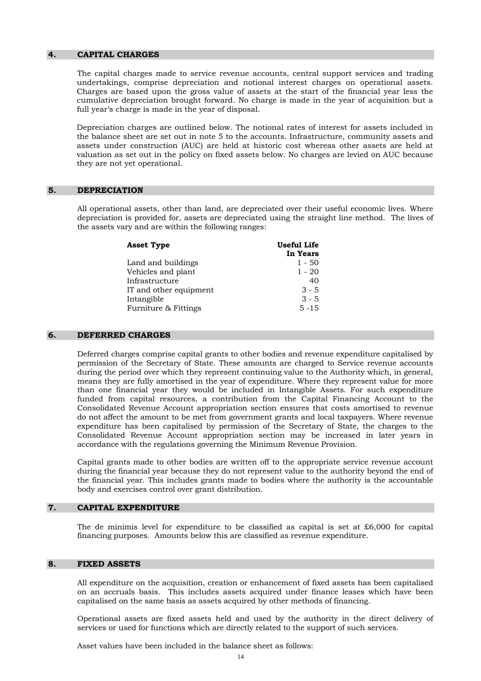#### **4. CAPITAL CHARGES**

The capital charges made to service revenue accounts, central support services and trading undertakings, comprise depreciation and notional interest charges on operational assets. Charges are based upon the gross value of assets at the start of the financial year less the cumulative depreciation brought forward. No charge is made in the year of acquisition but a full year's charge is made in the year of disposal.

Depreciation charges are outlined below. The notional rates of interest for assets included in the balance sheet are set out in note 5 to the accounts. Infrastructure, community assets and assets under construction (AUC) are held at historic cost whereas other assets are held at valuation as set out in the policy on fixed assets below. No charges are levied on AUC because they are not yet operational.

#### **5. DEPRECIATION**

 All operational assets, other than land, are depreciated over their useful economic lives. Where depreciation is provided for, assets are depreciated using the straight line method. The lives of the assets vary and are within the following ranges:

| <b>Asset Type</b>      | Useful Life |
|------------------------|-------------|
|                        | In Years    |
| Land and buildings     | $1 - 50$    |
| Vehicles and plant     | $1 - 20$    |
| Infrastructure         | 40          |
| IT and other equipment | $3 - 5$     |
| Intangible             | $3 - 5$     |
| Furniture & Fittings   | $5 - 15$    |

#### **6. DEFERRED CHARGES**

 Deferred charges comprise capital grants to other bodies and revenue expenditure capitalised by permission of the Secretary of State. These amounts are charged to Service revenue accounts during the period over which they represent continuing value to the Authority which, in general, means they are fully amortised in the year of expenditure. Where they represent value for more than one financial year they would be included in Intangible Assets. For such expenditure funded from capital resources, a contribution from the Capital Financing Account to the Consolidated Revenue Account appropriation section ensures that costs amortised to revenue do not affect the amount to be met from government grants and local taxpayers. Where revenue expenditure has been capitalised by permission of the Secretary of State, the charges to the Consolidated Revenue Account appropriation section may be increased in later years in accordance with the regulations governing the Minimum Revenue Provision.

 Capital grants made to other bodies are written off to the appropriate service revenue account during the financial year because they do not represent value to the authority beyond the end of the financial year. This includes grants made to bodies where the authority is the accountable body and exercises control over grant distribution.

#### **7. CAPITAL EXPENDITURE**

The de minimis level for expenditure to be classified as capital is set at  $\text{\pounds}6,000$  for capital financing purposes. Amounts below this are classified as revenue expenditure.

#### **8. FIXED ASSETS**

All expenditure on the acquisition, creation or enhancement of fixed assets has been capitalised on an accruals basis. This includes assets acquired under finance leases which have been capitalised on the same basis as assets acquired by other methods of financing.

 Operational assets are fixed assets held and used by the authority in the direct delivery of services or used for functions which are directly related to the support of such services.

Asset values have been included in the balance sheet as follows: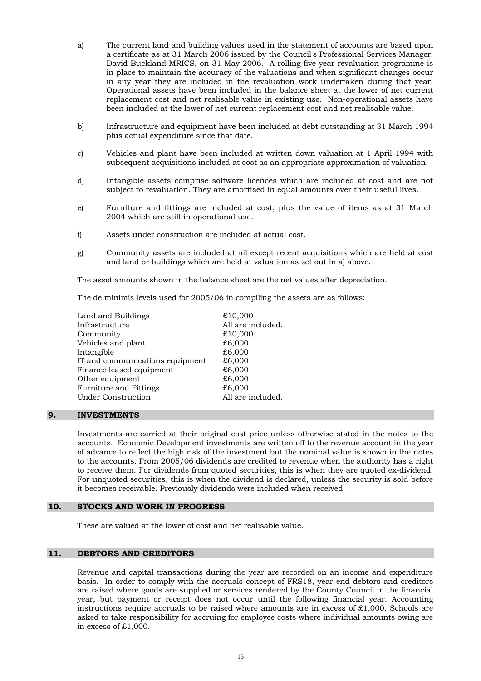- a) The current land and building values used in the statement of accounts are based upon a certificate as at 31 March 2006 issued by the Council's Professional Services Manager, David Buckland MRICS, on 31 May 2006. A rolling five year revaluation programme is in place to maintain the accuracy of the valuations and when significant changes occur in any year they are included in the revaluation work undertaken during that year. Operational assets have been included in the balance sheet at the lower of net current replacement cost and net realisable value in existing use. Non-operational assets have been included at the lower of net current replacement cost and net realisable value.
- b) Infrastructure and equipment have been included at debt outstanding at 31 March 1994 plus actual expenditure since that date.
- c) Vehicles and plant have been included at written down valuation at 1 April 1994 with subsequent acquisitions included at cost as an appropriate approximation of valuation.
- d) Intangible assets comprise software licences which are included at cost and are not subject to revaluation. They are amortised in equal amounts over their useful lives.
- e) Furniture and fittings are included at cost, plus the value of items as at 31 March 2004 which are still in operational use.
- f) Assets under construction are included at actual cost.
- g) Community assets are included at nil except recent acquisitions which are held at cost and land or buildings which are held at valuation as set out in a) above.

The asset amounts shown in the balance sheet are the net values after depreciation.

The de minimis levels used for 2005/06 in compiling the assets are as follows:

| Land and Buildings              | £10,000           |
|---------------------------------|-------------------|
| Infrastructure                  | All are included. |
| Community                       | £10,000           |
| Vehicles and plant              | £6,000            |
| Intangible                      | £6,000            |
| IT and communications equipment | £6,000            |
| Finance leased equipment        | £6,000            |
| Other equipment                 | £6,000            |
| Furniture and Fittings          | £6,000            |
| <b>Under Construction</b>       | All are included. |
|                                 |                   |

#### **9. INVESTMENTS**

 Investments are carried at their original cost price unless otherwise stated in the notes to the accounts. Economic Development investments are written off to the revenue account in the year of advance to reflect the high risk of the investment but the nominal value is shown in the notes to the accounts. From 2005/06 dividends are credited to revenue when the authority has a right to receive them. For dividends from quoted securities, this is when they are quoted ex-dividend. For unquoted securities, this is when the dividend is declared, unless the security is sold before it becomes receivable. Previously dividends were included when received.

#### **10. STOCKS AND WORK IN PROGRESS**

These are valued at the lower of cost and net realisable value.

#### **11. DEBTORS AND CREDITORS**

 Revenue and capital transactions during the year are recorded on an income and expenditure basis. In order to comply with the accruals concept of FRS18, year end debtors and creditors are raised where goods are supplied or services rendered by the County Council in the financial year, but payment or receipt does not occur until the following financial year. Accounting instructions require accruals to be raised where amounts are in excess of  $\text{\pounds}1,000$ . Schools are asked to take responsibility for accruing for employee costs where individual amounts owing are in excess of £1,000.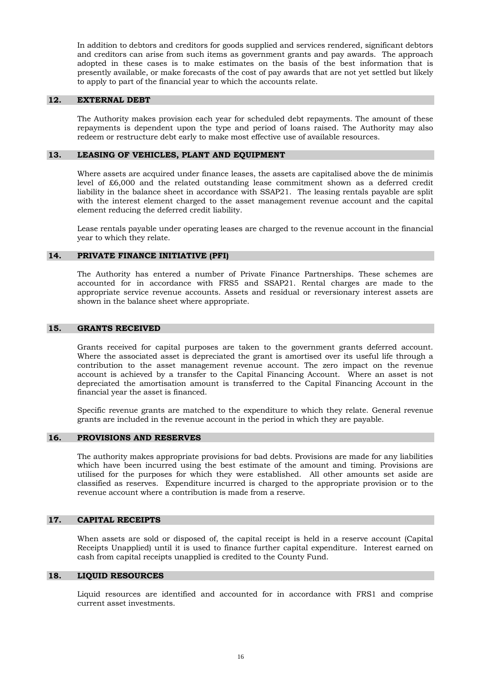In addition to debtors and creditors for goods supplied and services rendered, significant debtors and creditors can arise from such items as government grants and pay awards. The approach adopted in these cases is to make estimates on the basis of the best information that is presently available, or make forecasts of the cost of pay awards that are not yet settled but likely to apply to part of the financial year to which the accounts relate.

#### **12. EXTERNAL DEBT**

 The Authority makes provision each year for scheduled debt repayments. The amount of these repayments is dependent upon the type and period of loans raised. The Authority may also redeem or restructure debt early to make most effective use of available resources.

#### **13. LEASING OF VEHICLES, PLANT AND EQUIPMENT**

 Where assets are acquired under finance leases, the assets are capitalised above the de minimis level of £6,000 and the related outstanding lease commitment shown as a deferred credit liability in the balance sheet in accordance with SSAP21. The leasing rentals payable are split with the interest element charged to the asset management revenue account and the capital element reducing the deferred credit liability.

 Lease rentals payable under operating leases are charged to the revenue account in the financial year to which they relate.

#### **14. PRIVATE FINANCE INITIATIVE (PFI)**

 The Authority has entered a number of Private Finance Partnerships. These schemes are accounted for in accordance with FRS5 and SSAP21. Rental charges are made to the appropriate service revenue accounts. Assets and residual or reversionary interest assets are shown in the balance sheet where appropriate.

#### **15. GRANTS RECEIVED**

 Grants received for capital purposes are taken to the government grants deferred account. Where the associated asset is depreciated the grant is amortised over its useful life through a contribution to the asset management revenue account. The zero impact on the revenue account is achieved by a transfer to the Capital Financing Account. Where an asset is not depreciated the amortisation amount is transferred to the Capital Financing Account in the financial year the asset is financed.

 Specific revenue grants are matched to the expenditure to which they relate. General revenue grants are included in the revenue account in the period in which they are payable.

#### **16. PROVISIONS AND RESERVES**

 The authority makes appropriate provisions for bad debts. Provisions are made for any liabilities which have been incurred using the best estimate of the amount and timing. Provisions are utilised for the purposes for which they were established. All other amounts set aside are classified as reserves. Expenditure incurred is charged to the appropriate provision or to the revenue account where a contribution is made from a reserve.

#### **17. CAPITAL RECEIPTS**

 When assets are sold or disposed of, the capital receipt is held in a reserve account (Capital Receipts Unapplied) until it is used to finance further capital expenditure. Interest earned on cash from capital receipts unapplied is credited to the County Fund.

#### **18. LIQUID RESOURCES**

 Liquid resources are identified and accounted for in accordance with FRS1 and comprise current asset investments.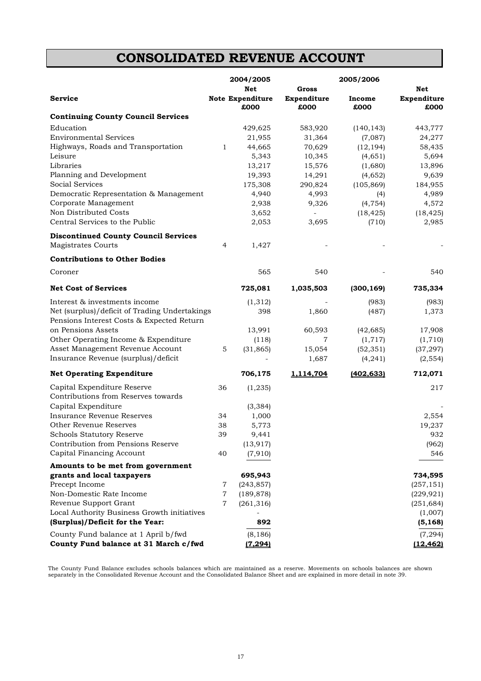## **CONSOLIDATED REVENUE ACCOUNT**

|                                                                          |                | 2004/2005                       |                          | 2005/2006      |                     |
|--------------------------------------------------------------------------|----------------|---------------------------------|--------------------------|----------------|---------------------|
|                                                                          |                | Net                             | Gross                    |                | Net                 |
| Service                                                                  |                | <b>Note Expenditure</b><br>£000 | Expenditure<br>£000      | Income<br>£000 | Expenditure<br>£000 |
| <b>Continuing County Council Services</b>                                |                |                                 |                          |                |                     |
| Education                                                                |                | 429,625                         | 583,920                  | (140, 143)     | 443,777             |
| <b>Environmental Services</b>                                            |                | 21,955                          | 31,364                   | (7,087)        | 24,277              |
| Highways, Roads and Transportation                                       | 1              | 44,665                          | 70,629                   | (12, 194)      | 58,435              |
| Leisure                                                                  |                | 5,343                           | 10,345                   | (4,651)        | 5,694               |
| Libraries                                                                |                | 13,217                          | 15,576                   | (1,680)        | 13,896              |
| Planning and Development                                                 |                | 19,393                          | 14,291                   | (4,652)        | 9,639               |
| Social Services                                                          |                | 175,308                         | 290,824                  | (105, 869)     | 184,955             |
| Democratic Representation & Management                                   |                | 4,940                           | 4,993                    | (4)            | 4,989               |
| Corporate Management                                                     |                | 2,938                           | 9,326                    | (4, 754)       | 4,572               |
| Non Distributed Costs                                                    |                | 3,652                           | $\overline{\phantom{a}}$ | (18, 425)      | (18, 425)           |
| Central Services to the Public                                           |                | 2,053                           | 3,695                    | (710)          | 2,985               |
| <b>Discontinued County Council Services</b><br><b>Magistrates Courts</b> | $\overline{4}$ | 1,427                           |                          |                |                     |
|                                                                          |                |                                 |                          |                |                     |
| <b>Contributions to Other Bodies</b>                                     |                |                                 |                          |                |                     |
| Coroner                                                                  |                | 565                             | 540                      |                | 540                 |
| <b>Net Cost of Services</b>                                              |                | 725,081                         | 1,035,503                | (300, 169)     | 735,334             |
| Interest & investments income                                            |                | (1,312)                         |                          | (983)          | (983)               |
| Net (surplus)/deficit of Trading Undertakings                            |                | 398                             | 1,860                    | (487)          | 1,373               |
| Pensions Interest Costs & Expected Return                                |                |                                 |                          |                |                     |
| on Pensions Assets                                                       |                | 13,991                          | 60,593                   | (42, 685)      | 17,908              |
| Other Operating Income & Expenditure                                     |                | (118)                           | 7                        | (1,717)        | (1,710)             |
| Asset Management Revenue Account                                         | 5              | (31, 865)                       | 15,054                   | (52, 351)      | (37, 297)           |
| Insurance Revenue (surplus)/deficit                                      |                |                                 | 1,687                    | (4, 241)       | (2, 554)            |
| <b>Net Operating Expenditure</b>                                         |                | 706,175                         | 1,114,704                | (402,633)      | 712,071             |
| Capital Expenditure Reserve                                              | 36             | (1, 235)                        |                          |                | 217                 |
| Contributions from Reserves towards                                      |                |                                 |                          |                |                     |
| Capital Expenditure                                                      |                | (3, 384)                        |                          |                |                     |
| Insurance Revenue Reserves                                               | 34             | 1,000                           |                          |                | 2,554               |
| <b>Other Revenue Reserves</b>                                            | 38             | 5,773                           |                          |                | 19,237              |
| Schools Statutory Reserve                                                | 39             | 9,441                           |                          |                | 932                 |
| Contribution from Pensions Reserve                                       |                | (13, 917)                       |                          |                | (962)               |
| Capital Financing Account                                                | 40             | (7,910)                         |                          |                | 546                 |
| Amounts to be met from government                                        |                |                                 |                          |                |                     |
| grants and local taxpayers                                               |                | 695,943                         |                          |                | 734,595             |
| Precept Income                                                           | 7              | (243, 857)                      |                          |                | (257, 151)          |
| Non-Domestic Rate Income                                                 | $\overline{7}$ | (189, 878)                      |                          |                | (229, 921)          |
| Revenue Support Grant                                                    | 7              | (261, 316)                      |                          |                | (251, 684)          |
| Local Authority Business Growth initiatives                              |                |                                 |                          |                | (1,007)             |
| (Surplus)/Deficit for the Year:                                          |                | 892                             |                          |                | (5, 168)            |
| County Fund balance at 1 April b/fwd                                     |                | (8, 186)                        |                          |                | (7, 294)            |
| County Fund balance at 31 March c/fwd                                    |                | (7, 294)                        |                          |                | (12, 462)           |

The County Fund Balance excludes schools balances which are maintained as a reserve. Movements on schools balances are shown separately in the Consolidated Revenue Account and the Consolidated Balance Sheet and are explained in more detail in note 39.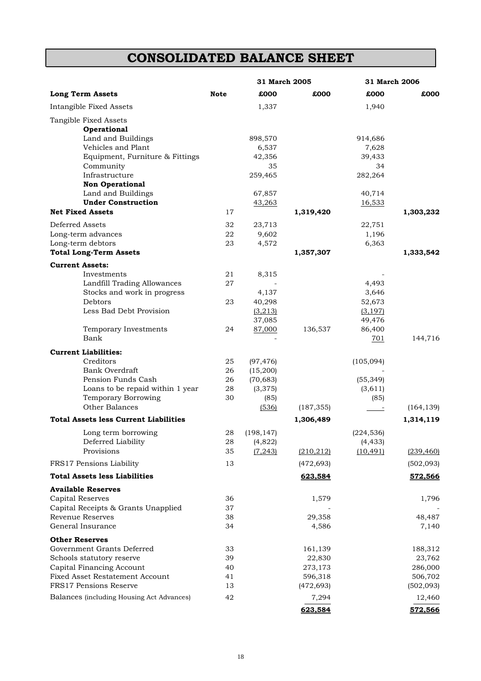## **CONSOLIDATED BALANCE SHEET**

|                                                        |             | 31 March 2005         |            | 31 March 2006        |            |
|--------------------------------------------------------|-------------|-----------------------|------------|----------------------|------------|
| <b>Long Term Assets</b>                                | <b>Note</b> | £000                  | £000       | £000                 | £000       |
| Intangible Fixed Assets                                |             | 1,337                 |            | 1,940                |            |
| Tangible Fixed Assets                                  |             |                       |            |                      |            |
| <b>Operational</b>                                     |             |                       |            |                      |            |
| Land and Buildings                                     |             | 898,570               |            | 914,686              |            |
| Vehicles and Plant                                     |             | 6,537                 |            | 7,628                |            |
| Equipment, Furniture & Fittings                        |             | 42,356                |            | 39,433               |            |
| Community                                              |             | 35                    |            | 34                   |            |
| Infrastructure<br><b>Non Operational</b>               |             | 259,465               |            | 282,264              |            |
| Land and Buildings                                     |             | 67,857                |            | 40,714               |            |
| <b>Under Construction</b>                              |             | 43,263                |            | 16,533               |            |
| <b>Net Fixed Assets</b>                                | 17          |                       | 1,319,420  |                      | 1,303,232  |
| Deferred Assets                                        | 32          | 23,713                |            | 22,751               |            |
| Long-term advances                                     | 22          | 9,602                 |            | 1,196                |            |
| Long-term debtors                                      | 23          | 4,572                 |            | 6,363                |            |
| <b>Total Long-Term Assets</b>                          |             |                       | 1,357,307  |                      | 1,333,542  |
| <b>Current Assets:</b>                                 |             |                       |            |                      |            |
| Investments                                            | 21          | 8,315                 |            |                      |            |
| Landfill Trading Allowances                            | 27          |                       |            | 4,493                |            |
| Stocks and work in progress                            |             | 4,137                 |            | 3,646                |            |
| Debtors                                                | 23          | 40,298                |            | 52,673               |            |
| Less Bad Debt Provision                                |             | (3,213)               |            | (3, 197)             |            |
|                                                        |             | 37,085                |            | 49,476               |            |
| Temporary Investments                                  | 24          | 87,000                | 136,537    | 86,400               |            |
| Bank                                                   |             |                       |            | 701                  | 144,716    |
| <b>Current Liabilities:</b>                            |             |                       |            |                      |            |
| Creditors                                              | 25          | (97, 476)             |            | (105,094)            |            |
| <b>Bank Overdraft</b>                                  | 26          | (15,200)              |            |                      |            |
| Pension Funds Cash<br>Loans to be repaid within 1 year | 26<br>28    | (70, 683)<br>(3, 375) |            | (55, 349)<br>(3,611) |            |
| <b>Temporary Borrowing</b>                             | 30          | (85)                  |            | (85)                 |            |
| Other Balances                                         |             | (536)                 | (187, 355) |                      | (164, 139) |
| <b>Total Assets less Current Liabilities</b>           |             |                       | 1,306,489  |                      | 1,314,119  |
| Long term borrowing                                    | 28          | (198, 147)            |            | (224, 536)           |            |
| Deferred Liability                                     | 28          | (4,822)               |            | (4, 433)             |            |
| Provisions                                             | 35          | (7, 243)              | (210, 212) | (10, 491)            | (239, 460) |
| FRS17 Pensions Liability                               | 13          |                       | (472, 693) |                      | (502,093)  |
| <b>Total Assets less Liabilities</b>                   |             |                       | 623,584    |                      | 572,566    |
| <b>Available Reserves</b>                              |             |                       |            |                      |            |
| Capital Reserves                                       | 36          |                       | 1,579      |                      | 1,796      |
| Capital Receipts & Grants Unapplied                    | 37          |                       |            |                      |            |
| Revenue Reserves                                       | 38          |                       | 29,358     |                      | 48,487     |
| General Insurance                                      | 34          |                       | 4,586      |                      | 7,140      |
| <b>Other Reserves</b>                                  |             |                       |            |                      |            |
| Government Grants Deferred                             | 33          |                       | 161,139    |                      | 188,312    |
| Schools statutory reserve                              | 39          |                       | 22,830     |                      | 23,762     |
| Capital Financing Account                              | 40          |                       | 273,173    |                      | 286,000    |
| Fixed Asset Restatement Account                        | 41          |                       | 596,318    |                      | 506,702    |
| <b>FRS17 Pensions Reserve</b>                          | 13          |                       | (472, 693) |                      | (502,093)  |
| Balances (including Housing Act Advances)              | 42          |                       | 7,294      |                      | 12,460     |
|                                                        |             |                       | 623,584    |                      | 572,566    |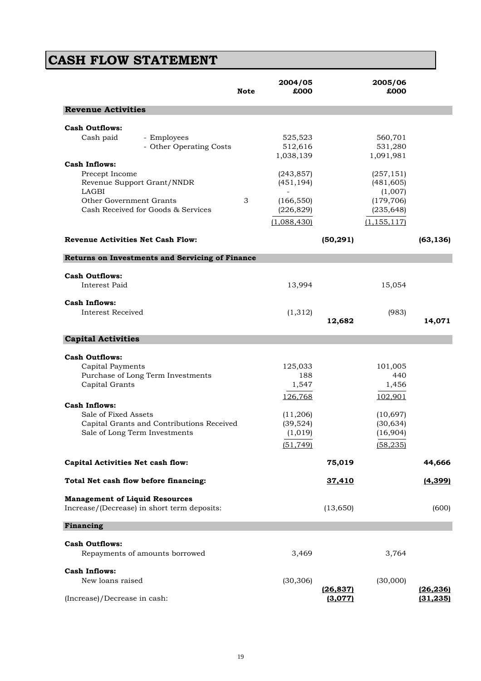# **CASH FLOW STATEMENT**

|                                                                                                             |                                                                                                                 | <b>Note</b> | 2004/05<br>£000                                                                      |                      | 2005/06<br>£000                                                                       |                        |
|-------------------------------------------------------------------------------------------------------------|-----------------------------------------------------------------------------------------------------------------|-------------|--------------------------------------------------------------------------------------|----------------------|---------------------------------------------------------------------------------------|------------------------|
| <b>Revenue Activities</b>                                                                                   |                                                                                                                 |             |                                                                                      |                      |                                                                                       |                        |
| <b>Cash Outflows:</b><br>Cash paid                                                                          | - Employees<br>- Other Operating Costs                                                                          |             | 525,523<br>512,616<br>1,038,139                                                      |                      | 560,701<br>531,280<br>1,091,981                                                       |                        |
| <b>Cash Inflows:</b><br>Precept Income<br>LAGBI<br>Other Government Grants                                  | Revenue Support Grant/NNDR<br>Cash Received for Goods & Services                                                | 3           | (243, 857)<br>(451, 194)<br>(166, 550)<br>(226, 829)<br>(1,088,430)                  |                      | (257, 151)<br>(481, 605)<br>(1,007)<br>(179, 706)<br>(235, 648)<br>(1, 155, 117)      |                        |
| <b>Revenue Activities Net Cash Flow:</b>                                                                    |                                                                                                                 |             |                                                                                      | (50, 291)            |                                                                                       | (63, 136)              |
|                                                                                                             | Returns on Investments and Servicing of Finance                                                                 |             |                                                                                      |                      |                                                                                       |                        |
| <b>Cash Outflows:</b><br>Interest Paid                                                                      |                                                                                                                 |             | 13,994                                                                               |                      | 15,054                                                                                |                        |
| <b>Cash Inflows:</b><br>Interest Received                                                                   |                                                                                                                 |             | (1,312)                                                                              | 12,682               | (983)                                                                                 | 14,071                 |
| <b>Capital Activities</b>                                                                                   |                                                                                                                 |             |                                                                                      |                      |                                                                                       |                        |
| <b>Cash Outflows:</b><br>Capital Payments<br>Capital Grants<br><b>Cash Inflows:</b><br>Sale of Fixed Assets | Purchase of Long Term Investments<br>Capital Grants and Contributions Received<br>Sale of Long Term Investments |             | 125,033<br>188<br>1,547<br>126,768<br>(11,206)<br>(39, 524)<br>(1, 019)<br>(51, 749) |                      | 101,005<br>440<br>1,456<br>102,901<br>(10, 697)<br>(30, 634)<br>(16,904)<br>(58, 235) |                        |
| Capital Activities Net cash flow:                                                                           |                                                                                                                 |             |                                                                                      | 75,019               |                                                                                       | 44,666                 |
| Total Net cash flow before financing:                                                                       |                                                                                                                 |             |                                                                                      | 37,410               |                                                                                       | (4, 399)               |
| <b>Management of Liquid Resources</b>                                                                       | Increase/(Decrease) in short term deposits:                                                                     |             |                                                                                      | (13, 650)            |                                                                                       | (600)                  |
| Financing                                                                                                   |                                                                                                                 |             |                                                                                      |                      |                                                                                       |                        |
| <b>Cash Outflows:</b>                                                                                       | Repayments of amounts borrowed                                                                                  |             | 3,469                                                                                |                      | 3,764                                                                                 |                        |
| <b>Cash Inflows:</b><br>New loans raised                                                                    |                                                                                                                 |             | (30, 306)                                                                            | (26, 837)<br>(3,077) | (30,000)                                                                              | (26, 236)<br>(31, 235) |
| (Increase)/Decrease in cash:                                                                                |                                                                                                                 |             |                                                                                      |                      |                                                                                       |                        |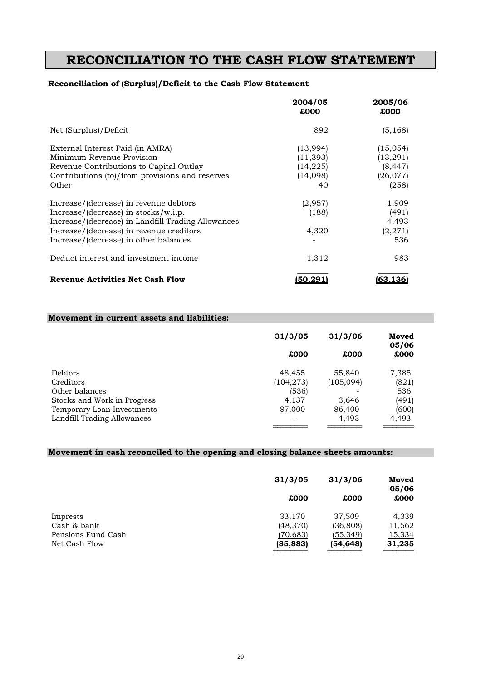## **RECONCILIATION TO THE CASH FLOW STATEMENT**

### **Reconciliation of (Surplus)/Deficit to the Cash Flow Statement**

|                                                                                                                                                                                                                             | 2004/05<br>£000                                     | 2005/06<br>£000                                         |
|-----------------------------------------------------------------------------------------------------------------------------------------------------------------------------------------------------------------------------|-----------------------------------------------------|---------------------------------------------------------|
| Net (Surplus)/Deficit                                                                                                                                                                                                       | 892                                                 | (5, 168)                                                |
| External Interest Paid (in AMRA)<br>Minimum Revenue Provision<br>Revenue Contributions to Capital Outlay<br>Contributions (to)/from provisions and reserves<br>Other                                                        | (13,994)<br>(11,393)<br>(14, 225)<br>(14,098)<br>40 | (15,054)<br>(13, 291)<br>(8, 447)<br>(26, 077)<br>(258) |
| Increase/(decrease) in revenue debtors<br>$Increase/(decrease)$ in stocks/w.i.p.<br>Increase/(decrease) in Landfill Trading Allowances<br>Increase/(decrease) in revenue creditors<br>Increase/(decrease) in other balances | (2,957)<br>(188)<br>4,320                           | 1,909<br>(491)<br>4,493<br>(2, 271)<br>536              |
| Deduct interest and investment income                                                                                                                                                                                       | 1,312                                               | 983                                                     |
| <b>Revenue Activities Net Cash Flow</b>                                                                                                                                                                                     | (50,291)                                            | (63,136)                                                |

#### **Movement in current assets and liabilities:**

|                             | 31/3/05                  | 31/3/06   | Moved<br>05/06 |
|-----------------------------|--------------------------|-----------|----------------|
|                             | £000                     | £000      | £000           |
| <b>Debtors</b>              | 48,455                   | 55,840    | 7,385          |
| Creditors                   | (104, 273)               | (105,094) | (821)          |
| Other balances              | (536)                    |           | 536            |
| Stocks and Work in Progress | 4.137                    | 3,646     | (491)          |
| Temporary Loan Investments  | 87,000                   | 86,400    | (600)          |
| Landfill Trading Allowances | $\overline{\phantom{0}}$ | 4,493     | 4,493          |

### **Movement in cash reconciled to the opening and closing balance sheets amounts:**

|                    | 31/3/05   | 31/3/06   | Moved<br>05/06 |  |
|--------------------|-----------|-----------|----------------|--|
|                    | £000      | £000      | £000           |  |
| Imprests           | 33,170    | 37,509    | 4,339          |  |
| Cash & bank        | (48,370)  | (36, 808) | 11,562         |  |
| Pensions Fund Cash | (70, 683) | (55, 349) | 15,334         |  |
| Net Cash Flow      | (85, 883) | (54,648)  | 31,235         |  |
|                    |           |           |                |  |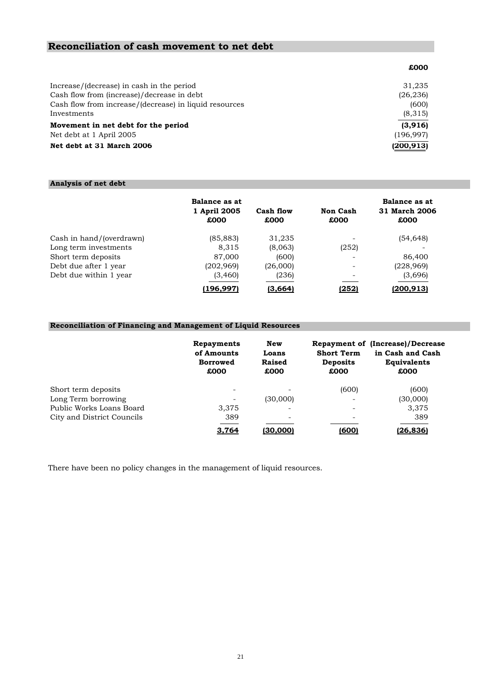#### **Reconciliation of cash movement to net debt**

|                                                        | £000       |
|--------------------------------------------------------|------------|
| Increase/(decrease) in cash in the period              | 31,235     |
| Cash flow from (increase)/decrease in debt             | (26, 236)  |
| Cash flow from increase/(decrease) in liquid resources | (600)      |
| Investments                                            | (8,315)    |
| Movement in net debt for the period                    | (3,916)    |
| Net debt at 1 April 2005                               | (196, 997) |
| Net debt at 31 March 2006                              | (200,913)  |

### **Analysis of net debt**

|                          | Balance as at<br>1 April 2005<br>£000 | Cash flow<br>£000 | <b>Non Cash</b><br>£000 | Balance as at<br>31 March 2006<br>£000 |
|--------------------------|---------------------------------------|-------------------|-------------------------|----------------------------------------|
| Cash in hand/(overdrawn) | (85, 883)                             | 31,235            |                         | (54, 648)                              |
| Long term investments    | 8,315                                 | (8,063)           | (252)                   |                                        |
| Short term deposits      | 87,000                                | (600)             |                         | 86,400                                 |
| Debt due after 1 year    | (202, 969)                            | (26,000)          | ۰                       | (228,969)                              |
| Debt due within 1 year   | (3,460)                               | (236)             |                         | (3,696)                                |
|                          | (196,997)                             | (3,664)           | (252)                   | (200, 913)                             |

### **Reconciliation of Financing and Management of Liquid Resources**

|                            | Repayments<br>of Amounts<br><b>Borrowed</b><br>£000 | New<br>Loans<br>Raised<br>£000 | <b>Short Term</b><br><b>Deposits</b><br>£000 | <b>Repayment of (Increase)/Decrease</b><br>in Cash and Cash<br><b>Equivalents</b><br>£000 |
|----------------------------|-----------------------------------------------------|--------------------------------|----------------------------------------------|-------------------------------------------------------------------------------------------|
| Short term deposits        |                                                     |                                | (600)                                        | (600)                                                                                     |
| Long Term borrowing        |                                                     | (30,000)                       |                                              | (30,000)                                                                                  |
| Public Works Loans Board   | 3,375                                               | ۰                              | ۰                                            | 3,375                                                                                     |
| City and District Councils | 389                                                 | $\overline{\phantom{a}}$       | ۰                                            | 389                                                                                       |
|                            | 3.764                                               | <u>(30.000)</u>                | <u>(600)</u>                                 | <u>(26.836)</u>                                                                           |

There have been no policy changes in the management of liquid resources.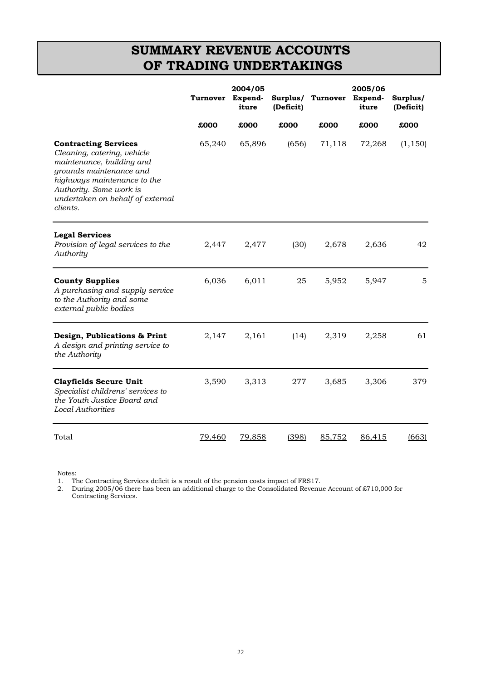## **SUMMARY REVENUE ACCOUNTS OF TRADING UNDERTAKINGS**

|                                                                                                                                                                                                                              | Turnover      | 2004/05<br>Expend-<br>iture | Surplus/<br>(Deficit) | Turnover | 2005/06<br>Expend-<br>iture | Surplus/<br>(Deficit) |
|------------------------------------------------------------------------------------------------------------------------------------------------------------------------------------------------------------------------------|---------------|-----------------------------|-----------------------|----------|-----------------------------|-----------------------|
|                                                                                                                                                                                                                              | £000          | £000                        | £000                  | £000     | £000                        | £000                  |
| <b>Contracting Services</b><br>Cleaning, catering, vehicle<br>maintenance, building and<br>grounds maintenance and<br>highways maintenance to the<br>Authority. Some work is<br>undertaken on behalf of external<br>clients. | 65,240        | 65,896                      | (656)                 | 71,118   | 72,268                      | (1, 150)              |
| <b>Legal Services</b><br>Provision of legal services to the<br>Authority                                                                                                                                                     | 2,447         | 2,477                       | (30)                  | 2,678    | 2,636                       | 42                    |
| <b>County Supplies</b><br>A purchasing and supply service<br>to the Authority and some<br>external public bodies                                                                                                             | 6,036         | 6,011                       | 25                    | 5,952    | 5,947                       | 5                     |
| Design, Publications & Print<br>A design and printing service to<br>the Authority                                                                                                                                            | 2,147         | 2,161                       | (14)                  | 2,319    | 2,258                       | 61                    |
| <b>Clayfields Secure Unit</b><br>Specialist childrens' services to<br>the Youth Justice Board and<br><b>Local Authorities</b>                                                                                                | 3,590         | 3,313                       | 277                   | 3,685    | 3,306                       | 379                   |
| Total                                                                                                                                                                                                                        | <u>79,460</u> | 79,858                      | (398)                 | 85,752   | 86,415                      | (663)                 |

Notes:

1. The Contracting Services deficit is a result of the pension costs impact of FRS17.

2. During 2005/06 there has been an additional charge to the Consolidated Revenue Account of £710,000 for Contracting Services.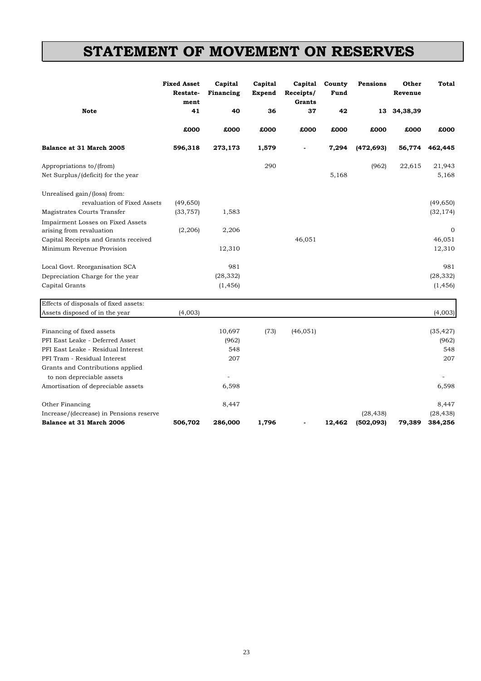## **STATEMENT OF MOVEMENT ON RESERVES**

|                                                                                                       | <b>Fixed Asset</b><br>Restate-<br>ment | Capital<br>Financing  | Capital<br><b>Expend</b> | Capital<br>Receipts/<br><b>Grants</b> | County<br>Fund | Pensions   | Other<br>Revenue | Total                  |
|-------------------------------------------------------------------------------------------------------|----------------------------------------|-----------------------|--------------------------|---------------------------------------|----------------|------------|------------------|------------------------|
| <b>Note</b>                                                                                           | 41                                     | 40                    | 36                       | 37                                    | 42             | 13         | 34,38,39         |                        |
|                                                                                                       | £000                                   | £000                  | £000                     | £000                                  | £000           | £000       | £000             | £000                   |
| Balance at 31 March 2005                                                                              | 596,318                                | 273,173               | 1,579                    |                                       | 7,294          | (472, 693) | 56,774           | 462,445                |
| Appropriations to/(from)<br>Net Surplus/(deficit) for the year                                        |                                        |                       | 290                      |                                       | 5,168          | (962)      | 22,615           | 21,943<br>5,168        |
| Unrealised gain/(loss) from:                                                                          |                                        |                       |                          |                                       |                |            |                  |                        |
| revaluation of Fixed Assets<br>Magistrates Courts Transfer                                            | (49, 650)<br>(33, 757)                 | 1,583                 |                          |                                       |                |            |                  | (49, 650)<br>(32, 174) |
| Impairment Losses on Fixed Assets<br>arising from revaluation<br>Capital Receipts and Grants received | (2, 206)                               | 2,206                 |                          | 46,051                                |                |            |                  | $\mathbf 0$<br>46,051  |
| Minimum Revenue Provision                                                                             |                                        | 12,310                |                          |                                       |                |            |                  | 12,310                 |
| Local Govt. Reorganisation SCA                                                                        |                                        | 981                   |                          |                                       |                |            |                  | 981                    |
| Depreciation Charge for the year<br>Capital Grants                                                    |                                        | (28, 332)<br>(1, 456) |                          |                                       |                |            |                  | (28, 332)<br>(1, 456)  |
| Effects of disposals of fixed assets:                                                                 |                                        |                       |                          |                                       |                |            |                  |                        |
| Assets disposed of in the year                                                                        | (4,003)                                |                       |                          |                                       |                |            |                  | (4,003)                |
| Financing of fixed assets                                                                             |                                        | 10,697                | (73)                     | (46, 051)                             |                |            |                  | (35, 427)              |
| PFI East Leake - Deferred Asset<br>PFI East Leake - Residual Interest                                 |                                        | (962)<br>548          |                          |                                       |                |            |                  | (962)<br>548           |
| PFI Tram - Residual Interest                                                                          |                                        | 207                   |                          |                                       |                |            |                  | 207                    |
| Grants and Contributions applied<br>to non depreciable assets                                         |                                        |                       |                          |                                       |                |            |                  |                        |
| Amortisation of depreciable assets                                                                    |                                        | 6,598                 |                          |                                       |                |            |                  | 6,598                  |
| Other Financing                                                                                       |                                        | 8,447                 |                          |                                       |                |            |                  | 8,447                  |
| Increase/(decrease) in Pensions reserve                                                               |                                        |                       |                          |                                       |                | (28, 438)  |                  | (28, 438)              |
| Balance at 31 March 2006                                                                              | 506,702                                | 286,000               | 1,796                    |                                       | 12,462         | (502, 093) | 79,389           | 384,256                |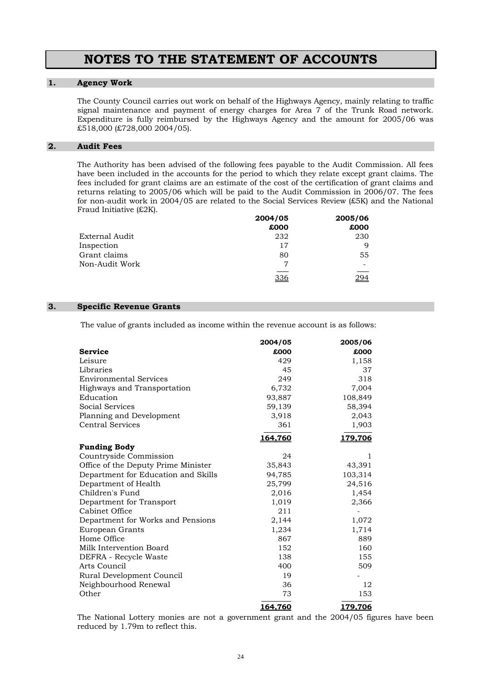### **NOTES TO THE STATEMENT OF ACCOUNTS**

#### **1. Agency Work**

 The County Council carries out work on behalf of the Highways Agency, mainly relating to traffic signal maintenance and payment of energy charges for Area 7 of the Trunk Road network. Expenditure is fully reimbursed by the Highways Agency and the amount for 2005/06 was £518,000 (£728,000 2004/05).

#### **2. Audit Fees**

 The Authority has been advised of the following fees payable to the Audit Commission. All fees have been included in the accounts for the period to which they relate except grant claims. The fees included for grant claims are an estimate of the cost of the certification of grant claims and returns relating to 2005/06 which will be paid to the Audit Commission in 2006/07. The fees for non-audit work in 2004/05 are related to the Social Services Review (£5K) and the National Fraud Initiative (£2K).

|                | 2004/05 | 2005/06 |
|----------------|---------|---------|
|                | £000    | £000    |
| External Audit | 232     | 230     |
| Inspection     | 17      | q       |
| Grant claims   | 80      | 55      |
| Non-Audit Work | 7       |         |
|                | 336     |         |

#### **3. Specific Revenue Grants**

The value of grants included as income within the revenue account is as follows:

|                                     | 2004/05        | 2005/06        |
|-------------------------------------|----------------|----------------|
| <b>Service</b>                      | £000           | £000           |
| Leisure                             | 429            | 1,158          |
| Libraries                           | 45             | 37             |
| <b>Environmental Services</b>       | 249            | 318            |
| Highways and Transportation         | 6,732          | 7,004          |
| Education                           | 93,887         | 108,849        |
| <b>Social Services</b>              | 59,139         | 58,394         |
| Planning and Development            | 3,918          | 2,043          |
| <b>Central Services</b>             | 361            | 1,903          |
|                                     | 164,760        | 179,706        |
| <b>Funding Body</b>                 |                |                |
| Countryside Commission              | 24             | 1              |
| Office of the Deputy Prime Minister | 35,843         | 43,391         |
| Department for Education and Skills | 94,785         | 103,314        |
| Department of Health                | 25,799         | 24,516         |
| Children's Fund                     | 2,016          | 1,454          |
| Department for Transport            | 1,019          | 2,366          |
| Cabinet Office                      | 211            |                |
| Department for Works and Pensions   | 2,144          | 1,072          |
| European Grants                     | 1,234          | 1,714          |
| Home Office                         | 867            | 889            |
| Milk Intervention Board             | 152            | 160            |
| DEFRA - Recycle Waste               | 138            | 155            |
| Arts Council                        | 400            | 509            |
| Rural Development Council           | 19             |                |
| Neighbourhood Renewal               | 36             | 12             |
| Other                               | 73             | 153            |
|                                     | <u>164,760</u> | <u>179,706</u> |

 The National Lottery monies are not a government grant and the 2004/05 figures have been reduced by 1.79m to reflect this.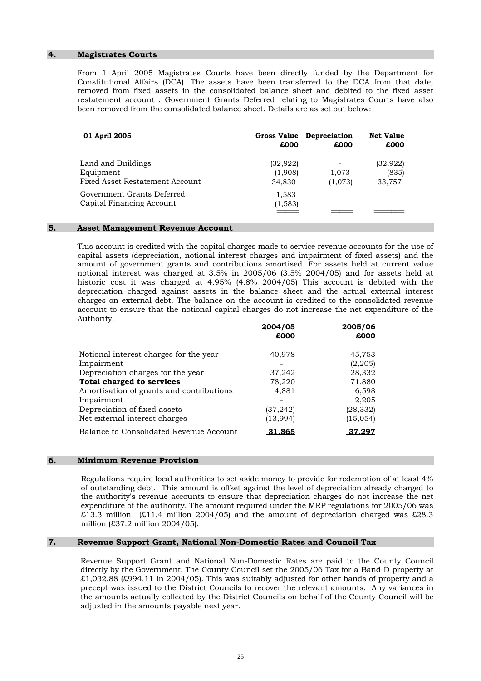#### **4. Magistrates Courts**

 From 1 April 2005 Magistrates Courts have been directly funded by the Department for Constitutional Affairs (DCA). The assets have been transferred to the DCA from that date, removed from fixed assets in the consolidated balance sheet and debited to the fixed asset restatement account . Government Grants Deferred relating to Magistrates Courts have also been removed from the consolidated balance sheet. Details are as set out below:

| 01 April 2005                                                      | £000                           | Gross Value Depreciation<br>£000 | <b>Net Value</b><br>£000     |
|--------------------------------------------------------------------|--------------------------------|----------------------------------|------------------------------|
| Land and Buildings<br>Equipment<br>Fixed Asset Restatement Account | (32, 922)<br>(1,908)<br>34,830 | 1,073<br>(1,073)                 | (32, 922)<br>(835)<br>33,757 |
| Government Grants Deferred<br>Capital Financing Account            | 1,583<br>(1, 583)              |                                  |                              |

#### **5. Asset Management Revenue Account**

 This account is credited with the capital charges made to service revenue accounts for the use of capital assets (depreciation, notional interest charges and impairment of fixed assets) and the amount of government grants and contributions amortised. For assets held at current value notional interest was charged at 3.5% in 2005/06 (3.5% 2004/05) and for assets held at historic cost it was charged at 4.95% (4.8% 2004/05) This account is debited with the depreciation charged against assets in the balance sheet and the actual external interest charges on external debt. The balance on the account is credited to the consolidated revenue account to ensure that the notional capital charges do not increase the net expenditure of the Authority.

|                                          | 2004/05<br>£000 | 2005/06<br>£000 |
|------------------------------------------|-----------------|-----------------|
| Notional interest charges for the year   | 40,978          | 45,753          |
| Impairment                               |                 | (2,205)         |
| Depreciation charges for the year        | 37,242          | 28,332          |
| Total charged to services                | 78,220          | 71,880          |
| Amortisation of grants and contributions | 4,881           | 6,598           |
| Impairment                               |                 | 2,205           |
| Depreciation of fixed assets             | (37, 242)       | (28, 332)       |
| Net external interest charges            | (13,994)        | (15, 054)       |
| Balance to Consolidated Revenue Account  | 31,865          | 37,297          |
|                                          |                 |                 |

#### **6. Minimum Revenue Provision**

 Regulations require local authorities to set aside money to provide for redemption of at least 4% of outstanding debt. This amount is offset against the level of depreciation already charged to the authority's revenue accounts to ensure that depreciation charges do not increase the net expenditure of the authority. The amount required under the MRP regulations for 2005/06 was £13.3 million (£11.4 million 2004/05) and the amount of depreciation charged was £28.3 million (£37.2 million 2004/05).

#### **7. Revenue Support Grant, National Non-Domestic Rates and Council Tax**

 Revenue Support Grant and National Non-Domestic Rates are paid to the County Council directly by the Government. The County Council set the 2005/06 Tax for a Band D property at  $£1,032.88$  (£994.11 in 2004/05). This was suitably adjusted for other bands of property and a precept was issued to the District Councils to recover the relevant amounts. Any variances in the amounts actually collected by the District Councils on behalf of the County Council will be adjusted in the amounts payable next year.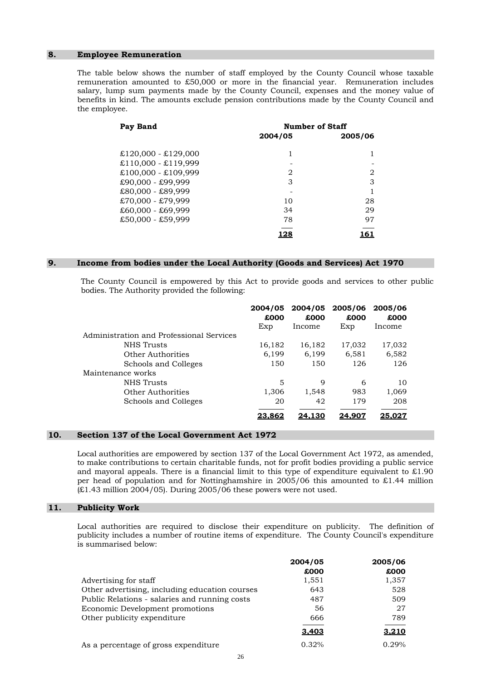#### **8. Employee Remuneration**

 The table below shows the number of staff employed by the County Council whose taxable remuneration amounted to £50,000 or more in the financial year. Remuneration includes salary, lump sum payments made by the County Council, expenses and the money value of benefits in kind. The amounts exclude pension contributions made by the County Council and the employee.

| Pay Band              | <b>Number of Staff</b> |         |  |
|-----------------------|------------------------|---------|--|
|                       | 2004/05                | 2005/06 |  |
| $£120,000 - £129,000$ | 1                      |         |  |
| $£110,000 - £119,999$ |                        |         |  |
| $£100,000 - £109,999$ | 2                      | 2       |  |
| £90,000 - £99,999     | 3                      | 3       |  |
| £80,000 - £89,999     |                        |         |  |
| $£70,000 - £79,999$   | 10                     | 28      |  |
| $£60,000 - £69,999$   | 34                     | 29      |  |
| $£50,000 - £59,999$   | 78                     | 97      |  |
|                       |                        |         |  |

#### **9. Income from bodies under the Local Authority (Goods and Services) Act 1970**

 The County Council is empowered by this Act to provide goods and services to other public bodies. The Authority provided the following:

|                                          | 2004/05<br>£000<br>Exp | £000<br>Income | 2004/05 2005/06<br>£000<br>Exp | 2005/06<br>£000<br>Income |
|------------------------------------------|------------------------|----------------|--------------------------------|---------------------------|
| Administration and Professional Services |                        |                |                                |                           |
| NHS Trusts                               | 16,182                 | 16,182         | 17,032                         | 17,032                    |
| Other Authorities                        | 6,199                  | 6,199          | 6,581                          | 6,582                     |
| Schools and Colleges                     | 150                    | 150            | 126                            | 126                       |
| Maintenance works                        |                        |                |                                |                           |
| NHS Trusts                               | 5                      | 9              | 6                              | 10                        |
| Other Authorities                        | 1,306                  | 1,548          | 983                            | 1,069                     |
| Schools and Colleges                     | 20                     | 42             | 179                            | 208                       |
|                                          | 23,862                 | 24.130         | 24.907                         | 25.027                    |

#### **10. Section 137 of the Local Government Act 1972**

 Local authorities are empowered by section 137 of the Local Government Act 1972, as amended, to make contributions to certain charitable funds, not for profit bodies providing a public service and mayoral appeals. There is a financial limit to this type of expenditure equivalent to  $\pounds1.90$ per head of population and for Nottinghamshire in 2005/06 this amounted to £1.44 million  $(E1.43$  million 2004/05). During 2005/06 these powers were not used.

#### **11. Publicity Work**

 Local authorities are required to disclose their expenditure on publicity. The definition of publicity includes a number of routine items of expenditure. The County Council's expenditure is summarised below:

|                                                | 2004/05<br>£000 | 2005/06<br>£000 |
|------------------------------------------------|-----------------|-----------------|
| Advertising for staff                          | 1,551           | 1,357           |
| Other advertising, including education courses | 643             | 528             |
| Public Relations - salaries and running costs  | 487             | 509             |
| Economic Development promotions                | 56              | 27              |
| Other publicity expenditure                    | 666             | 789             |
|                                                | 3.403           | <u>3,210</u>    |
| As a percentage of gross expenditure.          | 0.32%           | 0.29%           |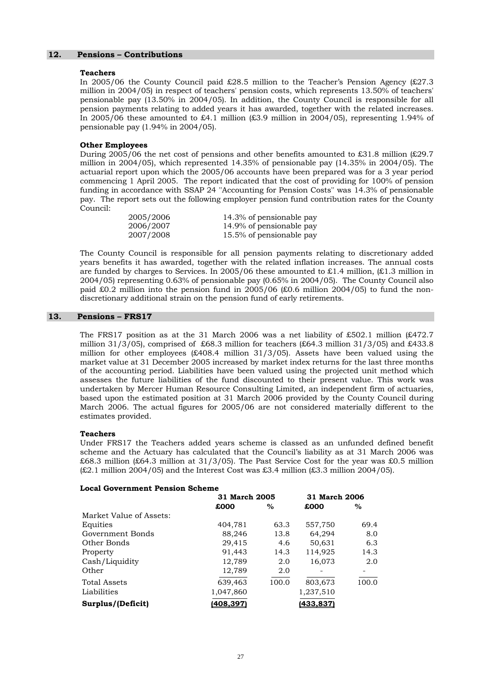#### **12. Pensions – Contributions**

#### **Teachers**

 In 2005/06 the County Council paid £28.5 million to the Teacher's Pension Agency (£27.3 million in 2004/05) in respect of teachers' pension costs, which represents 13.50% of teachers' pensionable pay (13.50% in 2004/05). In addition, the County Council is responsible for all pension payments relating to added years it has awarded, together with the related increases. In 2005/06 these amounted to £4.1 million  $(£3.9$  million in 2004/05), representing 1.94% of pensionable pay (1.94% in 2004/05).

#### **Other Employees**

During 2005/06 the net cost of pensions and other benefits amounted to £31.8 million (£29.7 million in 2004/05), which represented 14.35% of pensionable pay (14.35% in 2004/05). The actuarial report upon which the 2005/06 accounts have been prepared was for a 3 year period commencing 1 April 2005. The report indicated that the cost of providing for 100% of pension funding in accordance with SSAP 24 ''Accounting for Pension Costs'' was 14.3% of pensionable pay. The report sets out the following employer pension fund contribution rates for the County Council:

| 2005/2006 | 14.3% of pensionable pay |
|-----------|--------------------------|
| 2006/2007 | 14.9% of pensionable pay |
| 2007/2008 | 15.5% of pensionable pay |

 The County Council is responsible for all pension payments relating to discretionary added years benefits it has awarded, together with the related inflation increases. The annual costs are funded by charges to Services. In 2005/06 these amounted to £1.4 million,  $(E1.3$  million in 2004/05) representing 0.63% of pensionable pay (0.65% in 2004/05). The County Council also paid £0.2 million into the pension fund in 2005/06 (£0.6 million 2004/05) to fund the nondiscretionary additional strain on the pension fund of early retirements.

#### **13. Pensions – FRS17**

The FRS17 position as at the 31 March 2006 was a net liability of £502.1 million  $(E472.7)$ million 31/3/05), comprised of £68.3 million for teachers (£64.3 million 31/3/05) and £433.8 million for other employees  $(£408.4$  million 31/3/05). Assets have been valued using the market value at 31 December 2005 increased by market index returns for the last three months of the accounting period. Liabilities have been valued using the projected unit method which assesses the future liabilities of the fund discounted to their present value. This work was undertaken by Mercer Human Resource Consulting Limited, an independent firm of actuaries, based upon the estimated position at 31 March 2006 provided by the County Council during March 2006. The actual figures for 2005/06 are not considered materially different to the estimates provided.

#### **Teachers**

Under FRS17 the Teachers added years scheme is classed as an unfunded defined benefit scheme and the Actuary has calculated that the Council's liability as at 31 March 2006 was £68.3 million (£64.3 million at 31/3/05). The Past Service Cost for the year was £0.5 million  $(E2.1$  million 2004/05) and the Interest Cost was £3.4 million  $(E3.3$  million 2004/05).

#### **Local Government Pension Scheme**

|                         | 31 March 2005 |       | 31 March 2006 |       |  |
|-------------------------|---------------|-------|---------------|-------|--|
|                         | £000          | $\%$  | £000          | $\%$  |  |
| Market Value of Assets: |               |       |               |       |  |
| Equities                | 404,781       | 63.3  | 557,750       | 69.4  |  |
| Government Bonds        | 88,246        | 13.8  | 64,294        | 8.0   |  |
| Other Bonds             | 29,415        | 4.6   | 50,631        | 6.3   |  |
| Property                | 91,443        | 14.3  | 114,925       | 14.3  |  |
| Cash/Liquidity          | 12,789        | 2.0   | 16,073        | 2.0   |  |
| Other                   | 12,789        | 2.0   |               |       |  |
| <b>Total Assets</b>     | 639,463       | 100.0 | 803,673       | 100.0 |  |
| Liabilities             | 1,047,860     |       | 1,237,510     |       |  |
| Surplus/(Deficit)       | (408,397)     |       | (433,837)     |       |  |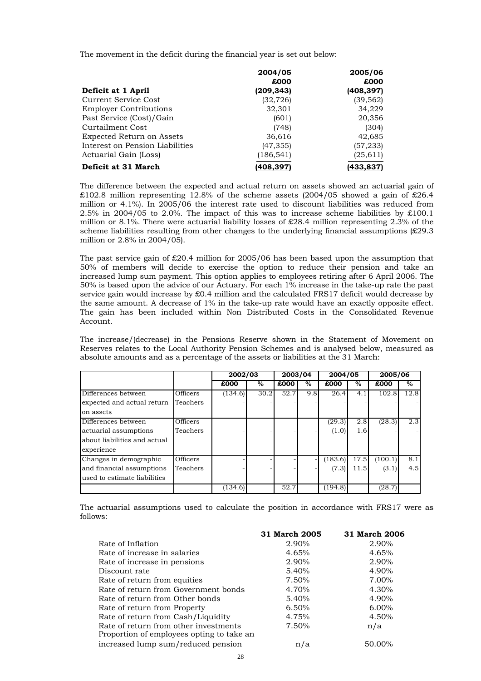The movement in the deficit during the financial year is set out below:

|                                 | 2004/05    | 2005/06   |
|---------------------------------|------------|-----------|
|                                 | £000       | £000      |
| Deficit at 1 April              | (209,343)  | (408,397) |
| Current Service Cost            | (32, 726)  | (39,562)  |
| <b>Employer Contributions</b>   | 32,301     | 34,229    |
| Past Service (Cost)/Gain        | (601)      | 20,356    |
| Curtailment Cost                | (748)      | (304)     |
| Expected Return on Assets       | 36,616     | 42,685    |
| Interest on Pension Liabilities | (47, 355)  | (57, 233) |
| Actuarial Gain (Loss)           | (186, 541) | (25, 611) |
| Deficit at 31 March             | (408,397)  | (433,837) |

 The difference between the expected and actual return on assets showed an actuarial gain of  $\text{\pounds}102.8$  million representing 12.8% of the scheme assets (2004/05 showed a gain of £26.4 million or 4.1%). In 2005/06 the interest rate used to discount liabilities was reduced from 2.5% in 2004/05 to 2.0%. The impact of this was to increase scheme liabilities by £100.1 million or 8.1%. There were actuarial liability losses of £28.4 million representing 2.3% of the scheme liabilities resulting from other changes to the underlying financial assumptions (£29.3 million or 2.8% in 2004/05).

The past service gain of  $£20.4$  million for  $2005/06$  has been based upon the assumption that 50% of members will decide to exercise the option to reduce their pension and take an increased lump sum payment. This option applies to employees retiring after 6 April 2006. The 50% is based upon the advice of our Actuary. For each 1% increase in the take-up rate the past service gain would increase by £0.4 million and the calculated FRS17 deficit would decrease by the same amount. A decrease of 1% in the take-up rate would have an exactly opposite effect. The gain has been included within Non Distributed Costs in the Consolidated Revenue Account.

 The increase/(decrease) in the Pensions Reserve shown in the Statement of Movement on Reserves relates to the Local Authority Pension Schemes and is analysed below, measured as absolute amounts and as a percentage of the assets or liabilities at the 31 March:

|                              |                 | 2002/03 |      | 2003/04 |      | 2004/05 |      | 2005/06 |      |
|------------------------------|-----------------|---------|------|---------|------|---------|------|---------|------|
|                              |                 | £000    | $\%$ | £000    | $\%$ | £000    | $\%$ | £000    | $\%$ |
| Differences between          | Officers        | (134.6) | 30.2 | 52.7    | 9.8  | 26.4    | 4.1  | 102.8   | 12.8 |
| expected and actual return   | Teachers        |         |      |         |      |         |      |         |      |
| on assets                    |                 |         |      |         |      |         |      |         |      |
| Differences between          | Officers        |         |      |         |      | (29.3)  | 2.8  | (28.3)  | 2.3  |
| actuarial assumptions        | Teachers        |         |      |         |      | (1.0)   | 1.6  |         |      |
| about liabilities and actual |                 |         |      |         |      |         |      |         |      |
| experience                   |                 |         |      |         |      |         |      |         |      |
| Changes in demographic       | <b>Officers</b> |         |      |         |      | (183.6) | 17.5 | (100.1) | 8.1  |
| and financial assumptions    | Teachers        |         |      |         |      | (7.3)   | 11.5 | (3.1)   | 4.5  |
| used to estimate liabilities |                 |         |      |         |      |         |      |         |      |
|                              |                 | (134.6) |      | 52.7    |      | (194.8) |      | (28.7)  |      |

 The actuarial assumptions used to calculate the position in accordance with FRS17 were as follows:

|                                                                                    | 31 March 2005 | 31 March 2006 |
|------------------------------------------------------------------------------------|---------------|---------------|
| Rate of Inflation                                                                  | 2.90%         | 2.90%         |
| Rate of increase in salaries                                                       | 4.65%         | 4.65%         |
| Rate of increase in pensions                                                       | 2.90%         | 2.90%         |
| Discount rate                                                                      | 5.40%         | 4.90%         |
| Rate of return from equities                                                       | 7.50%         | 7.00%         |
| Rate of return from Government bonds                                               | 4.70%         | $4.30\%$      |
| Rate of return from Other bonds                                                    | 5.40%         | 4.90%         |
| Rate of return from Property                                                       | 6.50%         | $6.00\%$      |
| Rate of return from Cash/Liquidity                                                 | 4.75%         | 4.50%         |
| Rate of return from other investments<br>Proportion of employees opting to take an | 7.50%         | n/a           |
| increased lump sum/reduced pension                                                 | n/a           | 50.00%        |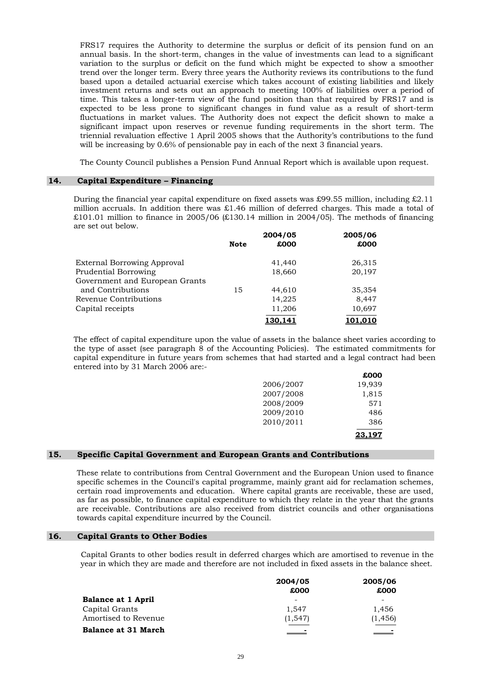FRS17 requires the Authority to determine the surplus or deficit of its pension fund on an annual basis. In the short-term, changes in the value of investments can lead to a significant variation to the surplus or deficit on the fund which might be expected to show a smoother trend over the longer term. Every three years the Authority reviews its contributions to the fund based upon a detailed actuarial exercise which takes account of existing liabilities and likely investment returns and sets out an approach to meeting 100% of liabilities over a period of time. This takes a longer-term view of the fund position than that required by FRS17 and is expected to be less prone to significant changes in fund value as a result of short-term fluctuations in market values. The Authority does not expect the deficit shown to make a significant impact upon reserves or revenue funding requirements in the short term. The triennial revaluation effective 1 April 2005 shows that the Authority's contributions to the fund will be increasing by 0.6% of pensionable pay in each of the next 3 financial years.

The County Council publishes a Pension Fund Annual Report which is available upon request.

#### **14. Capital Expenditure – Financing**

During the financial year capital expenditure on fixed assets was £99.55 million, including £2.11 million accruals. In addition there was £1.46 million of deferred charges. This made a total of  $£101.01$  million to finance in 2005/06  $£130.14$  million in 2004/05). The methods of financing are set out below.

|                                |             | 2004/05 | 2005/06 |  |
|--------------------------------|-------------|---------|---------|--|
|                                | <b>Note</b> | £000    | £000    |  |
| External Borrowing Approval    |             | 41,440  | 26,315  |  |
| <b>Prudential Borrowing</b>    |             | 18,660  | 20,197  |  |
| Government and European Grants |             |         |         |  |
| and Contributions              | 15          | 44,610  | 35,354  |  |
| Revenue Contributions          |             | 14,225  | 8,447   |  |
| Capital receipts               |             | 11,206  | 10,697  |  |
|                                |             | 130.141 | 101.010 |  |

The effect of capital expenditure upon the value of assets in the balance sheet varies according to the type of asset (see paragraph 8 of the Accounting Policies). The estimated commitments for capital expenditure in future years from schemes that had started and a legal contract had been entered into by 31 March 2006 are:-

|           | £000   |
|-----------|--------|
| 2006/2007 | 19,939 |
| 2007/2008 | 1,815  |
| 2008/2009 | 571    |
| 2009/2010 | 486    |
| 2010/2011 | 386    |
|           | 23.19  |

#### **15. Specific Capital Government and European Grants and Contributions**

 These relate to contributions from Central Government and the European Union used to finance specific schemes in the Council's capital programme, mainly grant aid for reclamation schemes, certain road improvements and education. Where capital grants are receivable, these are used, as far as possible, to finance capital expenditure to which they relate in the year that the grants are receivable. Contributions are also received from district councils and other organisations towards capital expenditure incurred by the Council.

#### **16. Capital Grants to Other Bodies**

 Capital Grants to other bodies result in deferred charges which are amortised to revenue in the year in which they are made and therefore are not included in fixed assets in the balance sheet.

|                            | 2004/05  | 2005/06  |
|----------------------------|----------|----------|
|                            | £000     | £000     |
| <b>Balance at 1 April</b>  |          |          |
| Capital Grants             | 1.547    | 1.456    |
| Amortised to Revenue       | (1, 547) | (1, 456) |
| <b>Balance at 31 March</b> |          | -        |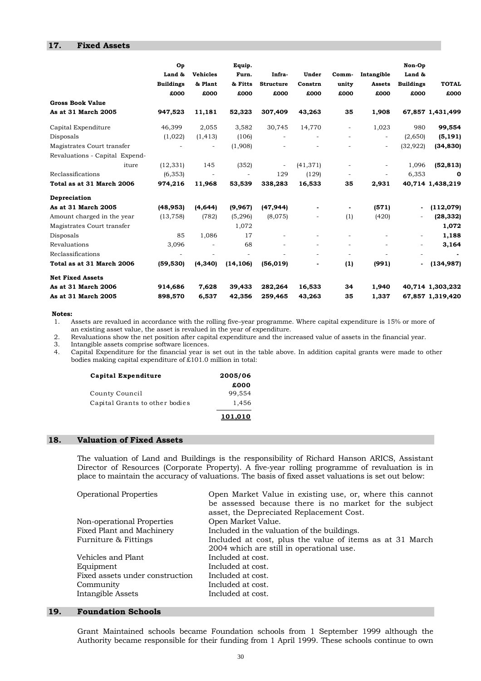#### **17. Fixed Assets**

|                                                | Op<br>Land &<br><b>Buildings</b><br>£000 | <b>Vehicles</b><br>& Plant<br>£000 | Equip.<br>Furn.<br>& Fitts<br>£000 | Infra-<br><b>Structure</b><br>£000 | Under<br>Constrn<br>£000 | Comm-<br>unity<br>£000   | Intangible<br><b>Assets</b><br>£000 | Non-Op<br>Land &<br><b>Buildings</b><br>£000 | <b>TOTAL</b><br>£000 |
|------------------------------------------------|------------------------------------------|------------------------------------|------------------------------------|------------------------------------|--------------------------|--------------------------|-------------------------------------|----------------------------------------------|----------------------|
| <b>Gross Book Value</b><br>As at 31 March 2005 | 947,523                                  | 11,181                             | 52,323                             | 307,409                            | 43,263                   | 35                       | 1,908                               |                                              | 67,857 1,431,499     |
|                                                |                                          |                                    |                                    |                                    |                          |                          |                                     |                                              |                      |
| Capital Expenditure                            | 46,399                                   | 2,055                              | 3,582                              | 30,745                             | 14,770                   | $\overline{\phantom{0}}$ | 1,023                               | 980                                          | 99,554               |
| Disposals                                      | (1,022)                                  | (1, 413)                           | (106)                              | ٠                                  | $\overline{\phantom{a}}$ | $\overline{\phantom{m}}$ | $\overline{\phantom{a}}$            | (2,650)                                      | (5, 191)             |
| Magistrates Court transfer                     |                                          |                                    | (1,908)                            |                                    |                          |                          | $\overline{\phantom{0}}$            | (32, 922)                                    | (34, 830)            |
| Revaluations - Capital Expend-                 |                                          |                                    |                                    |                                    |                          |                          |                                     |                                              |                      |
| iture                                          | (12, 331)                                | 145                                | (352)                              | $\overline{\phantom{a}}$           | (41, 371)                |                          | $\overline{\phantom{0}}$            | 1,096                                        | (52, 813)            |
| Reclassifications                              | (6, 353)                                 | $\overline{\phantom{a}}$           | $\overline{\phantom{a}}$           | 129                                | (129)                    |                          | $\overline{\phantom{0}}$            | 6,353                                        | 0                    |
| Total as at 31 March 2006                      | 974,216                                  | 11,968                             | 53,539                             | 338,283                            | 16,533                   | 35                       | 2,931                               |                                              | 40,714 1,438,219     |
| Depreciation                                   |                                          |                                    |                                    |                                    |                          |                          |                                     |                                              |                      |
| As at 31 March 2005                            | (48, 953)                                | (4,644)                            | (9,967)                            | (47, 944)                          |                          |                          | (571)                               | $\overline{\phantom{a}}$                     | (112,079)            |
| Amount charged in the year                     | (13, 758)                                | (782)                              | (5,296)                            | (8,075)                            |                          | (1)                      | (420)                               |                                              | (28, 332)            |
| Magistrates Court transfer                     |                                          |                                    | 1,072                              |                                    |                          |                          |                                     |                                              | 1,072                |
| Disposals                                      | 85                                       | 1,086                              | 17                                 |                                    |                          |                          |                                     | $\overline{\phantom{a}}$                     | 1,188                |
| Revaluations                                   | 3,096                                    |                                    | 68                                 |                                    |                          |                          |                                     | $\overline{\phantom{a}}$                     | 3,164                |
| Reclassifications                              | ٠                                        |                                    | ٠                                  |                                    | $\overline{\phantom{a}}$ | $\overline{\phantom{a}}$ | $\overline{\phantom{0}}$            |                                              | $\blacksquare$       |
| Total as at 31 March 2006                      | (59, 530)                                | (4, 340)                           | (14, 106)                          | (56, 019)                          |                          | (1)                      | (991)                               | $\blacksquare$                               | (134, 987)           |
| <b>Net Fixed Assets</b>                        |                                          |                                    |                                    |                                    |                          |                          |                                     |                                              |                      |
| As at 31 March 2006                            | 914,686                                  | 7,628                              | 39,433                             | 282,264                            | 16,533                   | 34                       | 1,940                               |                                              | 40,714 1,303,232     |
| As at 31 March 2005                            | 898,570                                  | 6,537                              | 42,356                             | 259,465                            | 43,263                   | 35                       | 1,337                               |                                              | 67,857 1,319,420     |

#### **Notes:**

1. Assets are revalued in accordance with the rolling five–year programme. Where capital expenditure is 15% or more of an existing asset value, the asset is revalued in the year of expenditure.

2. Revaluations show the net position after capital expenditure and the increased value of assets in the financial year.

3. Intangible assets comprise software licences.<br>4. Capital Expenditure for the financial year is

Capital Expenditure for the financial year is set out in the table above. In addition capital grants were made to other bodies making capital expenditure of £101.0 million in total:

| Capital Expenditure            | 2005/06        |  |  |
|--------------------------------|----------------|--|--|
|                                | £000           |  |  |
| County Council                 | 99.554         |  |  |
| Capital Grants to other bodies | 1.456          |  |  |
|                                | <u>101,010</u> |  |  |

#### **18. Valuation of Fixed Assets**

 The valuation of Land and Buildings is the responsibility of Richard Hanson ARICS, Assistant Director of Resources (Corporate Property). A five-year rolling programme of revaluation is in place to maintain the accuracy of valuations. The basis of fixed asset valuations is set out below:

| Open Market Value in existing use, or, where this cannot<br>be assessed because there is no market for the subject<br>asset, the Depreciated Replacement Cost. |
|----------------------------------------------------------------------------------------------------------------------------------------------------------------|
| Open Market Value.                                                                                                                                             |
| Included in the valuation of the buildings.                                                                                                                    |
| Included at cost, plus the value of items as at 31 March                                                                                                       |
| 2004 which are still in operational use.                                                                                                                       |
| Included at cost.                                                                                                                                              |
| Included at cost.                                                                                                                                              |
| Included at cost.                                                                                                                                              |
| Included at cost.                                                                                                                                              |
| Included at cost.                                                                                                                                              |
|                                                                                                                                                                |

#### **19. Foundation Schools**

 Grant Maintained schools became Foundation schools from 1 September 1999 although the Authority became responsible for their funding from 1 April 1999. These schools continue to own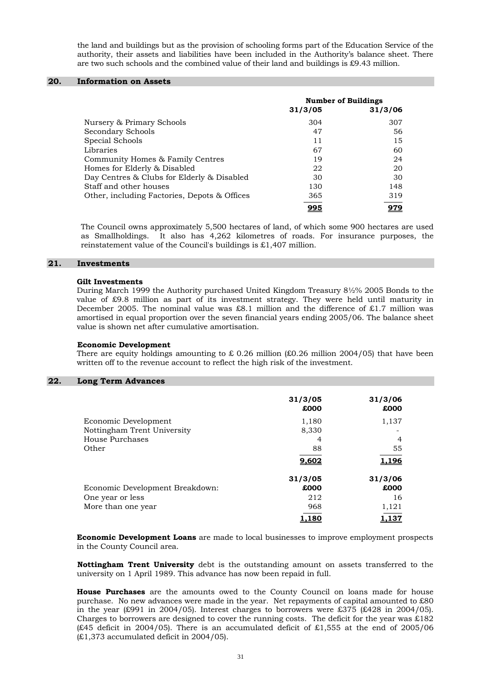the land and buildings but as the provision of schooling forms part of the Education Service of the authority, their assets and liabilities have been included in the Authority's balance sheet. There are two such schools and the combined value of their land and buildings is £9.43 million.

#### **20. Information on Assets**

|                                              | <b>Number of Buildings</b> |         |
|----------------------------------------------|----------------------------|---------|
|                                              | 31/3/05                    | 31/3/06 |
| Nursery & Primary Schools                    | 304                        | 307     |
| Secondary Schools                            | 47                         | 56      |
| Special Schools                              | 11                         | 15      |
| Libraries                                    | 67                         | 60      |
| Community Homes & Family Centres             | 19                         | 24      |
| Homes for Elderly & Disabled                 | 22                         | 20      |
| Day Centres & Clubs for Elderly & Disabled   | 30                         | 30      |
| Staff and other houses                       | 130                        | 148     |
| Other, including Factories, Depots & Offices | 365                        | 319     |
|                                              | 995                        | 979     |

 The Council owns approximately 5,500 hectares of land, of which some 900 hectares are used as Smallholdings. It also has 4,262 kilometres of roads. For insurance purposes, the reinstatement value of the Council's buildings is £1,407 million.

#### **21. Investments**

#### **Gilt Investments**

 During March 1999 the Authority purchased United Kingdom Treasury 8½% 2005 Bonds to the value of £9.8 million as part of its investment strategy. They were held until maturity in December 2005. The nominal value was £8.1 million and the difference of £1.7 million was amortised in equal proportion over the seven financial years ending 2005/06. The balance sheet value is shown net after cumulative amortisation.

#### **Economic Development**

There are equity holdings amounting to  $\pounds$  0.26 million ( $\pounds$ 0.26 million 2004/05) that have been written off to the revenue account to reflect the high risk of the investment.

#### **22. Long Term Advances**

|                                 | 31/3/05 | 31/3/06      |
|---------------------------------|---------|--------------|
|                                 | £000    | £000         |
| Economic Development            | 1,180   | 1,137        |
| Nottingham Trent University     | 8,330   |              |
| House Purchases                 | 4       | 4            |
| Other                           | 88      | 55           |
|                                 | 9,602   | <u>1.196</u> |
|                                 | 31/3/05 | 31/3/06      |
| Economic Development Breakdown: | £000    | £000         |
| One year or less                | 212     | 16           |
| More than one year              | 968     | 1,121        |
|                                 | 1.180   | 1.137        |

**Economic Development Loans** are made to local businesses to improve employment prospects in the County Council area.

 **Nottingham Trent University** debt is the outstanding amount on assets transferred to the university on 1 April 1989. This advance has now been repaid in full.

**House Purchases** are the amounts owed to the County Council on loans made for house purchase. No new advances were made in the year. Net repayments of capital amounted to £80 in the year (£991 in 2004/05). Interest charges to borrowers were £375 (£428 in 2004/05). Charges to borrowers are designed to cover the running costs. The deficit for the year was  $\pounds182$  $(£45$  deficit in 2004/05). There is an accumulated deficit of £1,555 at the end of 2005/06  $(E1,373$  accumulated deficit in 2004/05).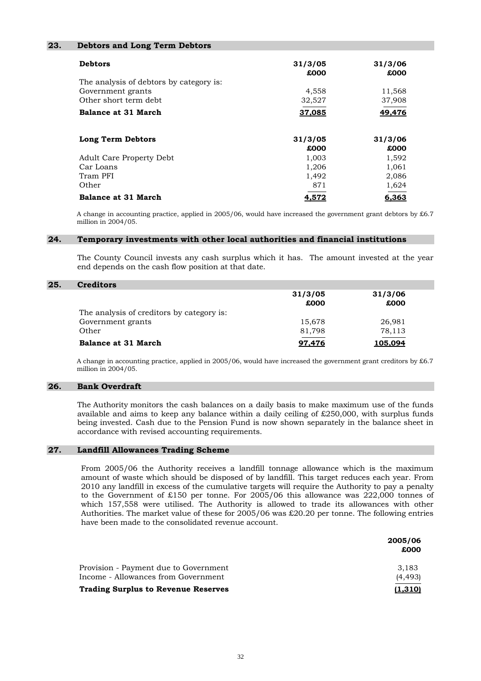#### **23. Debtors and Long Term Debtors**

| <b>Debtors</b>                          | 31/3/05<br>£000 | 31/3/06<br>£000 |
|-----------------------------------------|-----------------|-----------------|
| The analysis of debtors by category is: |                 |                 |
| Government grants                       | 4,558           | 11,568          |
| Other short term debt.                  | 32,527          | 37,908          |
| <b>Balance at 31 March</b>              | 37,085          | 49,476          |
| Long Term Debtors                       | 31/3/05         | 31/3/06         |
|                                         | £000            | £000            |
| <b>Adult Care Property Debt</b>         | 1,003           | 1,592           |
| Car Loans                               | 1,206           | 1,061           |
| Tram PFI                                | 1,492           | 2,086           |
| Other                                   | 871             | 1,624           |
| <b>Balance at 31 March</b>              | 4,572           | 6,363           |

 A change in accounting practice, applied in 2005/06, would have increased the government grant debtors by £6.7 million in 2004/05.

#### **24. Temporary investments with other local authorities and financial institutions**

 The County Council invests any cash surplus which it has. The amount invested at the year end depends on the cash flow position at that date.

#### **25. Creditors**

|                                           | 31/3/05 | 31/3/06 |
|-------------------------------------------|---------|---------|
|                                           | £000    | £000    |
| The analysis of creditors by category is: |         |         |
| Government grants                         | 15,678  | 26,981  |
| Other                                     | 81,798  | 78,113  |
| <b>Balance at 31 March</b>                | 97.476  | 105.094 |

A change in accounting practice, applied in 2005/06, would have increased the government grant creditors by  $\pounds 6.7$ million in 2004/05.

#### **26. Bank Overdraft**

 The Authority monitors the cash balances on a daily basis to make maximum use of the funds available and aims to keep any balance within a daily ceiling of  $£250,000$ , with surplus funds being invested. Cash due to the Pension Fund is now shown separately in the balance sheet in accordance with revised accounting requirements.

#### **27. Landfill Allowances Trading Scheme**

From 2005/06 the Authority receives a landfill tonnage allowance which is the maximum amount of waste which should be disposed of by landfill. This target reduces each year. From 2010 any landfill in excess of the cumulative targets will require the Authority to pay a penalty to the Government of £150 per tonne. For 2005/06 this allowance was 222,000 tonnes of which 157,558 were utilised. The Authority is allowed to trade its allowances with other Authorities. The market value of these for 2005/06 was £20.20 per tonne. The following entries have been made to the consolidated revenue account.

|                                            | 2005/06<br>£000 |
|--------------------------------------------|-----------------|
| Provision - Payment due to Government      | 3.183           |
| Income - Allowances from Government        | (4, 493)        |
| <b>Trading Surplus to Revenue Reserves</b> | <u>(1.310)</u>  |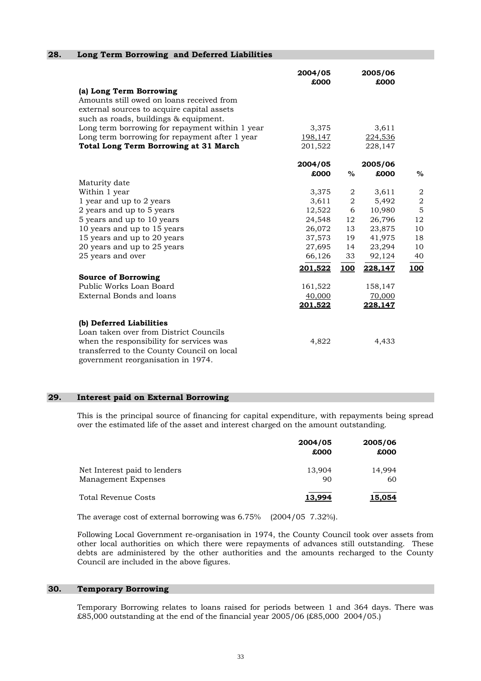|                                                                                                                                                                                                    | 2004/05<br>£000 |       | 2005/06<br>£000 |                  |
|----------------------------------------------------------------------------------------------------------------------------------------------------------------------------------------------------|-----------------|-------|-----------------|------------------|
| (a) Long Term Borrowing<br>Amounts still owed on loans received from<br>external sources to acquire capital assets<br>such as roads, buildings & equipment.                                        |                 |       |                 |                  |
| Long term borrowing for repayment within 1 year                                                                                                                                                    | 3,375           |       | 3,611           |                  |
| Long term borrowing for repayment after 1 year                                                                                                                                                     | 198,147         |       | 224,536         |                  |
| <b>Total Long Term Borrowing at 31 March</b>                                                                                                                                                       | 201,522         |       | 228,147         |                  |
|                                                                                                                                                                                                    | 2004/05         |       | 2005/06         |                  |
|                                                                                                                                                                                                    | £000            | $\%$  | £000            | $\%$             |
| Maturity date                                                                                                                                                                                      |                 |       |                 |                  |
| Within 1 year                                                                                                                                                                                      | 3,375           | 2     | 3,611           | $\boldsymbol{2}$ |
| 1 year and up to 2 years                                                                                                                                                                           | 3,611           | $\,2$ | 5,492           | $\sqrt{2}$       |
| 2 years and up to 5 years                                                                                                                                                                          | 12,522          | 6     | 10,980          | 5                |
| 5 years and up to 10 years                                                                                                                                                                         | 24,548          | 12    | 26,796          | 12               |
| 10 years and up to 15 years                                                                                                                                                                        | 26,072          | 13    | 23,875          | 10               |
| 15 years and up to 20 years                                                                                                                                                                        | 37,573          | 19    | 41,975          | 18               |
| 20 years and up to 25 years                                                                                                                                                                        | 27,695          | 14    | 23,294          | 10               |
| 25 years and over                                                                                                                                                                                  | 66,126          | 33    | 92,124          | 40               |
|                                                                                                                                                                                                    | <u>201,522</u>  | 100   | 228,147         | 100              |
| <b>Source of Borrowing</b>                                                                                                                                                                         |                 |       |                 |                  |
| Public Works Loan Board                                                                                                                                                                            | 161,522         |       | 158,147         |                  |
| External Bonds and loans                                                                                                                                                                           | 40,000          |       | 70,000          |                  |
|                                                                                                                                                                                                    | 201,522         |       | 228,147         |                  |
| (b) Deferred Liabilities<br>Loan taken over from District Councils<br>when the responsibility for services was<br>transferred to the County Council on local<br>government reorganisation in 1974. | 4,822           |       | 4,433           |                  |

#### **29. Interest paid on External Borrowing**

**28. Long Term Borrowing and Deferred Liabilities** 

 This is the principal source of financing for capital expenditure, with repayments being spread over the estimated life of the asset and interest charged on the amount outstanding.

|                                                     | 2004/05<br>£000 | 2005/06<br>£000 |
|-----------------------------------------------------|-----------------|-----------------|
| Net Interest paid to lenders<br>Management Expenses | 13,904<br>90    | 14,994<br>60    |
| <b>Total Revenue Costs</b>                          | 13.994          | 15,054          |

The average cost of external borrowing was 6.75% (2004/05 7.32%).

 Following Local Government re-organisation in 1974, the County Council took over assets from other local authorities on which there were repayments of advances still outstanding. These debts are administered by the other authorities and the amounts recharged to the County Council are included in the above figures.

#### **30. Temporary Borrowing**

 Temporary Borrowing relates to loans raised for periods between 1 and 364 days. There was £85,000 outstanding at the end of the financial year 2005/06 (£85,000 2004/05.)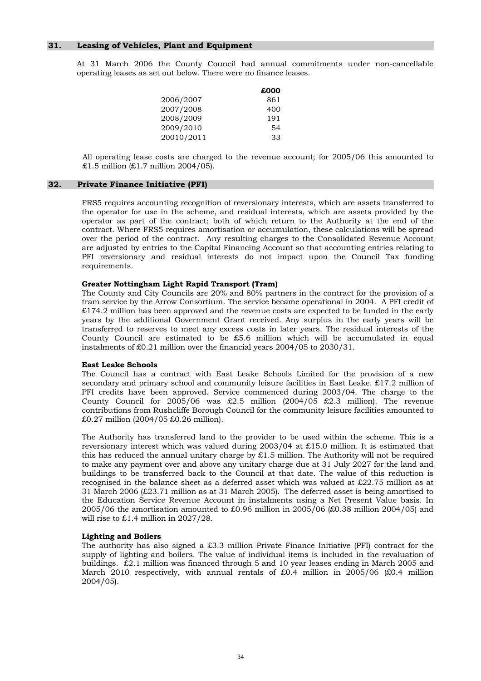#### **31. Leasing of Vehicles, Plant and Equipment**

 At 31 March 2006 the County Council had annual commitments under non-cancellable operating leases as set out below. There were no finance leases.

|            | £000 |
|------------|------|
| 2006/2007  | 861  |
| 2007/2008  | 400  |
| 2008/2009  | 191  |
| 2009/2010  | 54   |
| 20010/2011 | 33   |

 All operating lease costs are charged to the revenue account; for 2005/06 this amounted to  $£1.5$  million  $E1.7$  million  $2004/05$ ).

#### **32. Private Finance Initiative (PFI)**

 FRS5 requires accounting recognition of reversionary interests, which are assets transferred to the operator for use in the scheme, and residual interests, which are assets provided by the operator as part of the contract; both of which return to the Authority at the end of the contract. Where FRS5 requires amortisation or accumulation, these calculations will be spread over the period of the contract. Any resulting charges to the Consolidated Revenue Account are adjusted by entries to the Capital Financing Account so that accounting entries relating to PFI reversionary and residual interests do not impact upon the Council Tax funding requirements.

#### **Greater Nottingham Light Rapid Transport (Tram)**

 The County and City Councils are 20% and 80% partners in the contract for the provision of a tram service by the Arrow Consortium. The service became operational in 2004. A PFI credit of £174.2 million has been approved and the revenue costs are expected to be funded in the early years by the additional Government Grant received. Any surplus in the early years will be transferred to reserves to meet any excess costs in later years. The residual interests of the County Council are estimated to be £5.6 million which will be accumulated in equal instalments of £0.21 million over the financial years 2004/05 to 2030/31.

#### **East Leake Schools**

 The Council has a contract with East Leake Schools Limited for the provision of a new secondary and primary school and community leisure facilities in East Leake. £17.2 million of PFI credits have been approved. Service commenced during 2003/04. The charge to the County Council for  $2005/06$  was £2.5 million (2004/05 £2.3 million). The revenue contributions from Rushcliffe Borough Council for the community leisure facilities amounted to £0.27 million (2004/05 £0.26 million).

 The Authority has transferred land to the provider to be used within the scheme. This is a reversionary interest which was valued during 2003/04 at £15.0 million. It is estimated that this has reduced the annual unitary charge by  $\pounds1.5$  million. The Authority will not be required to make any payment over and above any unitary charge due at 31 July 2027 for the land and buildings to be transferred back to the Council at that date. The value of this reduction is recognised in the balance sheet as a deferred asset which was valued at £22.75 million as at 31 March 2006 (£23.71 million as at 31 March 2005). The deferred asset is being amortised to the Education Service Revenue Account in instalments using a Net Present Value basis. In 2005/06 the amortisation amounted to £0.96 million in 2005/06 (£0.38 million 2004/05) and will rise to £1.4 million in 2027/28.

#### **Lighting and Boilers**

 The authority has also signed a £3.3 million Private Finance Initiative (PFI) contract for the supply of lighting and boilers. The value of individual items is included in the revaluation of buildings. £2.1 million was financed through 5 and 10 year leases ending in March 2005 and March 2010 respectively, with annual rentals of £0.4 million in 2005/06 (£0.4 million 2004/05).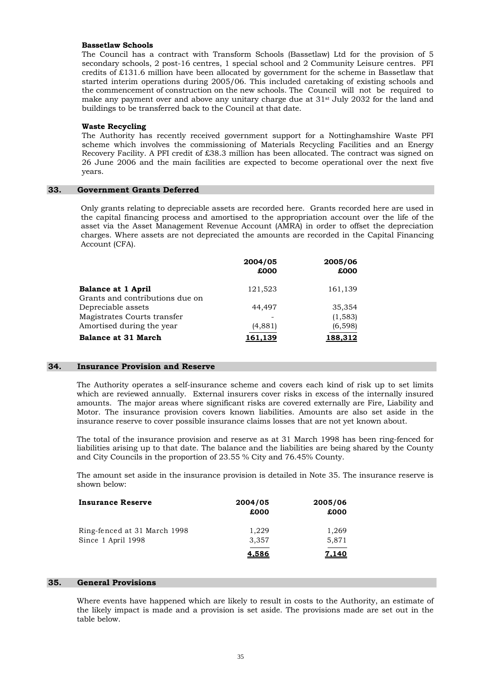#### **Bassetlaw Schools**

 The Council has a contract with Transform Schools (Bassetlaw) Ltd for the provision of 5 secondary schools, 2 post-16 centres, 1 special school and 2 Community Leisure centres. PFI credits of £131.6 million have been allocated by government for the scheme in Bassetlaw that started interim operations during 2005/06. This included caretaking of existing schools and the commencement of construction on the new schools. The Council will not be required to make any payment over and above any unitary charge due at  $31<sup>st</sup>$  July 2032 for the land and buildings to be transferred back to the Council at that date.

#### **Waste Recycling**

 The Authority has recently received government support for a Nottinghamshire Waste PFI scheme which involves the commissioning of Materials Recycling Facilities and an Energy Recovery Facility. A PFI credit of £38.3 million has been allocated. The contract was signed on 26 June 2006 and the main facilities are expected to become operational over the next five years.

#### **33. Government Grants Deferred**

 Only grants relating to depreciable assets are recorded here. Grants recorded here are used in the capital financing process and amortised to the appropriation account over the life of the asset via the Asset Management Revenue Account (AMRA) in order to offset the depreciation charges. Where assets are not depreciated the amounts are recorded in the Capital Financing Account (CFA).

|                                 | 2004/05<br>£000 | 2005/06<br>£000 |
|---------------------------------|-----------------|-----------------|
| <b>Balance at 1 April</b>       | 121,523         | 161,139         |
| Grants and contributions due on |                 |                 |
| Depreciable assets              | 44.497          | 35,354          |
| Magistrates Courts transfer     |                 | (1,583)         |
| Amortised during the year       | (4,881)         | (6,598)         |
| <b>Balance at 31 March</b>      |                 | 188.312         |

#### **34. Insurance Provision and Reserve**

 The Authority operates a self-insurance scheme and covers each kind of risk up to set limits which are reviewed annually. External insurers cover risks in excess of the internally insured amounts. The major areas where significant risks are covered externally are Fire, Liability and Motor. The insurance provision covers known liabilities. Amounts are also set aside in the insurance reserve to cover possible insurance claims losses that are not yet known about.

 The total of the insurance provision and reserve as at 31 March 1998 has been ring-fenced for liabilities arising up to that date. The balance and the liabilities are being shared by the County and City Councils in the proportion of 23.55 % City and 76.45% County.

 The amount set aside in the insurance provision is detailed in Note 35. The insurance reserve is shown below:

| <b>Insurance Reserve</b>     | 2004/05<br>£000 | 2005/06<br>£000 |
|------------------------------|-----------------|-----------------|
| Ring-fenced at 31 March 1998 | 1,229           | 1,269           |
| Since 1 April 1998           | 3,357           | 5,871           |
|                              | 4,586           | <u>7,140</u>    |

#### **35. General Provisions**

Where events have happened which are likely to result in costs to the Authority, an estimate of the likely impact is made and a provision is set aside. The provisions made are set out in the table below.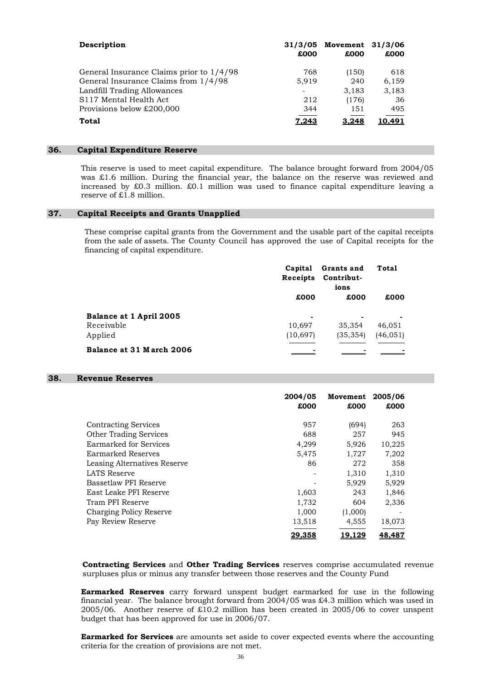| Description                                | £000  | 31/3/05 Movement 31/3/06<br>£000 | £000  |
|--------------------------------------------|-------|----------------------------------|-------|
| General Insurance Claims prior to $1/4/98$ | 768   | (150)                            | 618   |
| General Insurance Claims from 1/4/98       | 5,919 | 240                              | 6,159 |
| Landfill Trading Allowances                |       | 3,183                            | 3,183 |
| S117 Mental Health Act                     | 212   | (176)                            | 36    |
| Provisions below £200,000                  | 344   | 151                              | 495   |
| Total                                      | 7.243 | 3,248                            | 0.491 |

#### **36. Capital Expenditure Reserve**

 This reserve is used to meet capital expenditure. The balance brought forward from 2004/05 was £1.6 million. During the financial year, the balance on the reserve was reviewed and increased by £0.3 million. £0.1 million was used to finance capital expenditure leaving a reserve of £1.8 million.

#### **37. Capital Receipts and Grants Unapplied**

These comprise capital grants from the Government and the usable part of the capital receipts from the sale of assets. The County Council has approved the use of Capital receipts for the financing of capital expenditure.

|                          | Capital<br>Receipts | Grants and<br>Contribut-<br>ions | Total     |  |
|--------------------------|---------------------|----------------------------------|-----------|--|
|                          | £000                | £000                             | £000      |  |
| Balance at 1 April 2005  | $\blacksquare$      |                                  |           |  |
| Receivable               | 10,697              | 35,354                           | 46,051    |  |
| Applied                  | (10, 697)           | (35, 354)                        | (46, 051) |  |
| Balance at 31 March 2006 |                     |                                  |           |  |

#### **38. Revenue Reserves**

|                               | 2004/05<br>£000 | Movement<br>£000 | 2005/06<br>£000 |
|-------------------------------|-----------------|------------------|-----------------|
| <b>Contracting Services</b>   | 957             | (694)            | 263             |
| <b>Other Trading Services</b> | 688             | 257              | 945             |
| Earmarked for Services        | 4,299           | 5,926            | 10,225          |
| Earmarked Reserves            | 5,475           | 1,727            | 7,202           |
| Leasing Alternatives Reserve  | 86              | 272              | 358             |
| LATS Reserve                  |                 | 1,310            | 1,310           |
| Bassetlaw PFI Reserve         |                 | 5,929            | 5,929           |
| East Leake PFI Reserve        | 1,603           | 243              | 1,846           |
| Tram PFI Reserve              | 1,732           | 604              | 2,336           |
| Charging Policy Reserve       | 1,000           | (1,000)          |                 |
| Pay Review Reserve            | 13,518          | 4,555            | 18,073          |
|                               | 29,358          | 19.129           | 48,487          |

**Contracting Services** and **Other Trading Services** reserves comprise accumulated revenue surpluses plus or minus any transfer between those reserves and the County Fund

**Earmarked Reserves** carry forward unspent budget earmarked for use in the following financial year. The balance brought forward from 2004/05 was £4.3 million which was used in 2005/06. Another reserve of £10.2 million has been created in 2005/06 to cover unspent budget that has been approved for use in 2006/07.

**Earmarked for Services** are amounts set aside to cover expected events where the accounting criteria for the creation of provisions are not met.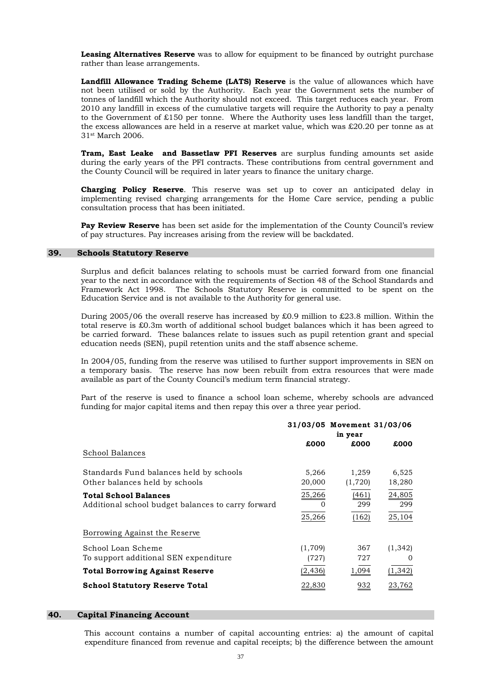**Leasing Alternatives Reserve** was to allow for equipment to be financed by outright purchase rather than lease arrangements.

**Landfill Allowance Trading Scheme (LATS) Reserve** is the value of allowances which have not been utilised or sold by the Authority. Each year the Government sets the number of tonnes of landfill which the Authority should not exceed. This target reduces each year. From 2010 any landfill in excess of the cumulative targets will require the Authority to pay a penalty to the Government of  $£150$  per tonne. Where the Authority uses less landfill than the target, the excess allowances are held in a reserve at market value, which was £20.20 per tonne as at 31st March 2006.

**Tram, East Leake and Bassetlaw PFI Reserves** are surplus funding amounts set aside during the early years of the PFI contracts. These contributions from central government and the County Council will be required in later years to finance the unitary charge.

**Charging Policy Reserve**. This reserve was set up to cover an anticipated delay in implementing revised charging arrangements for the Home Care service, pending a public consultation process that has been initiated.

Pay Review Reserve has been set aside for the implementation of the County Council's review of pay structures. Pay increases arising from the review will be backdated.

#### **39. Schools Statutory Reserve**

 Surplus and deficit balances relating to schools must be carried forward from one financial year to the next in accordance with the requirements of Section 48 of the School Standards and Framework Act 1998. The Schools Statutory Reserve is committed to be spent on the Education Service and is not available to the Authority for general use.

 During 2005/06 the overall reserve has increased by £0.9 million to £23.8 million. Within the total reserve is £0.3m worth of additional school budget balances which it has been agreed to be carried forward. These balances relate to issues such as pupil retention grant and special education needs (SEN), pupil retention units and the staff absence scheme.

 In 2004/05, funding from the reserve was utilised to further support improvements in SEN on a temporary basis. The reserve has now been rebuilt from extra resources that were made available as part of the County Council's medium term financial strategy.

 Part of the reserve is used to finance a school loan scheme, whereby schools are advanced funding for major capital items and then repay this over a three year period.

|                                                                                    |                              | 31/03/05 Movement 31/03/06<br>in year |                              |
|------------------------------------------------------------------------------------|------------------------------|---------------------------------------|------------------------------|
| School Balances                                                                    | £000                         | £000                                  | £000                         |
| Standards Fund balances held by schools<br>Other balances held by schools          | 5,266<br>20,000              | 1,259<br>(1,720)                      | 6,525<br>18,280              |
| <b>Total School Balances</b><br>Additional school budget balances to carry forward | 25,266<br>$\Omega$<br>25,266 | (461)<br>299<br>(162)                 | 24,805<br>299<br>25,104      |
| Borrowing Against the Reserve                                                      |                              |                                       |                              |
| School Loan Scheme<br>To support additional SEN expenditure                        | (1,709)<br>(727)             | 367<br>727                            | (1, 342)<br>$\left( \right)$ |
| <b>Total Borrowing Against Reserve</b>                                             | (2, 436)                     | 1,094                                 | (1, 342)                     |
| <b>School Statutory Reserve Total</b>                                              | 22,830                       | 932                                   | 23,762                       |

#### **40. Capital Financing Account**

This account contains a number of capital accounting entries: a) the amount of capital expenditure financed from revenue and capital receipts; b) the difference between the amount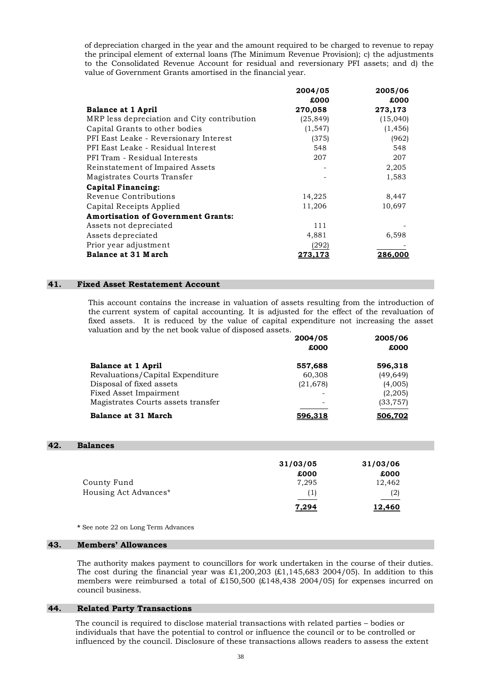of depreciation charged in the year and the amount required to be charged to revenue to repay the principal element of external loans (The Minimum Revenue Provision); c) the adjustments to the Consolidated Revenue Account for residual and reversionary PFI assets; and d) the value of Government Grants amortised in the financial year.

|                                             | 2004/05   | 2005/06  |
|---------------------------------------------|-----------|----------|
|                                             | £000      | £000     |
| <b>Balance at 1 April</b>                   | 270,058   | 273,173  |
| MRP less depreciation and City contribution | (25, 849) | (15,040) |
| Capital Grants to other bodies              | (1, 547)  | (1, 456) |
| PFI East Leake - Reversionary Interest      | (375)     | (962)    |
| PFI East Leake - Residual Interest          | 548       | 548      |
| PFI Tram - Residual Interests               | 207       | 207      |
| Reinstatement of Impaired Assets            |           | 2,205    |
| Magistrates Courts Transfer                 |           | 1,583    |
| <b>Capital Financing:</b>                   |           |          |
| Revenue Contributions                       | 14,225    | 8,447    |
| Capital Receipts Applied                    | 11,206    | 10,697   |
| <b>Amortisation of Government Grants:</b>   |           |          |
| Assets not depreciated                      | 111       |          |
| Assets depreciated                          | 4,881     | 6,598    |
| Prior year adjustment                       | (292)     |          |
| Balance at 31 March                         | 273,173   | 286,000  |

#### **41. Fixed Asset Restatement Account**

 This account contains the increase in valuation of assets resulting from the introduction of the current system of capital accounting. It is adjusted for the effect of the revaluation of fixed assets. It is reduced by the value of capital expenditure not increasing the asset valuation and by the net book value of disposed assets.

|                                    | 2004/05        | 2005/06   |  |
|------------------------------------|----------------|-----------|--|
|                                    | £000           | £000      |  |
| <b>Balance at 1 April</b>          | 557,688        | 596,318   |  |
| Revaluations/Capital Expenditure   | 60,308         | (49, 649) |  |
| Disposal of fixed assets           | (21, 678)      | (4,005)   |  |
| Fixed Asset Impairment             |                | (2,205)   |  |
| Magistrates Courts assets transfer |                | (33, 757) |  |
| <b>Balance at 31 March</b>         | <u>596.318</u> | 506.702   |  |

#### **42. Balances**

|                       | 31/03/05 | 31/03/06 |
|-----------------------|----------|----------|
|                       | £000     | £000     |
| County Fund           | 7.295    | 12,462   |
| Housing Act Advances* | (1)      | (2)      |
|                       | 7,294    | 12,460   |

**\*** See note 22 on Long Term Advances

#### **43. Members' Allowances**

 The authority makes payment to councillors for work undertaken in the course of their duties. The cost during the financial year was  $\text{\pounds}1,200,203$  ( $\text{\pounds}1,145,683$  2004/05). In addition to this members were reimbursed a total of £150,500 (£148,438 2004/05) for expenses incurred on council business.

#### **44. Related Party Transactions**

The council is required to disclose material transactions with related parties – bodies or individuals that have the potential to control or influence the council or to be controlled or influenced by the council. Disclosure of these transactions allows readers to assess the extent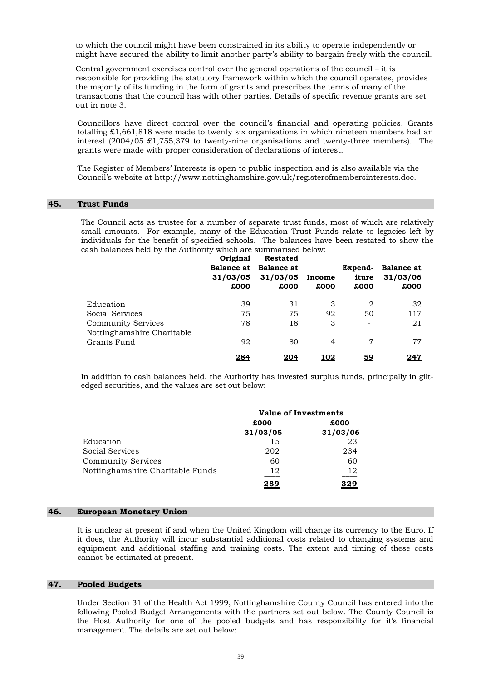to which the council might have been constrained in its ability to operate independently or might have secured the ability to limit another party's ability to bargain freely with the council.

Central government exercises control over the general operations of the council – it is responsible for providing the statutory framework within which the council operates, provides the majority of its funding in the form of grants and prescribes the terms of many of the transactions that the council has with other parties. Details of specific revenue grants are set out in note 3.

 Councillors have direct control over the council's financial and operating policies. Grants totalling £1,661,818 were made to twenty six organisations in which nineteen members had an interest  $(2004/05 \t{t}1,755,379)$  to twenty-nine organisations and twenty-three members). The grants were made with proper consideration of declarations of interest.

 The Register of Members' Interests is open to public inspection and is also available via the Council's website at http://www.nottinghamshire.gov.uk/registerofmembersinterests.doc.

#### **45. Trust Funds**

The Council acts as trustee for a number of separate trust funds, most of which are relatively small amounts. For example, many of the Education Trust Funds relate to legacies left by individuals for the benefit of specified schools. The balances have been restated to show the cash balances held by the Authority which are summarised below:

|                            | Original<br>31/03/05<br>£000 | <b>Restated</b><br>Balance at Balance at<br>31/03/05<br>£000 | Income<br>£000 | Expend-<br>iture<br>£000 | <b>Balance at</b><br>31/03/06<br>£000 |
|----------------------------|------------------------------|--------------------------------------------------------------|----------------|--------------------------|---------------------------------------|
| Education                  | 39                           | 31                                                           | 3              | 2                        | 32                                    |
| Social Services            | 75                           | 75                                                           | 92             | 50                       | 117                                   |
| <b>Community Services</b>  | 78                           | 18                                                           | 3              | $\overline{\phantom{a}}$ | 21                                    |
| Nottinghamshire Charitable |                              |                                                              |                |                          |                                       |
| Grants Fund                | 92                           | 80                                                           | $\overline{a}$ | 7                        | 77                                    |
|                            | 284                          | <u> 204</u>                                                  | <u> 102</u>    | <u>59</u>                | <u> 247</u>                           |

In addition to cash balances held, the Authority has invested surplus funds, principally in giltedged securities, and the values are set out below:

|                                  | Value of Investments |          |  |
|----------------------------------|----------------------|----------|--|
|                                  | £000                 | £000     |  |
|                                  | 31/03/05             | 31/03/06 |  |
| Education                        | 15                   | 23       |  |
| Social Services                  | 202                  | 234      |  |
| <b>Community Services</b>        | 60                   | 60       |  |
| Nottinghamshire Charitable Funds | 12                   | 12       |  |
|                                  | 289                  | 329      |  |

#### **46. European Monetary Union**

 It is unclear at present if and when the United Kingdom will change its currency to the Euro. If it does, the Authority will incur substantial additional costs related to changing systems and equipment and additional staffing and training costs. The extent and timing of these costs cannot be estimated at present.

#### **47. Pooled Budgets**

 Under Section 31 of the Health Act 1999, Nottinghamshire County Council has entered into the following Pooled Budget Arrangements with the partners set out below. The County Council is the Host Authority for one of the pooled budgets and has responsibility for it's financial management. The details are set out below: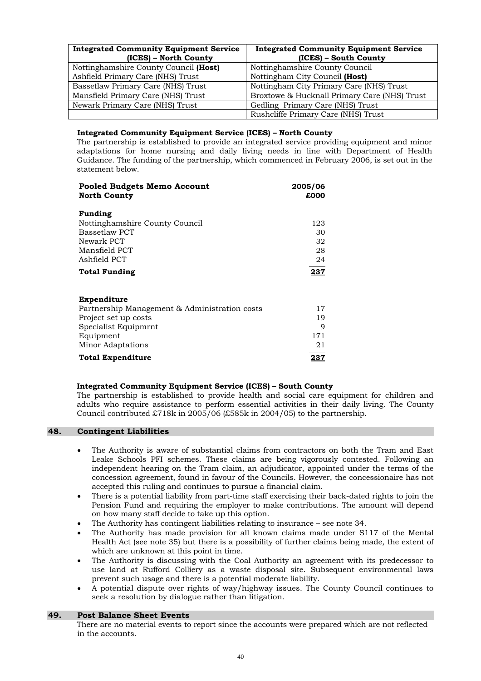| <b>Integrated Community Equipment Service</b><br>(ICES) – North County | <b>Integrated Community Equipment Service</b><br>(ICES) – South County |  |
|------------------------------------------------------------------------|------------------------------------------------------------------------|--|
| Nottinghamshire County Council (Host)                                  | Nottinghamshire County Council                                         |  |
| Ashfield Primary Care (NHS) Trust                                      | Nottingham City Council (Host)                                         |  |
| Bassetlaw Primary Care (NHS) Trust                                     | Nottingham City Primary Care (NHS) Trust                               |  |
| Mansfield Primary Care (NHS) Trust                                     | Broxtowe & Hucknall Primary Care (NHS) Trust                           |  |
| Newark Primary Care (NHS) Trust                                        | Gedling Primary Care (NHS) Trust                                       |  |
|                                                                        | Rushcliffe Primary Care (NHS) Trust                                    |  |

#### **Integrated Community Equipment Service (ICES) – North County**

 The partnership is established to provide an integrated service providing equipment and minor adaptations for home nursing and daily living needs in line with Department of Health Guidance. The funding of the partnership, which commenced in February 2006, is set out in the statement below.

| Pooled Budgets Memo Account                   | 2005/06      |
|-----------------------------------------------|--------------|
| <b>North County</b>                           | £000         |
|                                               |              |
| Funding                                       |              |
| Nottinghamshire County Council                | 123          |
| Bassetlaw PCT                                 | 30           |
| Newark PCT                                    | 32           |
| Mansfield PCT                                 | 28           |
| Ashfield PCT                                  | 24           |
| <b>Total Funding</b>                          | <u> 237 </u> |
|                                               |              |
| Expenditure                                   |              |
| Partnership Management & Administration costs | 17           |
| Project set up costs                          | 19           |
| Specialist Equipmrnt                          | 9            |
| Equipment                                     | 171          |
| Minor Adaptations                             | 21           |
| <b>Total Expenditure</b>                      | <u> 237</u>  |

#### **Integrated Community Equipment Service (ICES) – South County**

The partnership is established to provide health and social care equipment for children and adults who require assistance to perform essential activities in their daily living. The County Council contributed £718k in 2005/06 (£585k in 2004/05) to the partnership.

#### **48. Contingent Liabilities**

- The Authority is aware of substantial claims from contractors on both the Tram and East Leake Schools PFI schemes. These claims are being vigorously contested. Following an independent hearing on the Tram claim, an adjudicator, appointed under the terms of the concession agreement, found in favour of the Councils. However, the concessionaire has not accepted this ruling and continues to pursue a financial claim.
- There is a potential liability from part-time staff exercising their back-dated rights to join the Pension Fund and requiring the employer to make contributions. The amount will depend on how many staff decide to take up this option.
- The Authority has contingent liabilities relating to insurance see note 34.
- The Authority has made provision for all known claims made under S117 of the Mental Health Act (see note 35) but there is a possibility of further claims being made, the extent of which are unknown at this point in time.
- The Authority is discussing with the Coal Authority an agreement with its predecessor to use land at Rufford Colliery as a waste disposal site. Subsequent environmental laws prevent such usage and there is a potential moderate liability.
- A potential dispute over rights of way/highway issues. The County Council continues to seek a resolution by dialogue rather than litigation.

#### **49. Post Balance Sheet Events**

There are no material events to report since the accounts were prepared which are not reflected in the accounts.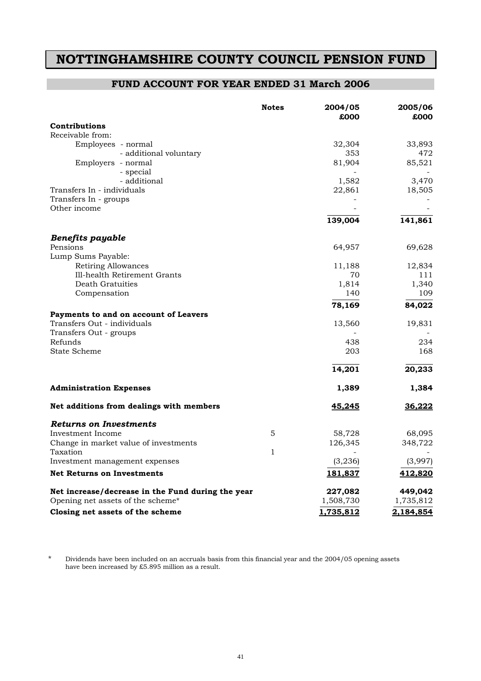## **NOTTINGHAMSHIRE COUNTY COUNCIL PENSION FUND**

### **FUND ACCOUNT FOR YEAR ENDED 31 March 2006**

|                                                   | <b>Notes</b> | 2004/05<br>£000 | 2005/06<br>£000 |
|---------------------------------------------------|--------------|-----------------|-----------------|
| Contributions                                     |              |                 |                 |
| Receivable from:                                  |              |                 |                 |
| Employees - normal                                |              | 32,304          | 33,893          |
| - additional voluntary                            |              | 353             | 472             |
| Employers - normal                                |              | 81,904          | 85,521          |
| - special                                         |              |                 |                 |
| - additional                                      |              | 1,582           | 3,470           |
| Transfers In - individuals                        |              | 22,861          | 18,505          |
| Transfers In - groups<br>Other income             |              |                 |                 |
|                                                   |              |                 |                 |
|                                                   |              | 139,004         | 141,861         |
| <b>Benefits payable</b>                           |              |                 |                 |
| Pensions                                          |              | 64,957          | 69,628          |
| Lump Sums Payable:                                |              |                 |                 |
| Retiring Allowances                               |              | 11,188          | 12,834          |
| Ill-health Retirement Grants                      |              | 70              | 111             |
| Death Gratuities                                  |              | 1,814           | 1,340           |
| Compensation                                      |              | 140             | 109             |
|                                                   |              | 78,169          | 84,022          |
| Payments to and on account of Leavers             |              |                 |                 |
| Transfers Out - individuals                       |              | 13,560          | 19,831          |
| Transfers Out - groups                            |              |                 |                 |
| Refunds                                           |              | 438             | 234             |
| <b>State Scheme</b>                               |              | 203             | 168             |
|                                                   |              | 14,201          | 20,233          |
| <b>Administration Expenses</b>                    |              | 1,389           | 1,384           |
| Net additions from dealings with members          |              | <u>45,245</u>   | <u>36,222</u>   |
| Returns on Investments                            |              |                 |                 |
| Investment Income                                 | 5            | 58,728          | 68,095          |
| Change in market value of investments             |              | 126,345         | 348,722         |
| Taxation                                          | 1            |                 |                 |
| Investment management expenses                    |              | (3,236)         | (3,997)         |
| <b>Net Returns on Investments</b>                 |              | 181,837         | <u>412,820</u>  |
| Net increase/decrease in the Fund during the year |              | 227,082         | 449,042         |
| Opening net assets of the scheme*                 |              | 1,508,730       | 1,735,812       |
| Closing net assets of the scheme                  |              | 1,735,812       | 2,184,854       |

\* Dividends have been included on an accruals basis from this financial year and the 2004/05 opening assets have been increased by £5.895 million as a result.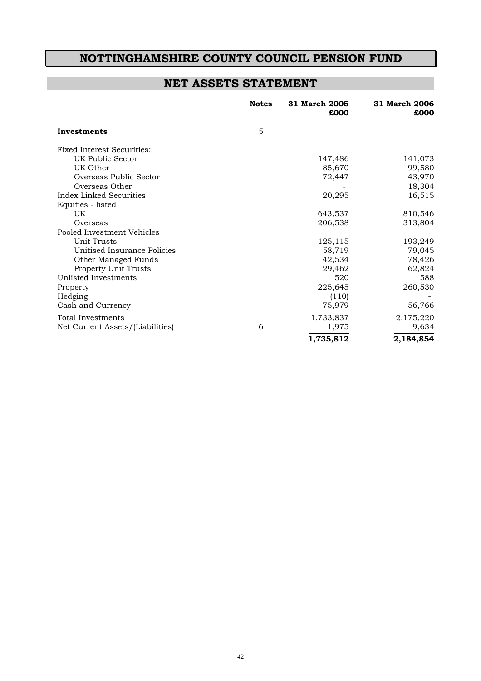### **NOTTINGHAMSHIRE COUNTY COUNCIL PENSION FUND**

## **NET ASSETS STATEMENT**

|                                  | <b>Notes</b> | 31 March 2005<br>£000 | 31 March 2006<br>£000 |
|----------------------------------|--------------|-----------------------|-----------------------|
| Investments                      | 5            |                       |                       |
| Fixed Interest Securities:       |              |                       |                       |
| UK Public Sector                 |              | 147,486               | 141,073               |
| UK Other                         |              | 85,670                | 99,580                |
| Overseas Public Sector           |              | 72,447                | 43,970                |
| Overseas Other                   |              |                       | 18,304                |
| Index Linked Securities          |              | 20,295                | 16,515                |
| Equities - listed                |              |                       |                       |
| UK                               |              | 643,537               | 810,546               |
| Overseas                         |              | 206,538               | 313,804               |
| Pooled Investment Vehicles       |              |                       |                       |
| Unit Trusts                      |              | 125,115               | 193,249               |
| Unitised Insurance Policies      |              | 58,719                | 79,045                |
| Other Managed Funds              |              | 42,534                | 78,426                |
| Property Unit Trusts             |              | 29,462                | 62,824                |
| Unlisted Investments             |              | 520                   | 588                   |
| Property                         |              | 225,645               | 260,530               |
| Hedging                          |              | (110)                 |                       |
| Cash and Currency                |              | 75,979                | 56,766                |
| Total Investments                |              | 1,733,837             | 2,175,220             |
| Net Current Assets/(Liabilities) | 6            | 1,975                 | 9,634                 |
|                                  |              | 1,735,812             | 2,184,854             |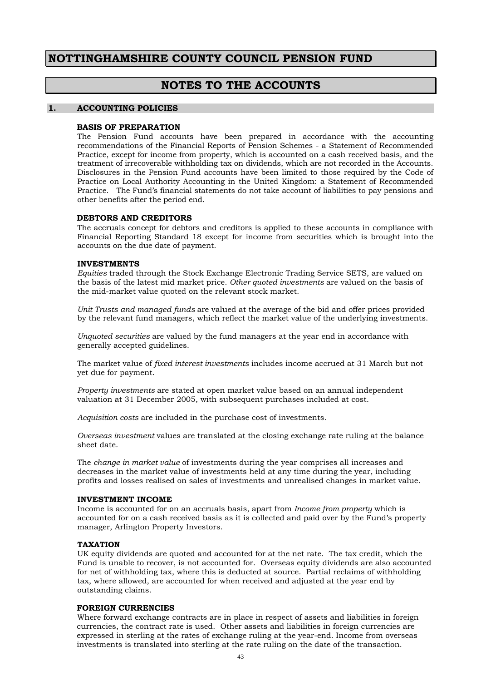### **NOTTINGHAMSHIRE COUNTY COUNCIL PENSION FUND**

### **NOTES TO THE ACCOUNTS**

#### **1. ACCOUNTING POLICIES**

#### **BASIS OF PREPARATION**

 The Pension Fund accounts have been prepared in accordance with the accounting recommendations of the Financial Reports of Pension Schemes - a Statement of Recommended Practice, except for income from property, which is accounted on a cash received basis, and the treatment of irrecoverable withholding tax on dividends, which are not recorded in the Accounts. Disclosures in the Pension Fund accounts have been limited to those required by the Code of Practice on Local Authority Accounting in the United Kingdom: a Statement of Recommended Practice. The Fund's financial statements do not take account of liabilities to pay pensions and other benefits after the period end.

#### **DEBTORS AND CREDITORS**

 The accruals concept for debtors and creditors is applied to these accounts in compliance with Financial Reporting Standard 18 except for income from securities which is brought into the accounts on the due date of payment.

#### **INVESTMENTS**

*Equities* traded through the Stock Exchange Electronic Trading Service SETS, are valued on the basis of the latest mid market price. *Other quoted investments* are valued on the basis of the mid-market value quoted on the relevant stock market.

*Unit Trusts and managed funds* are valued at the average of the bid and offer prices provided by the relevant fund managers, which reflect the market value of the underlying investments.

*Unquoted securities* are valued by the fund managers at the year end in accordance with generally accepted guidelines.

The market value of *fixed interest investments* includes income accrued at 31 March but not yet due for payment.

*Property investments* are stated at open market value based on an annual independent valuation at 31 December 2005, with subsequent purchases included at cost.

*Acquisition costs* are included in the purchase cost of investments.

*Overseas investment* values are translated at the closing exchange rate ruling at the balance sheet date.

The *change in market value* of investments during the year comprises all increases and decreases in the market value of investments held at any time during the year, including profits and losses realised on sales of investments and unrealised changes in market value.

#### **INVESTMENT INCOME**

Income is accounted for on an accruals basis, apart from *Income from property* which is accounted for on a cash received basis as it is collected and paid over by the Fund's property manager, Arlington Property Investors.

#### **TAXATION**

UK equity dividends are quoted and accounted for at the net rate. The tax credit, which the Fund is unable to recover, is not accounted for. Overseas equity dividends are also accounted for net of withholding tax, where this is deducted at source. Partial reclaims of withholding tax, where allowed, are accounted for when received and adjusted at the year end by outstanding claims.

#### **FOREIGN CURRENCIES**

Where forward exchange contracts are in place in respect of assets and liabilities in foreign currencies, the contract rate is used. Other assets and liabilities in foreign currencies are expressed in sterling at the rates of exchange ruling at the year-end. Income from overseas investments is translated into sterling at the rate ruling on the date of the transaction.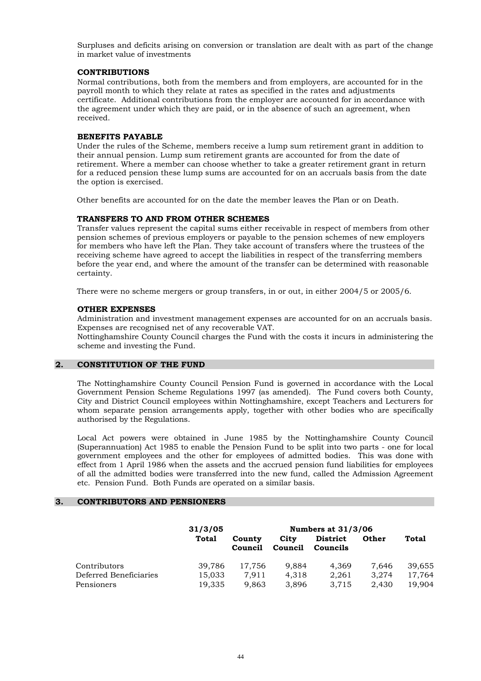Surpluses and deficits arising on conversion or translation are dealt with as part of the change in market value of investments

#### **CONTRIBUTIONS**

Normal contributions, both from the members and from employers, are accounted for in the payroll month to which they relate at rates as specified in the rates and adjustments certificate. Additional contributions from the employer are accounted for in accordance with the agreement under which they are paid, or in the absence of such an agreement, when received.

#### **BENEFITS PAYABLE**

Under the rules of the Scheme, members receive a lump sum retirement grant in addition to their annual pension. Lump sum retirement grants are accounted for from the date of retirement. Where a member can choose whether to take a greater retirement grant in return for a reduced pension these lump sums are accounted for on an accruals basis from the date the option is exercised.

Other benefits are accounted for on the date the member leaves the Plan or on Death.

#### **TRANSFERS TO AND FROM OTHER SCHEMES**

Transfer values represent the capital sums either receivable in respect of members from other pension schemes of previous employers or payable to the pension schemes of new employers for members who have left the Plan. They take account of transfers where the trustees of the receiving scheme have agreed to accept the liabilities in respect of the transferring members before the year end, and where the amount of the transfer can be determined with reasonable certainty.

There were no scheme mergers or group transfers, in or out, in either 2004/5 or 2005/6.

#### **OTHER EXPENSES**

Administration and investment management expenses are accounted for on an accruals basis. Expenses are recognised net of any recoverable VAT.

 Nottinghamshire County Council charges the Fund with the costs it incurs in administering the scheme and investing the Fund.

#### **2. CONSTITUTION OF THE FUND**

 The Nottinghamshire County Council Pension Fund is governed in accordance with the Local Government Pension Scheme Regulations 1997 (as amended). The Fund covers both County, City and District Council employees within Nottinghamshire, except Teachers and Lecturers for whom separate pension arrangements apply, together with other bodies who are specifically authorised by the Regulations.

 Local Act powers were obtained in June 1985 by the Nottinghamshire County Council (Superannuation) Act 1985 to enable the Pension Fund to be split into two parts - one for local government employees and the other for employees of admitted bodies. This was done with effect from 1 April 1986 when the assets and the accrued pension fund liabilities for employees of all the admitted bodies were transferred into the new fund, called the Admission Agreement etc. Pension Fund. Both Funds are operated on a similar basis.

#### **3. CONTRIBUTORS AND PENSIONERS**

|                        | 31/3/05 |                   | <b>Numbers at 31/3/06</b> |                             |       |        |
|------------------------|---------|-------------------|---------------------------|-----------------------------|-------|--------|
|                        | Total   | County<br>Council | City<br>Council           | <b>District</b><br>Councils | Other | Total  |
| Contributors           | 39.786  | 17.756            | 9.884                     | 4.369                       | 7.646 | 39.655 |
| Deferred Beneficiaries | 15,033  | 7.911             | 4.318                     | 2.261                       | 3.274 | 17.764 |
| Pensioners             | 19,335  | 9.863             | 3.896                     | 3.715                       | 2.430 | 19.904 |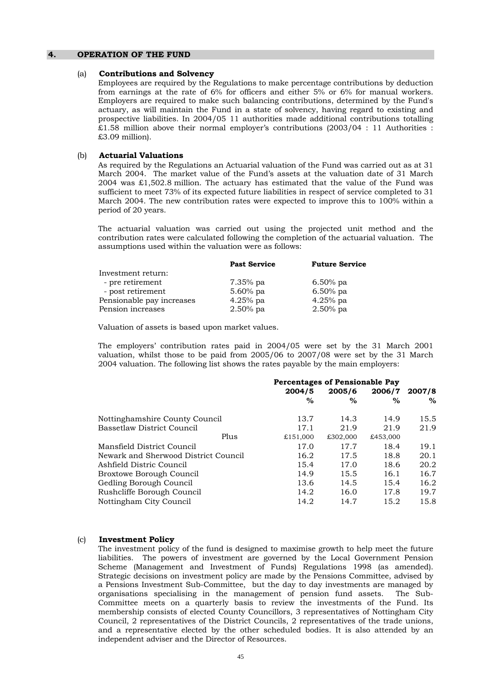#### **4. OPERATION OF THE FUND**

#### (a) **Contributions and Solvency**

 Employees are required by the Regulations to make percentage contributions by deduction from earnings at the rate of 6% for officers and either 5% or 6% for manual workers. Employers are required to make such balancing contributions, determined by the Fund's actuary, as will maintain the Fund in a state of solvency, having regard to existing and prospective liabilities. In 2004/05 11 authorities made additional contributions totalling £1.58 million above their normal employer's contributions (2003/04 : 11 Authorities : £3.09 million).

#### (b) **Actuarial Valuations**

 As required by the Regulations an Actuarial valuation of the Fund was carried out as at 31 March 2004. The market value of the Fund's assets at the valuation date of 31 March 2004 was £1,502.8 million. The actuary has estimated that the value of the Fund was sufficient to meet 73% of its expected future liabilities in respect of service completed to 31 March 2004. The new contribution rates were expected to improve this to 100% within a period of 20 years.

 The actuarial valuation was carried out using the projected unit method and the contribution rates were calculated following the completion of the actuarial valuation. The assumptions used within the valuation were as follows:

|                           | <b>Past Service</b> | <b>Future Service</b> |
|---------------------------|---------------------|-----------------------|
| Investment return:        |                     |                       |
| - pre retirement          | $7.35\%$ pa         | 6.50% pa              |
| - post retirement         | $5.60\%$ pa         | $6.50\%$ pa           |
| Pensionable pay increases | $4.25%$ pa          | $4.25%$ pa            |
| Pension increases         | $2.50\%$ pa         | $2.50\%$ pa           |

Valuation of assets is based upon market values.

 The employers' contribution rates paid in 2004/05 were set by the 31 March 2001 valuation, whilst those to be paid from 2005/06 to 2007/08 were set by the 31 March 2004 valuation. The following list shows the rates payable by the main employers:

|                                      | <b>Percentages of Pensionable Pay</b> |          |          |        |  |
|--------------------------------------|---------------------------------------|----------|----------|--------|--|
|                                      | 2004/5                                | 2005/6   | 2006/7   | 2007/8 |  |
|                                      | $\%$                                  | $\%$     | %        | $\%$   |  |
| Nottinghamshire County Council       | 13.7                                  | 14.3     | 14.9     | 15.5   |  |
| Bassetlaw District Council           | 17.1                                  | 21.9     | 21.9     | 21.9   |  |
| Plus                                 | £151,000                              | £302,000 | £453,000 |        |  |
| Mansfield District Council           | 17.0                                  | 17.7     | 18.4     | 19.1   |  |
| Newark and Sherwood District Council | 16.2                                  | 17.5     | 18.8     | 20.1   |  |
| Ashfield Distric Council             | 15.4                                  | 17.0     | 18.6     | 20.2   |  |
| Broxtowe Borough Council             | 14.9                                  | 15.5     | 16.1     | 16.7   |  |
| Gedling Borough Council              | 13.6                                  | 14.5     | 15.4     | 16.2   |  |
| Rushcliffe Borough Council           | 14.2                                  | 16.0     | 17.8     | 19.7   |  |
| Nottingham City Council              | 14.2                                  | 14.7     | 15.2     | 15.8   |  |

#### (c) **Investment Policy**

 The investment policy of the fund is designed to maximise growth to help meet the future liabilities. The powers of investment are governed by the Local Government Pension Scheme (Management and Investment of Funds) Regulations 1998 (as amended). Strategic decisions on investment policy are made by the Pensions Committee, advised by a Pensions Investment Sub-Committee, but the day to day investments are managed by organisations specialising in the management of pension fund assets. The Sub-Committee meets on a quarterly basis to review the investments of the Fund. Its membership consists of elected County Councillors, 3 representatives of Nottingham City Council, 2 representatives of the District Councils, 2 representatives of the trade unions, and a representative elected by the other scheduled bodies. It is also attended by an independent adviser and the Director of Resources.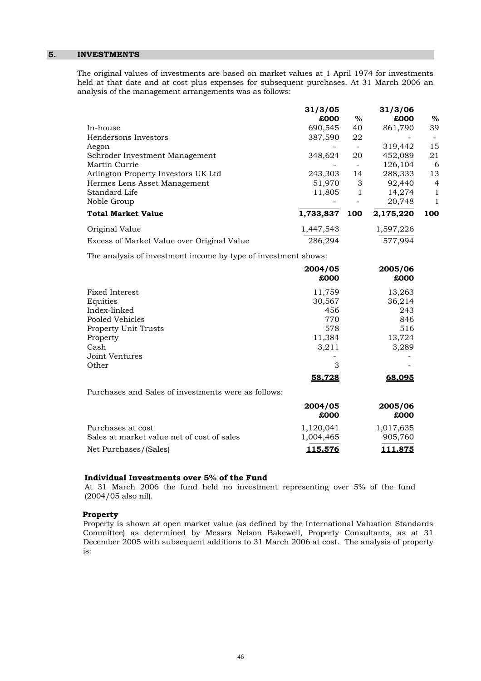#### **5. INVESTMENTS**

 The original values of investments are based on market values at 1 April 1974 for investments held at that date and at cost plus expenses for subsequent purchases. At 31 March 2006 an analysis of the management arrangements was as follows:

|                                            | 31/3/05<br>£000 | $\%$                     | 31/3/06<br>£000 | $\%$           |
|--------------------------------------------|-----------------|--------------------------|-----------------|----------------|
| In-house                                   | 690,545         | 40                       | 861,790         | 39             |
| Hendersons Investors                       | 387,590         | 22                       |                 |                |
| Aegon                                      |                 |                          | 319,442         | 15             |
| Schroder Investment Management             | 348,624         | 20                       | 452,089         | 21             |
| Martin Currie                              | -               | $\overline{\phantom{a}}$ | 126,104         | 6              |
| Arlington Property Investors UK Ltd        | 243,303         | 14                       | 288,333         | 13             |
| Hermes Lens Asset Management               | 51,970          | 3                        | 92,440          | $\overline{4}$ |
| Standard Life                              | 11,805          | 1                        | 14,274          | 1              |
| Noble Group                                |                 |                          | 20,748          | $\mathbf{1}$   |
| <b>Total Market Value</b>                  | 1,733,837       | 100                      | 2,175,220       | 100            |
| Original Value                             | 1,447,543       |                          | 1,597,226       |                |
| Excess of Market Value over Original Value | 286,294         |                          | 577.994         |                |

The analysis of investment income by type of investment shows:

|                                                     | 2004/05<br>£000 | 2005/06<br>£000 |
|-----------------------------------------------------|-----------------|-----------------|
| Fixed Interest                                      | 11,759          | 13,263          |
| Equities                                            | 30,567          | 36,214          |
| Index-linked                                        | 456             | 243             |
| Pooled Vehicles                                     | 770             | 846             |
| <b>Property Unit Trusts</b>                         | 578             | 516             |
| Property                                            | 11,384          | 13,724          |
| Cash                                                | 3,211           | 3,289           |
| Joint Ventures                                      |                 |                 |
| Other                                               | 3               |                 |
|                                                     | 58,728          | 68.095          |
| Purchases and Sales of investments were as follows: |                 |                 |
|                                                     | 2004/05<br>£000 | 2005/06<br>£000 |

|                                            | むししし      | むししし           |
|--------------------------------------------|-----------|----------------|
| Purchases at cost                          | 1.120.041 | 1,017,635      |
| Sales at market value net of cost of sales | 1.004.465 | 905.760        |
| Net Purchases/(Sales)                      | 115.576   | <u>111.875</u> |

#### **Individual Investments over 5% of the Fund**

 At 31 March 2006 the fund held no investment representing over 5% of the fund (2004/05 also nil).

#### **Property**

 Property is shown at open market value (as defined by the International Valuation Standards Committee) as determined by Messrs Nelson Bakewell, Property Consultants, as at 31 December 2005 with subsequent additions to 31 March 2006 at cost. The analysis of property is: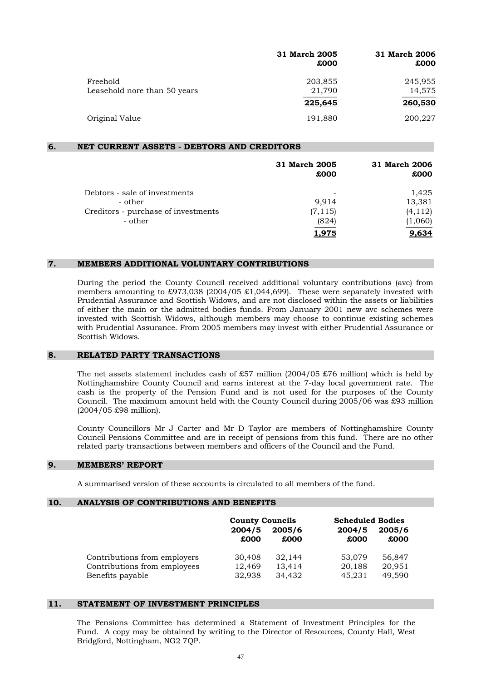|                                          | 31 March 2005<br>£000 | 31 March 2006<br>£000 |
|------------------------------------------|-----------------------|-----------------------|
| Freehold<br>Leasehold nore than 50 years | 203,855<br>21,790     | 245,955<br>14,575     |
|                                          | 225,645               | 260,530               |
| Original Value                           | 191,880               | 200,227               |

#### **6. NET CURRENT ASSETS - DEBTORS AND CREDITORS**

|                                     | 31 March 2005<br>£000 | 31 March 2006<br>£000 |
|-------------------------------------|-----------------------|-----------------------|
| Debtors - sale of investments       | -                     | 1,425                 |
| - other                             | 9,914                 | 13,381                |
| Creditors - purchase of investments | (7, 115)              | (4, 112)              |
| - other                             | (824)                 | (1,060)               |
|                                     | 1.975                 | 9.634                 |

#### **7. MEMBERS ADDITIONAL VOLUNTARY CONTRIBUTIONS**

 During the period the County Council received additional voluntary contributions (avc) from members amounting to £973,038 (2004/05 £1,044,699). These were separately invested with Prudential Assurance and Scottish Widows, and are not disclosed within the assets or liabilities of either the main or the admitted bodies funds. From January 2001 new avc schemes were invested with Scottish Widows, although members may choose to continue existing schemes with Prudential Assurance. From 2005 members may invest with either Prudential Assurance or Scottish Widows.

#### **8. RELATED PARTY TRANSACTIONS**

The net assets statement includes cash of £57 million  $(2004/05 \text{ £76}$  million) which is held by Nottinghamshire County Council and earns interest at the 7-day local government rate. The cash is the property of the Pension Fund and is not used for the purposes of the County Council. The maximum amount held with the County Council during 2005/06 was £93 million (2004/05 £98 million).

 County Councillors Mr J Carter and Mr D Taylor are members of Nottinghamshire County Council Pensions Committee and are in receipt of pensions from this fund. There are no other related party transactions between members and officers of the Council and the Fund.

#### **9. MEMBERS' REPORT**

A summarised version of these accounts is circulated to all members of the fund.

#### **10. ANALYSIS OF CONTRIBUTIONS AND BENEFITS**

|                              | <b>County Councils</b> |        | <b>Scheduled Bodies</b> |        |
|------------------------------|------------------------|--------|-------------------------|--------|
|                              | 2004/5                 | 2005/6 | 2004/5                  | 2005/6 |
|                              | £000                   | £000   | £000                    | £000   |
| Contributions from employers | 30,408                 | 32,144 | 53.079                  | 56,847 |
| Contributions from employees | 12,469                 | 13,414 | 20,188                  | 20,951 |
| Benefits payable             | 32,938                 | 34,432 | 45,231                  | 49,590 |

#### **11. STATEMENT OF INVESTMENT PRINCIPLES**

 The Pensions Committee has determined a Statement of Investment Principles for the Fund. A copy may be obtained by writing to the Director of Resources, County Hall, West Bridgford, Nottingham, NG2 7QP.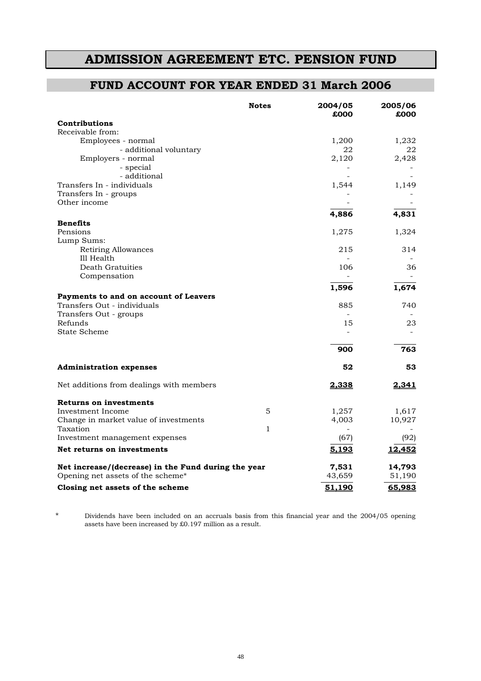## **ADMISSION AGREEMENT ETC. PENSION FUND**

### **FUND ACCOUNT FOR YEAR ENDED 31 March 2006**

|                                                     | <b>Notes</b> | 2004/05<br>£000 | 2005/06<br>£000 |
|-----------------------------------------------------|--------------|-----------------|-----------------|
| Contributions                                       |              |                 |                 |
| Receivable from:                                    |              |                 |                 |
| Employees - normal                                  |              | 1,200           | 1,232           |
| - additional voluntary                              |              | 22              | 22              |
| Employers - normal                                  |              | 2,120           | 2,428           |
| - special                                           |              |                 |                 |
| - additional                                        |              |                 |                 |
| Transfers In - individuals                          |              | 1,544           | 1,149           |
| Transfers In - groups                               |              |                 |                 |
| Other income                                        |              |                 |                 |
|                                                     |              | 4,886           | 4,831           |
| <b>Benefits</b>                                     |              |                 |                 |
| Pensions                                            |              | 1,275           | 1,324           |
| Lump Sums:                                          |              |                 |                 |
| Retiring Allowances                                 |              | 215             | 314             |
| Ill Health                                          |              |                 |                 |
| Death Gratuities                                    |              | 106             | 36              |
| Compensation                                        |              |                 |                 |
|                                                     |              | 1,596           | 1,674           |
| Payments to and on account of Leavers               |              |                 |                 |
| Transfers Out - individuals                         |              | 885             | 740             |
| Transfers Out - groups                              |              | $\sim$          |                 |
| Refunds                                             |              | 15              | 23              |
| State Scheme                                        |              |                 |                 |
|                                                     |              | 900             | 763             |
| <b>Administration expenses</b>                      |              | 52              | 53              |
| Net additions from dealings with members            |              | 2,338           | 2,341           |
| Returns on investments                              |              |                 |                 |
| Investment Income                                   | 5            | 1,257           | 1,617           |
| Change in market value of investments               |              | 4,003           | 10,927          |
| Taxation                                            | 1            |                 |                 |
| Investment management expenses                      |              | (67)            | (92)            |
| Net returns on investments                          |              | 5,193           | 12,452          |
| Net increase/(decrease) in the Fund during the year |              | 7,531           | 14,793          |
| Opening net assets of the scheme*                   |              | 43,659          | 51,190          |
| Closing net assets of the scheme                    |              | 51,190          | 65,983          |

\* Dividends have been included on an accruals basis from this financial year and the 2004/05 opening assets have been increased by £0.197 million as a result.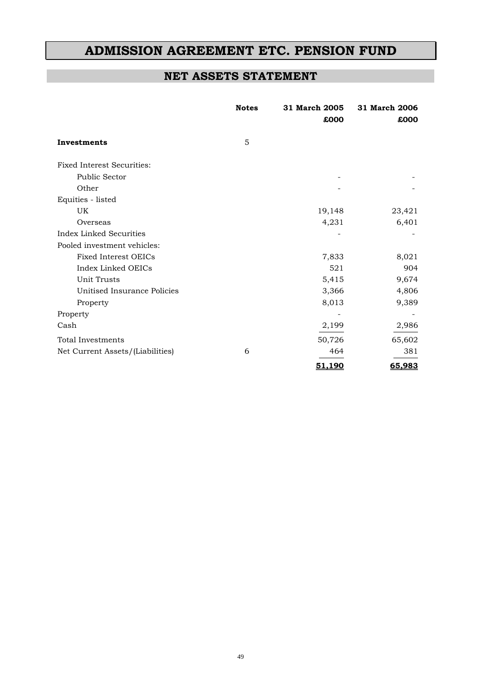## **ADMISSION AGREEMENT ETC. PENSION FUND**

### **NET ASSETS STATEMENT**

|                                   | <b>Notes</b> | 31 March 2005<br>£000 | 31 March 2006<br>£000 |
|-----------------------------------|--------------|-----------------------|-----------------------|
| Investments                       | 5            |                       |                       |
| <b>Fixed Interest Securities:</b> |              |                       |                       |
| <b>Public Sector</b>              |              |                       |                       |
| Other                             |              |                       |                       |
| Equities - listed                 |              |                       |                       |
| UK                                |              | 19,148                | 23,421                |
| Overseas                          |              | 4,231                 | 6,401                 |
| <b>Index Linked Securities</b>    |              |                       |                       |
| Pooled investment vehicles:       |              |                       |                       |
| Fixed Interest OEICs              |              | 7,833                 | 8,021                 |
| Index Linked OEICs                |              | 521                   | 904                   |
| <b>Unit Trusts</b>                |              | 5,415                 | 9,674                 |
| Unitised Insurance Policies       |              | 3,366                 | 4,806                 |
| Property                          |              | 8,013                 | 9,389                 |
| Property                          |              |                       |                       |
| Cash                              |              | 2,199                 | 2,986                 |
| Total Investments                 |              | 50,726                | 65,602                |
| Net Current Assets/(Liabilities)  | 6            | 464                   | 381                   |
|                                   |              | 51,190                | 65,983                |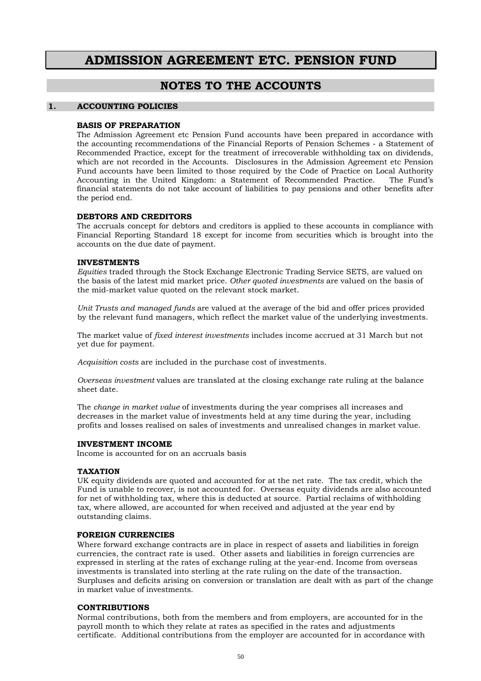## **ADMISSION AGREEMENT ETC. PENSION FUND**

### **NOTES TO THE ACCOUNTS**

#### **1. ACCOUNTING POLICIES**

#### **BASIS OF PREPARATION**

 The Admission Agreement etc Pension Fund accounts have been prepared in accordance with the accounting recommendations of the Financial Reports of Pension Schemes - a Statement of Recommended Practice, except for the treatment of irrecoverable withholding tax on dividends, which are not recorded in the Accounts. Disclosures in the Admission Agreement etc Pension Fund accounts have been limited to those required by the Code of Practice on Local Authority Accounting in the United Kingdom: a Statement of Recommended Practice. The Fund's financial statements do not take account of liabilities to pay pensions and other benefits after the period end.

#### **DEBTORS AND CREDITORS**

 The accruals concept for debtors and creditors is applied to these accounts in compliance with Financial Reporting Standard 18 except for income from securities which is brought into the accounts on the due date of payment.

#### **INVESTMENTS**

*Equities* traded through the Stock Exchange Electronic Trading Service SETS, are valued on the basis of the latest mid market price. *Other quoted investments* are valued on the basis of the mid-market value quoted on the relevant stock market.

*Unit Trusts and managed funds* are valued at the average of the bid and offer prices provided by the relevant fund managers, which reflect the market value of the underlying investments.

The market value of *fixed interest investments* includes income accrued at 31 March but not yet due for payment.

*Acquisition costs* are included in the purchase cost of investments.

*Overseas investment* values are translated at the closing exchange rate ruling at the balance sheet date.

The *change in market value* of investments during the year comprises all increases and decreases in the market value of investments held at any time during the year, including profits and losses realised on sales of investments and unrealised changes in market value.

#### **INVESTMENT INCOME**

Income is accounted for on an accruals basis

#### **TAXATION**

UK equity dividends are quoted and accounted for at the net rate. The tax credit, which the Fund is unable to recover, is not accounted for. Overseas equity dividends are also accounted for net of withholding tax, where this is deducted at source. Partial reclaims of withholding tax, where allowed, are accounted for when received and adjusted at the year end by outstanding claims.

#### **FOREIGN CURRENCIES**

Where forward exchange contracts are in place in respect of assets and liabilities in foreign currencies, the contract rate is used. Other assets and liabilities in foreign currencies are expressed in sterling at the rates of exchange ruling at the year-end. Income from overseas investments is translated into sterling at the rate ruling on the date of the transaction. Surpluses and deficits arising on conversion or translation are dealt with as part of the change in market value of investments.

#### **CONTRIBUTIONS**

Normal contributions, both from the members and from employers, are accounted for in the payroll month to which they relate at rates as specified in the rates and adjustments certificate. Additional contributions from the employer are accounted for in accordance with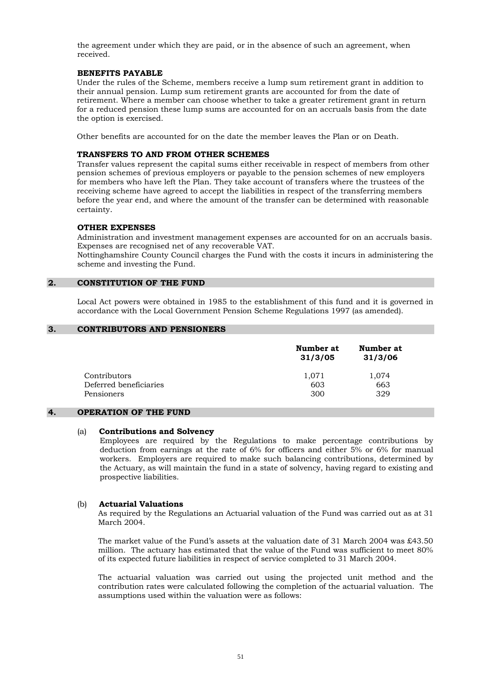the agreement under which they are paid, or in the absence of such an agreement, when received.

#### **BENEFITS PAYABLE**

Under the rules of the Scheme, members receive a lump sum retirement grant in addition to their annual pension. Lump sum retirement grants are accounted for from the date of retirement. Where a member can choose whether to take a greater retirement grant in return for a reduced pension these lump sums are accounted for on an accruals basis from the date the option is exercised.

Other benefits are accounted for on the date the member leaves the Plan or on Death.

#### **TRANSFERS TO AND FROM OTHER SCHEMES**

Transfer values represent the capital sums either receivable in respect of members from other pension schemes of previous employers or payable to the pension schemes of new employers for members who have left the Plan. They take account of transfers where the trustees of the receiving scheme have agreed to accept the liabilities in respect of the transferring members before the year end, and where the amount of the transfer can be determined with reasonable certainty.

#### **OTHER EXPENSES**

Administration and investment management expenses are accounted for on an accruals basis. Expenses are recognised net of any recoverable VAT.

 Nottinghamshire County Council charges the Fund with the costs it incurs in administering the scheme and investing the Fund.

#### **2. CONSTITUTION OF THE FUND**

 Local Act powers were obtained in 1985 to the establishment of this fund and it is governed in accordance with the Local Government Pension Scheme Regulations 1997 (as amended).

#### **3. CONTRIBUTORS AND PENSIONERS**

|                        | Number at<br>31/3/05 | Number at<br>31/3/06 |
|------------------------|----------------------|----------------------|
| Contributors           | 1,071                | 1,074                |
| Deferred beneficiaries | 603                  | 663                  |
| Pensioners             | 300                  | 329                  |

#### **4. OPERATION OF THE FUND**

#### (a) **Contributions and Solvency**

Employees are required by the Regulations to make percentage contributions by deduction from earnings at the rate of 6% for officers and either 5% or 6% for manual workers. Employers are required to make such balancing contributions, determined by the Actuary, as will maintain the fund in a state of solvency, having regard to existing and prospective liabilities.

#### (b) **Actuarial Valuations**

 As required by the Regulations an Actuarial valuation of the Fund was carried out as at 31 March 2004.

 The market value of the Fund's assets at the valuation date of 31 March 2004 was £43.50 million. The actuary has estimated that the value of the Fund was sufficient to meet 80% of its expected future liabilities in respect of service completed to 31 March 2004.

 The actuarial valuation was carried out using the projected unit method and the contribution rates were calculated following the completion of the actuarial valuation. The assumptions used within the valuation were as follows: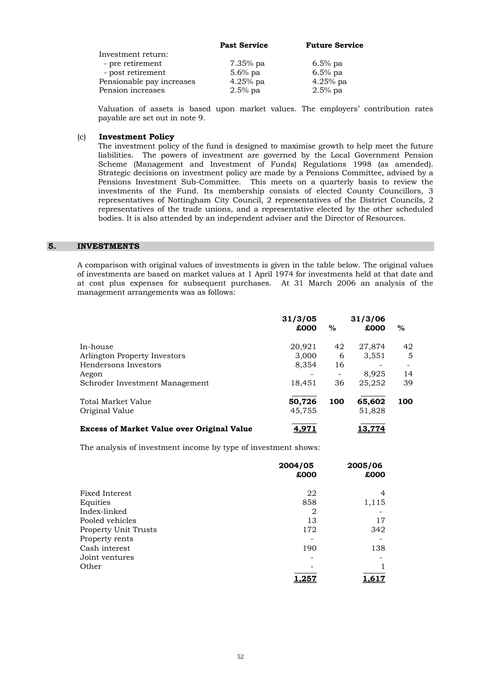|                           | <b>Past Service</b> | <b>Future Service</b> |
|---------------------------|---------------------|-----------------------|
| Investment return:        |                     |                       |
| - pre retirement          | $7.35\%$ pa         | $6.5\%$ pa            |
| - post retirement         | $5.6\%$ pa          | $6.5\%$ pa            |
| Pensionable pay increases | $4.25%$ pa          | $4.25%$ pa            |
| Pension increases         | $2.5%$ pa           | $2.5%$ pa             |

 Valuation of assets is based upon market values. The employers' contribution rates payable are set out in note 9.

#### (c) **Investment Policy**

 The investment policy of the fund is designed to maximise growth to help meet the future liabilities. The powers of investment are governed by the Local Government Pension Scheme (Management and Investment of Funds) Regulations 1998 (as amended). Strategic decisions on investment policy are made by a Pensions Committee, advised by a Pensions Investment Sub-Committee. This meets on a quarterly basis to review the investments of the Fund. Its membership consists of elected County Councillors, 3 representatives of Nottingham City Council, 2 representatives of the District Councils, 2 representatives of the trade unions, and a representative elected by the other scheduled bodies. It is also attended by an independent adviser and the Director of Resources.

#### **5. INVESTMENTS**

 A comparison with original values of investments is given in the table below. The original values of investments are based on market values at 1 April 1974 for investments held at that date and at cost plus expenses for subsequent purchases. At 31 March 2006 an analysis of the management arrangements was as follows:

|                                                   | 31/3/05<br>£000  | $\%$ | 31/3/06<br>£000  | $\%$ |
|---------------------------------------------------|------------------|------|------------------|------|
| In-house                                          | 20,921           | 42   | 27,874           | 42   |
| Arlington Property Investors                      | 3,000            | 6    | 3,551            | 5    |
| Hendersons Investors                              | 8,354            | 16   |                  |      |
| Aegon                                             |                  |      | 8.925            | 14   |
| Schroder Investment Management                    | 18,451           | 36   | 25,252           | 39   |
| Total Market Value<br>Original Value              | 50,726<br>45,755 | 100  | 65,602<br>51,828 | 100  |
| <b>Excess of Market Value over Original Value</b> | <u>4.97.</u>     |      | 13.774           |      |

The analysis of investment income by type of investment shows:

|                      | 2004/05<br>£000 | 2005/06<br>£000 |
|----------------------|-----------------|-----------------|
| Fixed Interest       | 22              | 4               |
| Equities             | 858             | 1,115           |
| Index-linked         | 2               |                 |
| Pooled vehicles      | 13              | 17              |
| Property Unit Trusts | 172             | 342             |
| Property rents       |                 |                 |
| Cash interest        | 190             | 138             |
| Joint ventures       |                 |                 |
| Other                |                 |                 |
|                      | <u>.25</u>      | l.617           |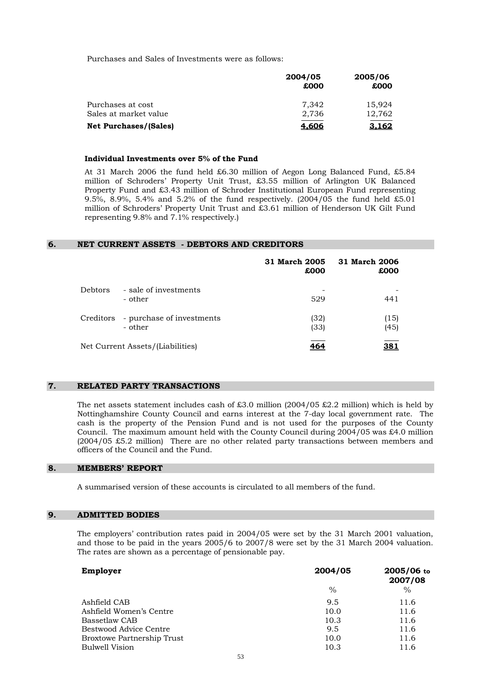Purchases and Sales of Investments were as follows:

|                              | 2004/05<br>£000 | 2005/06<br>£000 |
|------------------------------|-----------------|-----------------|
| Purchases at cost            | 7.342           | 15.924          |
| Sales at market value        | 2,736           | 12,762          |
| <b>Net Purchases/(Sales)</b> | <u>4.606</u>    | <u>3.162</u>    |

#### **Individual Investments over 5% of the Fund**

 At 31 March 2006 the fund held £6.30 million of Aegon Long Balanced Fund, £5.84 million of Schroders' Property Unit Trust, £3.55 million of Arlington UK Balanced Property Fund and £3.43 million of Schroder Institutional European Fund representing 9.5%, 8.9%, 5.4% and 5.2% of the fund respectively. (2004/05 the fund held £5.01 million of Schroders' Property Unit Trust and £3.61 million of Henderson UK Gilt Fund representing 9.8% and 7.1% respectively.)

#### **6. NET CURRENT ASSETS - DEBTORS AND CREDITORS**

|                |                                      | 31 March 2005<br>£000 | 31 March 2006<br>£000 |
|----------------|--------------------------------------|-----------------------|-----------------------|
| <b>Debtors</b> | - sale of investments<br>- other     | 529                   | 441                   |
| Creditors      | - purchase of investments<br>- other | (32)<br>(33)          | (15)<br>(45)          |
|                | Net Current Assets/(Liabilities)     | 464                   | 381                   |

#### **7. RELATED PARTY TRANSACTIONS**

The net assets statement includes cash of £3.0 million  $(2004/05 \tImes 2.2 \tImillion)$  which is held by Nottinghamshire County Council and earns interest at the 7-day local government rate. The cash is the property of the Pension Fund and is not used for the purposes of the County Council. The maximum amount held with the County Council during  $2004/05$  was £4.0 million (2004/05 £5.2 million) There are no other related party transactions between members and officers of the Council and the Fund.

#### **8. MEMBERS' REPORT**

A summarised version of these accounts is circulated to all members of the fund.

#### **9. ADMITTED BODIES**

 The employers' contribution rates paid in 2004/05 were set by the 31 March 2001 valuation, and those to be paid in the years 2005/6 to 2007/8 were set by the 31 March 2004 valuation. The rates are shown as a percentage of pensionable pay.

| 2004/05 | 2005/06 to<br>2007/08 |
|---------|-----------------------|
| $\%$    | $\%$                  |
| 9.5     | 11.6                  |
| 10.0    | 11.6                  |
| 10.3    | 11.6                  |
| 9.5     | 11.6                  |
| 10.0    | 11.6                  |
| 10.3    | 11.6                  |
|         |                       |
|         |                       |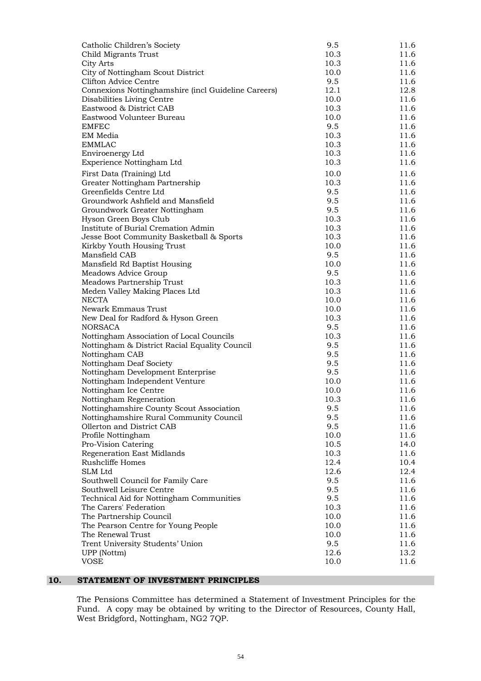| Catholic Children's Society                         | 9.5  | 11.6 |
|-----------------------------------------------------|------|------|
| Child Migrants Trust                                | 10.3 | 11.6 |
| City Arts                                           | 10.3 | 11.6 |
| City of Nottingham Scout District                   | 10.0 | 11.6 |
| Clifton Advice Centre                               | 9.5  | 11.6 |
| Connexions Nottinghamshire (incl Guideline Careers) | 12.1 | 12.8 |
| Disabilities Living Centre                          | 10.0 | 11.6 |
| Eastwood & District CAB                             | 10.3 | 11.6 |
| Eastwood Volunteer Bureau                           | 10.0 | 11.6 |
| <b>EMFEC</b>                                        | 9.5  | 11.6 |
| EM Media                                            | 10.3 | 11.6 |
| <b>EMMLAC</b>                                       | 10.3 | 11.6 |
| Enviroenergy Ltd                                    | 10.3 | 11.6 |
| Experience Nottingham Ltd                           | 10.3 | 11.6 |
| First Data (Training) Ltd                           | 10.0 | 11.6 |
| Greater Nottingham Partnership                      | 10.3 | 11.6 |
| Greenfields Centre Ltd                              | 9.5  | 11.6 |
| Groundwork Ashfield and Mansfield                   | 9.5  | 11.6 |
| Groundwork Greater Nottingham                       | 9.5  | 11.6 |
| Hyson Green Boys Club                               | 10.3 | 11.6 |
| Institute of Burial Cremation Admin                 | 10.3 | 11.6 |
| Jesse Boot Community Basketball & Sports            | 10.3 | 11.6 |
| Kirkby Youth Housing Trust                          | 10.0 | 11.6 |
| Mansfield CAB                                       | 9.5  | 11.6 |
| Mansfield Rd Baptist Housing                        | 10.0 | 11.6 |
| Meadows Advice Group                                | 9.5  | 11.6 |
| Meadows Partnership Trust                           | 10.3 | 11.6 |
| Meden Valley Making Places Ltd                      | 10.3 | 11.6 |
| <b>NECTA</b>                                        | 10.0 | 11.6 |
| Newark Emmaus Trust                                 | 10.0 | 11.6 |
| New Deal for Radford & Hyson Green                  | 10.3 | 11.6 |
| <b>NORSACA</b>                                      | 9.5  | 11.6 |
| Nottingham Association of Local Councils            | 10.3 | 11.6 |
| Nottingham & District Racial Equality Council       | 9.5  | 11.6 |
| Nottingham CAB                                      | 9.5  | 11.6 |
| Nottingham Deaf Society                             | 9.5  | 11.6 |
| Nottingham Development Enterprise                   | 9.5  | 11.6 |
| Nottingham Independent Venture                      | 10.0 | 11.6 |
| Nottingham Ice Centre                               | 10.0 | 11.6 |
| Nottingham Regeneration                             | 10.3 | 11.6 |
| Nottinghamshire County Scout Association            | 9.5  | 11.6 |
| Nottinghamshire Rural Community Council             | 9.5  | 11.6 |
| Ollerton and District CAB                           | 9.5  | 11.6 |
| Profile Nottingham                                  | 10.0 | 11.6 |
| Pro-Vision Catering                                 | 10.5 | 14.0 |
| Regeneration East Midlands                          | 10.3 | 11.6 |
| Rushcliffe Homes                                    | 12.4 | 10.4 |
| SLM Ltd                                             | 12.6 | 12.4 |
| Southwell Council for Family Care                   | 9.5  | 11.6 |
| Southwell Leisure Centre                            | 9.5  | 11.6 |
| Technical Aid for Nottingham Communities            | 9.5  | 11.6 |
| The Carers' Federation                              | 10.3 | 11.6 |
| The Partnership Council                             | 10.0 | 11.6 |
| The Pearson Centre for Young People                 | 10.0 | 11.6 |
| The Renewal Trust                                   | 10.0 | 11.6 |
| Trent University Students' Union                    | 9.5  | 11.6 |
| UPP (Nottm)                                         | 12.6 | 13.2 |
| <b>VOSE</b>                                         | 10.0 | 11.6 |
|                                                     |      |      |

### **10. STATEMENT OF INVESTMENT PRINCIPLES**

 The Pensions Committee has determined a Statement of Investment Principles for the Fund. A copy may be obtained by writing to the Director of Resources, County Hall, West Bridgford, Nottingham, NG2 7QP.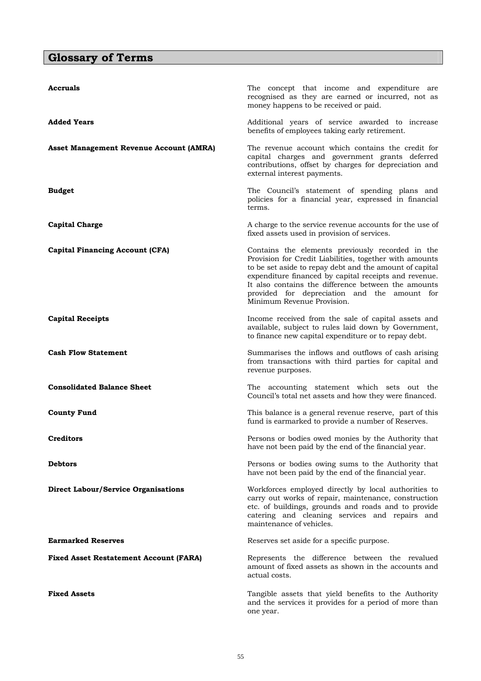## **Glossary of Terms**

| Accruals                                      | The concept that income and expenditure are<br>recognised as they are earned or incurred, not as<br>money happens to be received or paid.                                                                                                                                                                                                                            |
|-----------------------------------------------|----------------------------------------------------------------------------------------------------------------------------------------------------------------------------------------------------------------------------------------------------------------------------------------------------------------------------------------------------------------------|
| <b>Added Years</b>                            | Additional years of service awarded to increase<br>benefits of employees taking early retirement.                                                                                                                                                                                                                                                                    |
| Asset Management Revenue Account (AMRA)       | The revenue account which contains the credit for<br>capital charges and government grants deferred<br>contributions, offset by charges for depreciation and<br>external interest payments.                                                                                                                                                                          |
| <b>Budget</b>                                 | The Council's statement of spending plans and<br>policies for a financial year, expressed in financial<br>terms.                                                                                                                                                                                                                                                     |
| <b>Capital Charge</b>                         | A charge to the service revenue accounts for the use of<br>fixed assets used in provision of services.                                                                                                                                                                                                                                                               |
| <b>Capital Financing Account (CFA)</b>        | Contains the elements previously recorded in the<br>Provision for Credit Liabilities, together with amounts<br>to be set aside to repay debt and the amount of capital<br>expenditure financed by capital receipts and revenue.<br>It also contains the difference between the amounts<br>provided for depreciation and the amount for<br>Minimum Revenue Provision. |
| <b>Capital Receipts</b>                       | Income received from the sale of capital assets and<br>available, subject to rules laid down by Government,<br>to finance new capital expenditure or to repay debt.                                                                                                                                                                                                  |
| <b>Cash Flow Statement</b>                    | Summarises the inflows and outflows of cash arising<br>from transactions with third parties for capital and<br>revenue purposes.                                                                                                                                                                                                                                     |
| <b>Consolidated Balance Sheet</b>             | The accounting statement which sets out the<br>Council's total net assets and how they were financed.                                                                                                                                                                                                                                                                |
| <b>County Fund</b>                            | This balance is a general revenue reserve, part of this<br>fund is earmarked to provide a number of Reserves.                                                                                                                                                                                                                                                        |
| Creditors                                     | Persons or bodies owed monies by the Authority that<br>have not been paid by the end of the financial year.                                                                                                                                                                                                                                                          |
| Debtors                                       | Persons or bodies owing sums to the Authority that<br>have not been paid by the end of the financial year.                                                                                                                                                                                                                                                           |
| <b>Direct Labour/Service Organisations</b>    | Workforces employed directly by local authorities to<br>carry out works of repair, maintenance, construction<br>etc. of buildings, grounds and roads and to provide<br>catering and cleaning services and repairs and<br>maintenance of vehicles.                                                                                                                    |
| <b>Earmarked Reserves</b>                     | Reserves set aside for a specific purpose.                                                                                                                                                                                                                                                                                                                           |
| <b>Fixed Asset Restatement Account (FARA)</b> | Represents the difference between the revalued<br>amount of fixed assets as shown in the accounts and<br>actual costs.                                                                                                                                                                                                                                               |
| <b>Fixed Assets</b>                           | Tangible assets that yield benefits to the Authority<br>and the services it provides for a period of more than<br>one year.                                                                                                                                                                                                                                          |